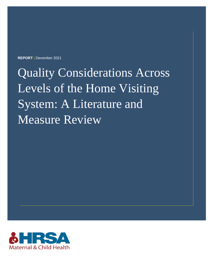**REPORT** | December 2021

# Quality Considerations Across Levels of the Home Visiting System: A Literature and Measure Review

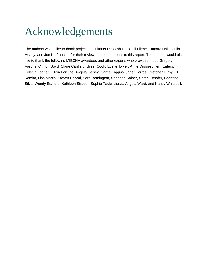# Acknowledgements

The authors would like to thank project consultants Deborah Daro, Jill Filene, Tamara Halle, Julia Heany, and Jon Korfmacher for their review and contributions to this report. The authors would also like to thank the following MIECHV awardees and other experts who provided input: Gregory Aarons, Clinton Boyd, Claire Canfield, Greer Cook, Evelyn Dryer, Anne Duggan, Terri Enters, Felecia Fognani, Bryn Fortune, Angela Heisey, Carrie Higgins, Janet Horras, Gretchen Kirby, Elli Komito, Lisa Martin, Steven Pascal, Sara Remington, Shannon Sainer, Sarah Schafer, Christine Silva, Wendy Stafford, Kathleen Strader, Sophia Taula-Lieras, Angela Ward, and Nancy Whitesell.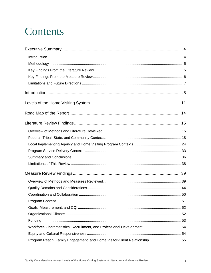# Contents

| Program Reach, Family Engagement, and Home Visitor-Client Relationship 55 |  |
|---------------------------------------------------------------------------|--|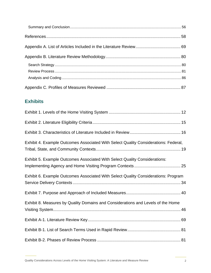### **Exhibits**

| Exhibit 4. Example Outcomes Associated With Select Quality Considerations: Federal, |  |
|-------------------------------------------------------------------------------------|--|
| Exhibit 5. Example Outcomes Associated With Select Quality Considerations:          |  |
| Exhibit 6. Example Outcomes Associated With Select Quality Considerations: Program  |  |
|                                                                                     |  |
| Exhibit 8. Measures by Quality Domains and Considerations and Levels of the Home    |  |
|                                                                                     |  |
|                                                                                     |  |
|                                                                                     |  |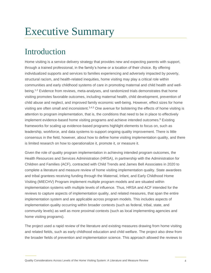# <span id="page-5-0"></span>Executive Summary

## <span id="page-5-1"></span>Introduction

Home visiting is a service delivery strategy that provides new and expecting parents with support, through a trained professional, in the family's home or a location of their choice. By offering individualized supports and services to families experiencing and adversely impacted by poverty, structural racism, and health-related inequities, home visiting may play a critical role within communities and early childhood systems of care in promoting maternal and child health and wellbeing.<sup>1,2</sup> Evidence from reviews, meta-analyses, and randomized trials demonstrates that home visiting promotes favorable outcomes, including maternal health, child development, prevention of child abuse and neglect, and improved family economic well-being. However, effect sizes for home visiting are often small and inconsistent.<sup>3,4,5</sup> One avenue for bolstering the effects of home visiting is attention to program implementation, that is, the conditions that need to be in place to effectively implement evidence-based home visiting programs and achieve intended outcomes. <sup>6</sup> Existing frameworks for scaling up evidence-based programs highlight elements to focus on, such as leadership, workforce, and data systems to support ongoing quality improvement. There is little consensus in the field, however, about how to define home visiting implementation quality, and there is limited research on how to operationalize it, promote it, or measure it.

Given the role of quality program implementation in achieving intended program outcomes, the Health Resources and Services Administration (HRSA), in partnership with the Administration for Children and Families (ACF), contracted with Child Trends and James Bell Associates in 2020 to complete a literature and measure review of home visiting implementation quality. State awardees and tribal grantees receiving funding through the Maternal, Infant, and Early Childhood Home Visiting (MIECHV) Program implement multiple program models and are situated within implementation systems with multiple levels of influence. Thus, HRSA and ACF intended for the reviews to capture aspects of implementation quality, and related measures, that span the entire implementation system and are applicable across program models. This includes aspects of implementation quality occurring within broader contexts (such as federal, tribal, state, and community levels) as well as more proximal contexts (such as local implementing agencies and home visiting programs).

The project used a rapid review of the literature and existing measures drawing from home visiting and related fields, such as early childhood education and child welfare. The project also drew from the broader fields of prevention and implementation science. This approach allowed the reviews to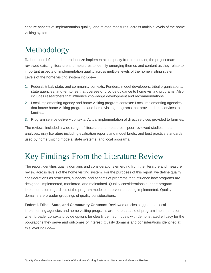capture aspects of implementation quality, and related measures, across multiple levels of the home visiting system.

# <span id="page-6-0"></span>Methodology

Rather than define and operationalize implementation quality from the outset, the project team reviewed existing literature and measures to identify emerging themes and content as they relate to important aspects of implementation quality across multiple levels of the home visiting system. Levels of the home visiting system include—

- 1. Federal, tribal, state, and community contexts: Funders, model developers, tribal organizations, state agencies, and territories that oversee or provide guidance to home visiting programs. Also includes researchers that influence knowledge development and recommendations.
- 2. Local implementing agency and home visiting program contexts: Local implementing agencies that house home visiting programs and home visiting programs that provide direct services to families.
- 3. Program service delivery contexts: Actual implementation of direct services provided to families.

The reviews included a wide range of literature and measures—peer-reviewed studies, metaanalyses, gray literature including evaluation reports and model briefs, and best practice standards used by home visiting models, state systems, and local programs.

## <span id="page-6-1"></span>Key Findings From the Literature Review

The report identifies quality domains and considerations emerging from the literature and measure review across levels of the home visiting system. For the purposes of this report, we define quality considerations as structures, supports, and aspects of programs that influence how programs are designed, implemented, monitored, and maintained. Quality considerations support program implementation regardless of the program model or intervention being implemented. Quality domains are broader groupings of quality considerations.

**Federal, Tribal, State, and Community Contexts:** Reviewed articles suggest that local implementing agencies and home visiting programs are more capable of program implementation when broader contexts provide options for clearly defined models with demonstrated efficacy for the populations they serve and outcomes of interest. Quality domains and considerations identified at this level include—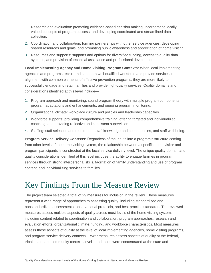- 1. Research and evaluation: promoting evidence-based decision making, incorporating locally valued concepts of program success, and developing coordinated and streamlined data collection.
- 2. Coordination and collaboration: forming partnerships with other service agencies, developing shared resources and goals, and promoting public awareness and appreciation of home visiting.
- 3. Resources and supports: supports and options for diversified funding, access to quality data systems, and provision of technical assistance and professional development.

**Local Implementing Agency and Home Visiting Program Contexts:** When local implementing agencies and programs recruit and support a well-qualified workforce and provide services in alignment with common elements of effective prevention programs, they are more likely to successfully engage and retain families and provide high-quality services. Quality domains and considerations identified at this level include—

- 1. Program approach and monitoring: sound program theory with multiple program components, program adaptations and enhancements, and ongoing program monitoring.
- 2. Organizational climate: workplace culture and policies and leadership capacities.
- 3. Workforce supports: providing comprehensive training, offering targeted and individualized coaching, and providing reflective and consistent supervision.
- 4. Staffing: staff selection and recruitment, staff knowledge and competencies, and staff well-being.

**Program Service Delivery Contexts:** Regardless of the inputs into a program's structure coming from other levels of the home visiting system, the relationship between a specific home visitor and program participants is constructed at the local service delivery level. The unique quality domain and quality considerations identified at this level includes the ability to engage families in program services through strong interpersonal skills, facilitation of family understanding and use of program content, and individualizing services to families.

## <span id="page-7-0"></span>Key Findings From the Measure Review

The project team selected a total of 29 measures for inclusion in the review. These measures represent a wide range of approaches to assessing quality, including standardized and nonstandardized assessments, observational protocols, and best practice standards. The reviewed measures assess multiple aspects of quality across most levels of the home visiting system, including content related to coordination and collaboration, program approaches, research and evaluation efforts, organizational climate, funding, and workforce characteristics. Most measures assess these aspects of quality at the level of local implementing agencies, home visiting programs, and program service delivery contexts. Fewer measures assess aspects of quality at the federal, tribal, state, and community contexts level—and those were concentrated at the state and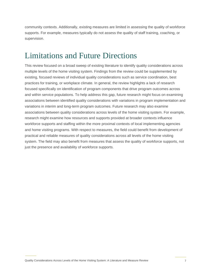community contexts. Additionally, existing measures are limited in assessing the quality of workforce supports. For example, measures typically do not assess the quality of staff training, coaching, or supervision.

## <span id="page-8-0"></span>Limitations and Future Directions

This review focused on a broad sweep of existing literature to identify quality considerations across multiple levels of the home visiting system. Findings from the review could be supplemented by existing, focused reviews of individual quality considerations such as service coordination, best practices for training, or workplace climate. In general, the review highlights a lack of research focused specifically on identification of program components that drive program outcomes across and within service populations. To help address this gap, future research might focus on examining associations between identified quality considerations with variations in program implementation and variations in interim and long-term program outcomes. Future research may also examine associations between quality considerations across levels of the home visiting system. For example, research might examine how resources and supports provided at broader contexts influence workforce supports and staffing within the more proximal contexts of local implementing agencies and home visiting programs. With respect to measures, the field could benefit from development of practical and reliable measures of quality considerations across all levels of the home visiting system. The field may also benefit from measures that assess the quality of workforce supports, not just the presence and availability of workforce supports.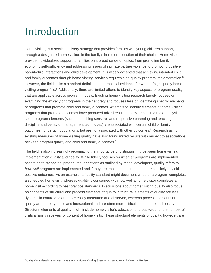# <span id="page-9-0"></span>Introduction

Home visiting is a service delivery strategy that provides families with young children support, through a designated home visitor, in the family's home or a location of their choice. Home visitors provide individualized support to families on a broad range of topics, from promoting family economic self-sufficiency and addressing issues of intimate partner violence to promoting positive parent-child interactions and child development. It is widely accepted that achieving intended child and family outcomes through home visiting services requires high-quality program implementation.<sup>6</sup> However, the field lacks a standard definition and empirical evidence for what a "high-quality home visiting program" is.<sup>8</sup> Additionally, there are limited efforts to identify key aspects of program quality that are applicable across program models. Existing home visiting research largely focuses on examining the efficacy of programs in their entirety and focuses less on identifying specific elements of programs that promote child and family outcomes. Attempts to identify elements of home visiting programs that promote outcomes have produced mixed results. For example, in a meta-analysis, some program elements (such as teaching sensitive and responsive parenting and teaching discipline and behavior management techniques) are associated with certain child or family outcomes, for certain populations, but are not associated with other outcomes.<sup>3</sup> Research using existing measures of home visiting quality have also found mixed results with respect to associations between program quality and child and family outcomes.<sup>9</sup>

The field is also increasingly recognizing the importance of distinguishing between home visiting implementation quality and fidelity. While fidelity focuses on *whether* programs are implemented according to standards, procedures, or actions as outlined by model developers, quality refers to *how well* programs are implemented and if they are implemented in a manner most likely to yield positive outcomes. As an example, a fidelity standard might document whether a program completes a scheduled home visit, whereas quality is concerned with how well a home visitor completes a home visit according to best practice standards. Discussions about home visiting quality also focus on concepts of structural and process elements of quality. Structural elements of quality are less dynamic in nature and are more easily measured and observed, whereas process elements of quality are more dynamic and interactional and are often more difficult to measure and observe. Structural elements of quality might include home visitor's education and background, the number of visits a family receives, or content of home visits. These structural elements of quality, however, are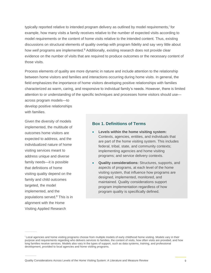typically reported relative to intended program delivery as outlined by model requirements,<sup>i</sup> for example, how many visits a family receives relative to the number of expected visits according to model requirements or the content of home visits relative to the intended content. Thus, existing discussions on structural elements of quality overlap with program fidelity and say very little about how *well* programs are implemented.<sup>8</sup> Additionally, existing research does not provide clear evidence on the number of visits that are required to produce outcomes or the necessary content of those visits.

Process elements of quality are more dynamic in nature and include attention to the relationship between home visitors and families and interactions occurring during home visits. In general, the field emphasizes the importance of home visitors developing positive relationships with families characterized as warm, caring, and responsive to individual family's needs. However, there is limited attention to or understanding of the specific techniques and processes home visitors should use—

across program models—to develop positive relationships with families.

Given the diversity of models implemented, the multitude of outcomes home visitors are expected to address, and the individualized nature of home visiting services meant to address unique and diverse family needs—it is possible that definitions of home visiting quality depend on the family and child outcomes targeted, the model implemented, and the populations served.<sup>8</sup> This is in alignment with the Home Visiting Applied Research

### **Box 1. Definitions of Terms**

- **Levels within the home visiting system:** Contexts, agencies, entities, and individuals that are part of the home visiting system. This includes federal, tribal, state, and community contexts; implementing agencies and home visiting programs; and service delivery contexts.
- **Quality considerations:** Structures, supports, and aspects of programs, at each level of the home visiting system, that influence how programs are designed, implemented, monitored, and maintained. Quality considerations support program implementation regardless of how program quality is specifically defined.

<sup>i</sup> Local agencies and home visiting programs choose from multiple models of early childhood home visiting. Models vary in their purpose and requirements regarding who delivers services to families, the content of visits, how often visits are provided, and how long families receive services. Models also vary in the types of support, such as data systems, training, and professional development, provided to local agencies and home visiting programs.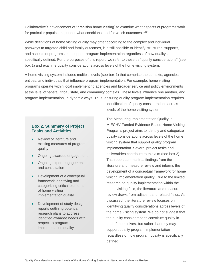Collaborative's advancement of "precision home visiting" to examine what aspects of programs work for particular populations, under what conditions, and for which outcomes.<sup>8,10</sup>

While definitions of home visiting quality may differ according to the complex and individual pathways to targeted child and family outcomes, it is still possible to identify structures, supports, and aspects of programs that support program implementation regardless of how quality is specifically defined. For the purposes of this report, we refer to these as "quality considerations" (see box 1) and examine quality considerations across levels of the home visiting system.

A home visiting system includes multiple levels (see box 1) that comprise the contexts, agencies, entities, and individuals that influence program implementation. For example, home visiting programs operate within local implementing agencies and broader service and policy environments at the level of federal, tribal, state, and community contexts. These levels influence one another, and program implementation, in dynamic ways. Thus, ensuring quality program implementation requires

### **Box 2. Summary of Project Tasks and Activities**

- Review of literature and existing measures of program quality
- Ongoing awardee engagement
- Ongoing expert engagement and consultation
- Development of a conceptual framework identifying and categorizing critical elements of home visiting implementation quality
- Development of study design reports outlining potential research plans to address identified awardee needs with respect to program implementation quality

identification of quality considerations across levels of the home visiting system.

The Measuring Implementation Quality in MIECHV-Funded Evidence-Based Home Visiting Programs project aims to identify and categorize quality considerations across levels of the home visiting system that support quality program implementation. Several project tasks and deliverables contribute to this aim (see box 2). This report summarizes findings from the literature and measure review and informs the development of a conceptual framework for home visiting implementation quality. Due to the limited research on quality implementation within the home visiting field, the literature and measure review draws from adjacent and related fields. As discussed, the literature review focuses on identifying quality considerations across levels of the home visiting system. We do not suggest that the quality considerations constitute quality in and of themselves, but rather that they may support quality program implementation regardless of how program quality is specifically defined.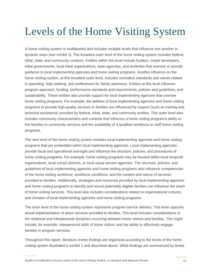# <span id="page-12-0"></span>Levels of the Home Visiting System

A home visiting system is multifaceted and includes multiple levels that influence one another in dynamic ways (see exhibit 1). The broadest outer level of the home visiting system includes federal, tribal, state, and community contexts. Entities within this level include funders, model developers, tribal governments, local tribal organizations, state agencies, and territories that oversee or provide guidance to local implementing agencies and home visiting programs. Another influence on the home visiting system, at this broadest outer level, includes normative standards and values related to parenting, help seeking, and preferences for family autonomy. Entities at this level influence program approach, funding, performance standards and requirements, policies and guidelines, and sustainability. These entities also provide support for local implementing agencies that oversee home visiting programs. For example, the abilities of local implementing agencies and home visiting programs to provide high-quality services to families are influenced by support (such as training and technical assistance) provided by federal, tribal, state, and community entities. This outer level also includes community characteristics and contexts that influence a home visiting program's ability to link families to community services and the availability of a qualified workforce to staff home visiting programs.

The next level of the home visiting system includes local implementing agencies and home visiting programs that are embedded within local implementing agencies. Local implementing agencies provide fiscal and operational oversight and influence the structure, policies, and procedures of home visiting programs. For example, home visiting programs may be housed within local nonprofit organizations, local school districts, or local social service agencies. The structure, policies, and guidelines of local implementing agencies and home visiting programs also influence competencies of the home visiting workforce, workforce conditions, and the content and nature of services provided to families. Additionally, strategies and resources provided by local implementing agencies and home visiting programs to identify and recruit potentially eligible families can influence the reach of home visiting services. This level also includes considerations related to organizational cultures and climates of local implementing agencies and home visiting programs.

The inner level of the home visiting system represents program service delivery. This level captures actual implementation of direct services provided to families. This level includes considerations of the relational and interpersonal dynamics occurring between home visitors and families. This might include, for example, interpersonal skills of home visitors and the ability to effectively engage families in program services.

Throughout this report, literature review findings are organized according to the levels of the home visiting system illustrated in exhibit 1 and described above. While findings are summarized by levels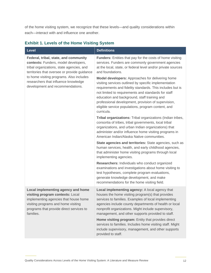of the home visiting system, we recognize that these levels—and quality considerations within each—interact with and influence one another.

| <b>Level</b>                                                                                                                                                                                                                                                                                       | <b>Definitions</b>                                                                                                                                                                                                                                                                                                                                                                                       |
|----------------------------------------------------------------------------------------------------------------------------------------------------------------------------------------------------------------------------------------------------------------------------------------------------|----------------------------------------------------------------------------------------------------------------------------------------------------------------------------------------------------------------------------------------------------------------------------------------------------------------------------------------------------------------------------------------------------------|
| Federal, tribal, state, and community<br>contexts: Funders, model developers,<br>tribal organizations, state agencies, and<br>territories that oversee or provide guidance<br>to home visiting programs. Also includes<br>researchers that influence knowledge<br>development and recommendations. | <b>Funders:</b> Entities that pay for the costs of home visiting<br>services. Funders are commonly government agencies<br>at the local, state, or federal level and/or private sources<br>and foundations.                                                                                                                                                                                               |
|                                                                                                                                                                                                                                                                                                    | Model developers: Approaches for delivering home<br>visiting services outlined by specific implementation<br>requirements and fidelity standards. This includes but is<br>not limited to requirements and standards for staff<br>education and background, staff training and<br>professional development, provision of supervision,<br>eligible service populations, program content, and<br>curricula. |
|                                                                                                                                                                                                                                                                                                    | Tribal organizations: Tribal organizations (Indian tribes,<br>consortia of tribes, tribal governments, local tribal<br>organizations, and urban Indian organizations) that<br>administer and/or influence home visiting programs in<br>American Indian/Alaska Native communities.                                                                                                                        |
|                                                                                                                                                                                                                                                                                                    | State agencies and territories: State agencies, such as<br>human services, health, and early childhood agencies,<br>that administer home visiting programs through local<br>implementing agencies.                                                                                                                                                                                                       |
|                                                                                                                                                                                                                                                                                                    | Researchers: Individuals who conduct organized<br>examinations and investigations about home visiting to<br>test hypotheses, complete program evaluations,<br>generate knowledge development, and make<br>recommendations for the home visiting field.                                                                                                                                                   |
| Local implementing agency and home<br>visiting program contexts: Local<br>implementing agencies that house home<br>visiting programs and home visiting<br>programs that provide direct services to<br>families.                                                                                    | Local implementing agency: A local agency that<br>houses the home visiting program(s) that provides<br>services to families. Examples of local implementing<br>agencies include county departments of health or local<br>nonprofit organizations. Might include supervisory,<br>management, and other supports provided to staff.                                                                        |
|                                                                                                                                                                                                                                                                                                    | Home visiting program: Entity that provides direct<br>services to families. Includes home visiting staff. Might<br>include supervisory, management, and other supports<br>provided to staff.                                                                                                                                                                                                             |

### <span id="page-13-0"></span>**Exhibit 1. Levels of the Home Visiting System**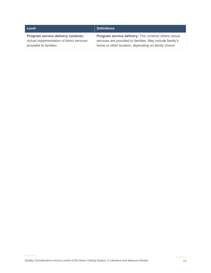| Level                                    | <b>Definitions</b>                                      |
|------------------------------------------|---------------------------------------------------------|
| Program service delivery contexts:       | Program service delivery: The contexts where actual     |
| Actual implementation of direct services | services are provided to families. May include family's |
| provided to families.                    | home or other location, depending on family choice.     |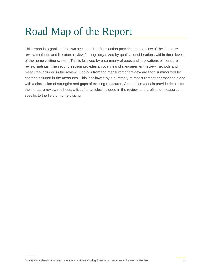# <span id="page-15-0"></span>Road Map of the Report

This report is organized into two sections. The first section provides an overview of the literature review methods and literature review findings organized by quality considerations within three levels of the home visiting system. This is followed by a summary of gaps and implications of literature review findings. The second section provides an overview of measurement review methods and measures included in the review. Findings from the measurement review are then summarized by content included in the measures. This is followed by a summary of measurement approaches along with a discussion of strengths and gaps of existing measures. Appendix materials provide details for the literature review methods, a list of all articles included in the review, and profiles of measures specific to the field of home visiting.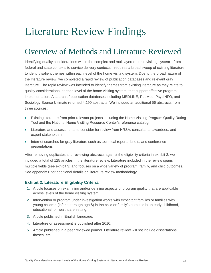# <span id="page-16-0"></span>Literature Review Findings

## <span id="page-16-1"></span>Overview of Methods and Literature Reviewed

Identifying quality considerations within the complex and multilayered home visiting system—from federal and state contexts to service delivery contexts—requires a broad sweep of existing literature to identify salient themes within each level of the home visiting system. Due to the broad nature of the literature review, we completed a rapid review of publication databases and relevant gray literature. The rapid review was intended to identify themes from existing literature as they relate to quality considerations, at each level of the home visiting system, that support effective program implementation. A search of publication databases including MEDLINE, PubMed, PsycINFO, and Sociology Source Ultimate returned 4,190 abstracts. We included an additional 56 abstracts from three sources:

- Existing literature from prior relevant projects including the Home Visiting Program Quality Rating Tool and the National Home Visiting Resource Center's reference catalog
- Literature and assessments to consider for review from HRSA, consultants, awardees, and expert stakeholders
- Internet searches for gray literature such as technical reports, briefs, and conference presentations

After removing duplicates and reviewing abstracts against the eligibility criteria in exhibit 2, we included a total of 125 articles in the literature review. Literature included in the review spans multiple fields (see exhibit 3) and focuses on a wide variety of program, family, and child outcomes. See appendix B for additional details on literature review methodology.

### <span id="page-16-2"></span>**Exhibit 2. Literature Eligibility Criteria**

- 1. Article focuses on examining and/or defining aspects of program quality that are applicable across levels of the home visiting system.
- 2. Intervention or program under investigation works with expectant families or families with young children (infants through age 8) in the child or family's home or in an early childhood, educational, or healthcare setting.
- 3. Article published in English language.
- 4. Literature or assessment is published after 2010.
- 5. Article published in a peer reviewed journal. Literature review will not include dissertations, theses, etc.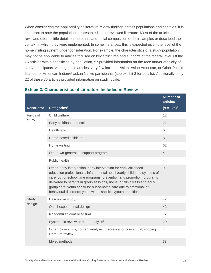When considering the applicability of literature review findings across populations and contexts, it is important to note the populations represented in the reviewed literature. Most of the articles reviewed offered little detail on the ethnic and racial composition of their samples or described the context in which they were implemented. In some instances, this is expected given the level of the home visiting system under consideration. For example, the characteristics of a study population may not be applicable to articles focused on key structures and supports at the federal level. Of the 75 articles with a specific study population, 57 provided information on the race and/or ethnicity of study participants. Among these articles, very few included Asian, Asian American, or Other Pacific Islander or American Indian/Alaskan Native participants (see exhibit 3 for details). Additionally, only 22 of these 75 articles provided information on study locale.

| <b>Descriptor</b>  | <b>Categories<sup>a</sup></b>                                                                                                                                                                                                                                                                                                                                                                                                              | <b>Number of</b><br><b>articles</b><br>$(n = 125)^{b}$ |
|--------------------|--------------------------------------------------------------------------------------------------------------------------------------------------------------------------------------------------------------------------------------------------------------------------------------------------------------------------------------------------------------------------------------------------------------------------------------------|--------------------------------------------------------|
| Fields of<br>study | Child welfare                                                                                                                                                                                                                                                                                                                                                                                                                              | 12                                                     |
|                    | Early childhood education                                                                                                                                                                                                                                                                                                                                                                                                                  | 21                                                     |
|                    | Healthcare                                                                                                                                                                                                                                                                                                                                                                                                                                 | 6                                                      |
|                    | Home-based childcare                                                                                                                                                                                                                                                                                                                                                                                                                       | 8                                                      |
|                    | Home visiting                                                                                                                                                                                                                                                                                                                                                                                                                              | 62                                                     |
|                    | Other two-generation support program                                                                                                                                                                                                                                                                                                                                                                                                       | $\overline{4}$                                         |
|                    | Public health                                                                                                                                                                                                                                                                                                                                                                                                                              | $\overline{4}$                                         |
|                    | Other: early intervention, early intervention for early childhood<br>education professionals; infant mental health/early childhood systems of<br>care; out-of-school time programs; prevention and promotion; programs<br>delivered to parents in group sessions, home, or clinic visits and early<br>group care; youth at risk for out-of-home care due to emotional or<br>behavioral disorders; youth with disabilities/youth transition | 9                                                      |
| Study<br>design    | Descriptive study                                                                                                                                                                                                                                                                                                                                                                                                                          | 42                                                     |
|                    | Quasi-experimental design                                                                                                                                                                                                                                                                                                                                                                                                                  | 42                                                     |
|                    | Randomized controlled trial                                                                                                                                                                                                                                                                                                                                                                                                                | 12                                                     |
|                    | Systematic review or meta-analysisc                                                                                                                                                                                                                                                                                                                                                                                                        | 20                                                     |
|                    | Other: case study, content analysis, theoretical or conceptual, scoping<br>literature review                                                                                                                                                                                                                                                                                                                                               | $\overline{7}$                                         |
|                    | Mixed methods                                                                                                                                                                                                                                                                                                                                                                                                                              | 38                                                     |

### <span id="page-17-0"></span>**Exhibit 3. Characteristics of Literature Included in Review**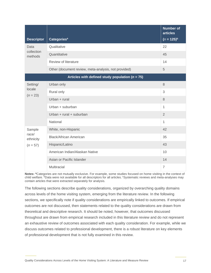| <b>Descriptor</b>                                   | <b>Categories<sup>a</sup></b>                        | <b>Number of</b><br>articles<br>$(n = 125)^{b}$ |
|-----------------------------------------------------|------------------------------------------------------|-------------------------------------------------|
| Data<br>collection<br>methods                       | Qualitative                                          | 22                                              |
|                                                     | Quantitative                                         | 45                                              |
|                                                     | Review of literature                                 | 14                                              |
|                                                     | Other (document review, meta-analysis, not provided) | 5                                               |
| Articles with defined study population ( $n = 75$ ) |                                                      |                                                 |
| Setting/<br>locale<br>$(n = 23)$                    | Urban only                                           | 8                                               |
|                                                     | Rural only                                           | 3                                               |
|                                                     | Urban + rural                                        | 8                                               |
|                                                     | Urban + suburban                                     | 1                                               |
|                                                     | Urban + rural + suburban                             | $\overline{2}$                                  |
|                                                     | National                                             | 1                                               |
| Sample<br>race/<br>ethnicity<br>$(n = 57)$          | White, non-Hispanic                                  | 42                                              |
|                                                     | <b>Black/African American</b>                        | 35                                              |
|                                                     | Hispanic/Latino                                      | 43                                              |
|                                                     | American Indian/Alaskan Native                       | 10                                              |
|                                                     | Asian or Pacific Islander                            | 14                                              |
|                                                     | <b>Multiracial</b>                                   | $\overline{7}$                                  |

**Notes: <sup>a</sup>**Categories are not mutually exclusive. For example, some studies focused on home visiting in the context of child welfare. <sup>b</sup>Data were not available for all descriptors for all articles. <sup>c</sup>Systematic reviews and meta-analyses may contain articles that were extracted separately for analysis.

The following sections describe quality considerations, organized by overarching quality domains across levels of the home visiting system, emerging from the literature review. In the following sections, we specifically note if quality considerations are empirically linked to outcomes. If empirical outcomes are not discussed, then statements related to the quality considerations are drawn from theoretical and descriptive research. It should be noted, however, that outcomes discussed throughout are drawn from empirical research included in this literature review and do not represent an exhaustive review of outcomes associated with each quality consideration. For example, while we discuss outcomes related to professional development, there is a robust literature on key elements of professional development that is not fully examined in this review.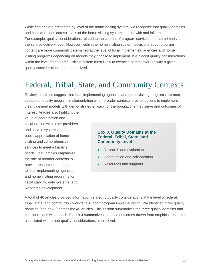While findings are presented by level of the home visiting system, we recognize that quality domains and considerations across levels of the home visiting system interact with and influence one another. For example, quality considerations related to the content of program services operate primarily at the service delivery level. However, within the home visiting system, decisions about program content are more commonly determined at the level of local implementing agencies and home visiting programs depending on models they choose to implement. We placed quality considerations within the level of the home visiting system most likely to exercise control over the way a given quality consideration is operationalized.

## Federal, Tribal, State, and Community Contexts

Reviewed articles suggest that local implementing agencies and home visiting programs are more capable of quality program implementation when broader contexts provide options to implement clearly defined models with demonstrated efficacy for the populations they serve and outcomes of interest. Articles also highlight the

value of coordination and collaboration with other providers and service systems to support public appreciation of home visiting and comprehensive services to meet a family's needs. Last, articles emphasize the role of broader contexts to provide resources and supports to local implementing agencies and home visiting programs for fiscal stability, data systems, and workforce development.

### **Box 3. Quality Domains at the Federal, Tribal, State, and Community Level**

- Research and evaluation
- Coordination and collaboration
- Resources and supports

A total of 46 articles provided information related to quality considerations at the level of federal, tribal, state, and community contexts to support program implementation. We identified three quality domains (see box 3) across the 46 articles. This section summarizes the three quality domains and considerations within each. Exhibit 4 summarizes example outcomes drawn from empirical research associated with select quality considerations at this level.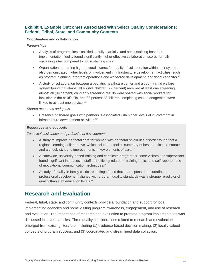### <span id="page-20-0"></span>**Exhibit 4. Example Outcomes Associated With Select Quality Considerations: Federal, Tribal, State, and Community Contexts**

#### **Coordination and collaboration**

*Partnerships*

- Analysis of program sites classified as fully, partially, and nonsustaining based on implementation fidelity found significantly higher effective collaboration scores for fully sustaining sites compared to nonsustaining sites.<sup>11</sup>
- Organizations reporting higher overall scores for quality of collaboration within their system also demonstrated higher levels of involvement in infrastructure development activities (such as program planning, program operations and workforce development, and fiscal capacity).<sup>12</sup>
- A study of collaboration between a pediatric healthcare center and a county child welfare system found that almost all eligible children (99 percent) received at least one screening, almost all (99 percent) children's screening results were shared with social workers for inclusion in the child's file, and 88 percent of children completing case management were linked to at least one service.<sup>13</sup>

*Shared resources and goals*

• Presence of shared goals with partners is associated with higher levels of involvement in infrastructure development activities. 12

#### **Resources and supports**

*Technical assistance and professional development*

- A study to improve perinatal care for women with perinatal opioid use disorder found that a regional learning collaborative, which included a toolkit, summary of best practices, resources, and a checklist, led to improvements in key elements of care.<sup>14</sup>
- A statewide, university-based training and certificate program for home visitors and supervisors found significant increases in staff self-efficacy related to training topics and self-reported use of motivational communication techniques.<sup>15</sup>
- A study of quality in family childcare settings found that state-sponsored, coordinated professional development aligned with program quality standards was a stronger predictor of quality than staff education levels.<sup>16</sup>

### **Research and Evaluation**

Federal, tribal, state, and community contexts provide a foundation and support for local implementing agencies and home visiting program awareness, engagement, and use of research and evaluation. The importance of research and evaluation to promote program implementation was discussed in several articles. Three quality considerations related to research and evaluation emerged from existing literature, including (1) evidence-based decision making, (2) locally valued concepts of program success, and (3) coordinated and streamlined data collection.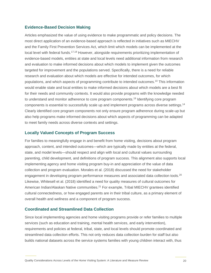### **Evidence-Based Decision Making**

Articles emphasized the value of using evidence to make programmatic and policy decisions. The most direct application of an evidence-based approach is reflected in initiatives such as MIECHV and the Family First Prevention Services Act, which limit which models can be implemented at the local level with federal funds.<sup>17,18</sup> However, alongside requirements prioritizing implementation of evidence-based models, entities at state and local levels need additional information from research and evaluation to make informed decisions about which models to implement given the outcomes targeted for improvement and the populations served. Specifically, there is a need for reliable research and evaluation about which models are effective for intended outcomes, for which populations, and which aspects of programming contribute to intended outcomes. <sup>10</sup> This information would enable state and local entities to make informed decisions about which models are a best fit for their needs and community contexts. It would also provide programs with the knowledge needed to understand and monitor adherence to core program components.<sup>19</sup> Identifying core program components is essential to successfully scale up and implement programs across diverse settings.<sup>14</sup> Clearly identified core program components not only ensure program adherence during scale-up but also help programs make informed decisions about which aspects of programming can be adapted to meet family needs across diverse contexts and settings.

### **Locally Valued Concepts of Program Success**

For families to meaningfully engage in and benefit from home visiting, decisions about program approach, content, and intended outcomes—which are typically made by entities at the federal, state, and model levels—should respect and align with local and cultural values surrounding parenting, child development, and definitions of program success. This alignment also supports local implementing agency and home visiting program buy-in and appreciation of the value of data collection and program evaluation. Morales et al. (2018) discussed the need for stakeholder engagement in developing program performance measures and associated data collection tools.<sup>20</sup> Likewise, Whitesell et al. (2018) identified a need for quality measures of cultural outcomes for American Indian/Alaskan Native communities.<sup>21</sup> For example, Tribal MIECHV grantees identified cultural connectedness, or how engaged parents are in their tribal culture, as a primary element of overall health and wellness and a component of program success.

### **Coordinated and Streamlined Data Collection**

Since local implementing agencies and home visiting programs provide or refer families to multiple services (such as education and training, mental health services, and early intervention), requirements and policies at federal, tribal, state, and local levels should promote coordinated and streamlined data collection efforts. This not only reduces data collection burden for staff but also builds national datasets across the service systems families with young children interact with, thus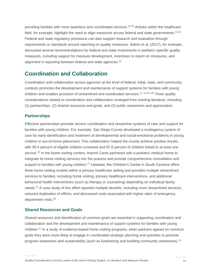providing families with more seamless and coordinated services.<sup>22,23</sup> Articles within the healthcare field, for example, highlight the need to align measures across federal and state governments. $22,23$ Federal and state regulatory provisions can also support research and evaluation through requirements or standards around reporting on quality measures. Adirim et al. (2017), for example, discussed several recommendations for federal and state investments in pediatric-specific quality measures, including support for measure development, incentives to report on measures, and alignment in reporting between federal and state agencies.<sup>22</sup>

### **Coordination and Collaboration**

Coordination and collaboration across agencies at the level of federal, tribal, state, and community contexts promotes the development and maintenance of support systems for families with young children and enables provision of streamlined and coordinated services.<sup>11-13,24-26</sup> Three quality considerations related to coordination and collaboration emerged from existing literature, including (1) partnerships, (2) shared resources and goals, and (3) public awareness and appreciation.

### **Partnerships**

Effective partnerships promote service coordination and streamline systems of care and support for families with young children. For example, San Diego County developed a multiagency system of care for early identification and treatment of developmental and social-emotional problems in young children in out-of-home placement. This collaboration helped the county achieve positive results, with 99.4 percent of eligible children screened and 87.8 percent of children linked to at least one service.<sup>13</sup> In the home visiting context, Imprint Cares partnered with a pediatric medical home to integrate its home visiting services into the practice and provide comprehensive consultation and support to families with young children.<sup>27</sup> Likewise, the Children's Center in South Carolina offers three home visiting models within a primary healthcare setting and provides multiple streamlined services to families, including home visiting, primary healthcare interventions, and additional behavioral health interventions (such as therapy or counseling) depending on individual family needs.<sup>27</sup> A case study of this effort reported multiple benefits, including more streamlined services, reduced duplication of efforts, and decreased costs associated with higher rates of emergency department visits.<sup>28</sup>

### **Shared Resources and Goals**

Shared resources and identification of common goals are essential in supporting coordination and collaboration and the development and maintenance of support systems for families with young children.<sup>11</sup> In a study of evidence-based home visiting programs, when partners agreed on common goals they were more likely to engage in coordinated strategic planning and activities to promote program awareness and sustainability (such as fundraising and building community awareness).<sup>12</sup>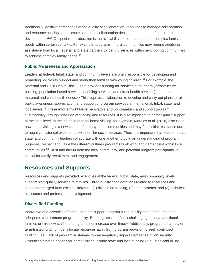Additionally, positive perceptions of the quality of collaboration, resources to manage collaboration, and resource sharing can promote sustained collaboration designed to support infrastructure development.<sup>11,29</sup> Of special consideration is the availability of resources to meet complex family needs within certain contexts. For example, programs in rural communities may require additional assistance from local, federal, and state partners to identify services within neighboring communities to address complex family needs.<sup>30</sup>

### **Public Awareness and Appreciation**

Leaders at federal, tribal, state, and community levels are often responsible for developing and promoting policies to support and strengthen families with young children.<sup>31</sup> For example, the Maternal and Child Health Block Grant provides funding for services at four tiers (infrastructure building, population-based services, enabling services, and direct health services) to address maternal and child health needs.<sup>31</sup> This requires collaboration to develop and carry out plans to raise public awareness, appreciation, and support of program services at the national, tribal, state, and local levels.<sup>12</sup> These efforts might target legislators and policymakers and support program sustainability through provision of funding and resources. It is also important to garner public support at the local level. In the instance of tribal home visiting, for example, Morales et al. (2018) discussed how home visiting is a new concept for many tribal communities and may face initial resistance due to negative historical experiences with similar social services. Thus, it is important that federal, tribal, state, and community leaders collaborate with one another to build an understanding of program purposes, respect and value the different cultures programs work with, and garner trust within local communities.<sup>20</sup> Trust and buy-in from the local community, and potential program participants, is critical for family recruitment and engagement.

### **Resources and Supports**

Resources and supports provided by entities at the federal, tribal, state, and community levels support high-quality services to families. Three quality considerations related to resources and supports emerged from existing literature: (1) diversified funding, (2) data systems, and (3) technical assistance and professional development.

### **Diversified Funding**

Innovative and diversified funding streams support program sustainability and, if resources are adequate, can promote program quality. But programs can find it challenging to serve additional families or hire new staff if funding does not increase over time.<sup>32</sup> Additionally, programs that rely on term-limited funding must allocate resources away from program provision to seek continued funding. Last, lack of program sustainability can negatively impact staff sense of job security. Diversified funding options for home visiting include state and local funding (e.g., Medicaid billing,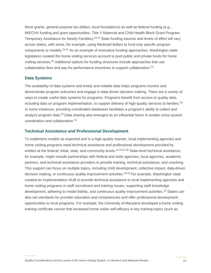block grants, general purpose tax dollars, local foundations) as well as federal funding (e.g., MIECHV funding and grant opportunities, Title V Maternal and Child Health Block Grant Program, Temporary Assistance for Needy Families).<sup>33,34</sup> State funding sources and levels of effort will vary across states, with some, for example, using Medicaid dollars to fund only specific program components or models.33,34 As an example of innovative funding approaches, Washington state legislature created the home visiting services account to pool public and private funds for home visiting services. <sup>35</sup> Additional options for funding structures include approaches that use collaboration fees and pay-for-performance incentives to support collaboration.<sup>33</sup>

### **Data Systems**

The availability of data systems and timely and reliable data helps programs monitor and demonstrate program outcomes and engage in data-driven decision making. There are a variety of ways to create useful data systems for programs. Programs benefit from access to quality data, including data on program implementation, to support delivery of high-quality services to families.<sup>36</sup> In some instances, providing coordinated databases facilitates a program's ability to collect and analyze program data.<sup>20</sup> Data sharing also emerged as an influential factor to enable cross-system coordination and collaboration. 13

### **Technical Assistance and Professional Development**

To implement models as expected and in a high-quality manner, local implementing agencies and home visiting programs need technical assistance and professional development provided by entities at the federal, tribal, state, and community levels.<sup>14,19,37,38</sup> State-level technical assistance, for example, might include partnerships with federal and state agencies, local agencies, academic partners, and technical assistance providers to provide training, technical assistance, and coaching. This support can focus on multiple topics, including child development, collective impact, data-driven decision making, or continuous quality improvement activities.<sup>39,40</sup> For example, Washington state created an Implementation HUB to provide technical assistance to local implementing agencies and home visiting programs in staff recruitment and training issues, supporting staff knowledge development, adhering to model fidelity, and continuous quality improvement activities.<sup>35</sup> States can also set standards for provider education and competencies and offer professional development opportunities to local programs. For example, the University of Maryland developed a home visiting training certificate course that increased home visitor self-efficacy in key training topics (such as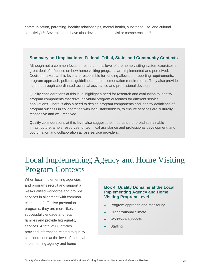communication, parenting, healthy relationships, mental health, substance use, and cultural sensitivity).<sup>15</sup> Several states have also developed home visitor competencies.<sup>41</sup>

### **Summary and Implications: Federal, Tribal, State, and Community Contexts**

Although not a common focus of research, this level of the home visiting system exercises a great deal of influence on how home visiting programs are implemented and perceived. Decisionmakers at this level are responsible for funding allocation, reporting requirements, program approach, policies, guidelines, and implementation requirements. They also provide support through coordinated technical assistance and professional development.

Quality considerations at this level highlight a need for research and evaluation to identify program components that drive individual program outcomes for different service populations. There is also a need to design program components and identify definitions of program success in collaboration with local stakeholders, to ensure services are culturally responsive and well-received.

Quality considerations at this level also suggest the importance of broad sustainable infrastructure; ample resources for technical assistance and professional development; and coordination and collaboration across service providers.

## <span id="page-25-0"></span>Local Implementing Agency and Home Visiting Program Contexts

When local implementing agencies and programs recruit and support a well-qualified workforce and provide services in alignment with common elements of effective prevention programs, they are more likely to successfully engage and retain families and provide high-quality services. A total of 86 articles provided information related to quality considerations at the level of the local implementing agency and home

### **Box 4. Quality Domains at the Local Implementing Agency and Home Visiting Program Level**

- Program approach and monitoring
- Organizational climate
- Workforce supports
- **Staffing**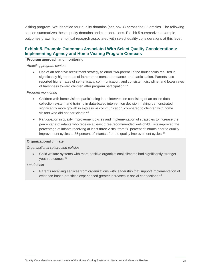visiting program. We identified four quality domains (see box 4) across the 86 articles. The following section summarizes these quality domains and considerations. Exhibit 5 summarizes example outcomes drawn from empirical research associated with select quality considerations at this level.

### <span id="page-26-0"></span>**Exhibit 5. Example Outcomes Associated With Select Quality Considerations: Implementing Agency and Home Visiting Program Contexts**

#### **Program approach and monitoring**

*Adapting program content*

• Use of an adaptive recruitment strategy to enroll two-parent Latino households resulted in significantly higher rates of father enrollment, attendance, and participation. Parents also reported higher rates of self-efficacy, communication, and consistent discipline, and lower rates of harshness toward children after program participation.<sup>42</sup>

### *Program monitoring*

- Children with home visitors participating in an intervention consisting of an online data collection system and training in data-based intervention decision making demonstrated significantly more growth in expressive communication, compared to children with home visitors who did not participate.<sup>43</sup>
- Participation in quality improvement cycles and implementation of strategies to increase the percentage of infants who receive at least three recommended well-child visits improved the percentage of infants receiving at least three visits, from 58 percent of infants prior to quality improvement cycles to 85 percent of infants after the quality improvement cycles.<sup>44</sup>

### **Organizational climate**

*Organizational culture and policies*

• Child welfare systems with more positive organizational climates had significantly stronger youth outcomes.<sup>45</sup>

### *Leadership*

• Parents receiving services from organizations with leadership that support implementation of evidence-based practices experienced greater increases in social connections.<sup>46</sup>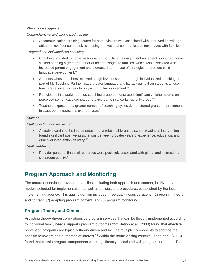### **Workforce supports**

*Comprehensive and specialized training*

• A communications training course for home visitors was associated with improved knowledge, attitudes, confidence, and skills in using motivational communication techniques with families.<sup>47</sup>

#### *Targeted and individualized coaching*

- Coaching provided to home visitors as part of a text messaging enhancement supported home visitors sending a greater number of text messages to families, which was associated with increased parent engagement and increased parent use of strategies to promote child language development.<sup>48</sup>
- Students whose teachers received a high level of support through individualized coaching as part of My Teaching Partner made greater language and literacy gains than students whose teachers received access to only a curricular supplement.<sup>49</sup>
- Participants in a workshop-plus-coaching group demonstrated significantly higher scores on perceived self-efficacy compared to participants in a workshop-only group.<sup>50</sup>
- Teachers exposed to a greater number of coaching cycles demonstrated greater improvement in classroom interactions over the year.<sup>51</sup>

### **Staffing**

*Staff selection and recruitment*

• A study examining the implementation of a relationship-based school readiness intervention found significant positive associations between provider years of experience, education, and quality of intervention delivery.<sup>52</sup>

### *Staff well-being*

• Provider personal financial resources were positively associated with global and instructional classroom quality.<sup>53</sup>

### **Program Approach and Monitoring**

The nature of services provided to families, including both approach and content, is driven by models selected for implementation as well as policies and procedures established by the local implementing agency. This quality domain includes three quality considerations: (1) program theory and content, (2) adapting program content, and (3) program monitoring.

### **Program Theory and Content**

Providing theory-driven comprehensive program services that can be flexibly implemented according to individual family needs supports program outcomes.<sup>54,55</sup> Nation et al. (2003) found that effective prevention programs are typically theory driven and include multiple components to address the specific behaviors and outcomes of interest.<sup>55</sup> Within the home visiting context, Filene et al. (2013) found that certain program components were significantly associated with program outcomes. These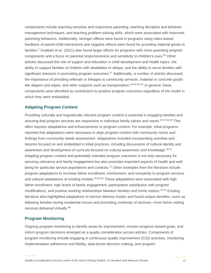components include teaching sensitive and responsive parenting, teaching discipline and behavior management techniques, and teaching problem-solving skills, which were associated with improved parenting behaviors. Additionally, stronger effects were found in programs using video-based feedback of parent-child interactions and negative effects were found for providing material goods to families.<sup>3</sup> Gubbels et al. (2021) also found larger effects for programs with more parenting program components and a focus on parental responsiveness and sensitivity to children's cues.<sup>56</sup> Other articles discussed the role of support and education in child development and health topics, the ability to support families of children with disabilities or delays, and the ability to serve families with significant stressors in promoting program outcomes.<sup>57</sup> Additionally, a number of articles discussed the importance of providing referrals or linkages to community services, material or concrete goods like diapers and wipes, and other supports such as transportation.<sup>44,54,58–61</sup> In general, these components were identified as contributors to positive program outcomes regardless of the model in which they were embedded.

### **Adapting Program Content**

Providing culturally and linguistically relevant program content is essential in engaging families and assuring that program services are responsive to individual family values and needs.<sup>19,57,62,63</sup> This often requires adaptations and enhancements to program content. For example, tribal programs reported that adaptations were necessary to align program content with community norms and findings from community needs assessment. Adaptations included incorporating activities and lessons focused on and embedded in tribal practices, including discussions of cultural identity and awareness and development of curricula focused on cultural awareness and knowledge.<sup>20,21</sup> Adapting program content and potentially intended program outcomes is not only necessary for assuring relevance and family engagement but also promotes important aspects of health and wellbeing for particular service populations and contexts.<sup>21</sup> Other examples from the literature include program adaptations to increase father enrollment, involvement, and receptivity to program services and cultural adaptations of existing models.<sup>42,64,65</sup> These adaptations were associated with high father enrollment, high levels of family engagement, participation satisfaction with program modifications, and positive working relationships between families and home visitors. 42,65 Existing literature also highlighted adaptations to service delivery modes and found unique benefits—such as following families during residential moves and promoting continuity of services—from home visiting services delivered virtually.<sup>66</sup>

### **Program Monitoring**

Ongoing program monitoring to identify areas for improvement, monitor progress toward goals, and inform program decisions emerged as a quality consideration across articles. Components of program monitoring include engaging in continuous quality improvement (CQI) activities, monitoring implementation adherence and fidelity, data-driven decision making, and program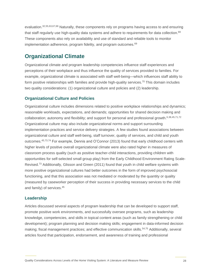evaluation.32,55,63,67,68 Naturally, these components rely on programs having access to and ensuring that staff regularly use high-quality data systems and adhere to requirements for data collection.<sup>69</sup> These components also rely on availability and use of standard and reliable tools to monitor implementation adherence, program fidelity, and program outcomes.<sup>69</sup>

### **Organizational Climate**

Organizational climate and program leadership competencies influence staff experiences and perceptions of their workplace and thus influence the quality of services provided to families. For example, organizational climate is associated with staff well-being—which influences staff ability to form positive relationships with families and provide high-quality services.<sup>70</sup> This domain includes two quality considerations: (1) organizational culture and policies and (2) leadership.

### **Organizational Culture and Policies**

Organizational culture includes dimensions related to positive workplace relationships and dynamics; reasonable workloads, expectations, and demands; opportunities for shared decision making and collaboration; autonomy and flexibility; and support for personal and professional growth.<sup>6,38,45,71,72</sup> Organizational culture may also include organizational norms and support surrounding implementation practices and service delivery strategies. A few studies found associations between organizational culture and staff well-being, staff turnover, quality of services, and child and youth outcomes.45,73,74 For example, Dennis and O'Connor (2013) found that early childhood centers with higher levels of positive overall organizational climate were also rated higher in measures of classroom process quality (such as positive teacher-child interactions, providing children with opportunities for self-selected small group play) from the Early Childhood Environment Rating Scale-Revised.<sup>73</sup> Additionally, Glisson and Green (2011) found that youth in child welfare systems with more positive organizational cultures had better outcomes in the form of improved psychosocial functioning, and that this association was not mediated or moderated by the quantity or quality (measured by caseworker perception of their success in providing necessary services to the child and family) of services. 45

### **Leadership**

Articles discussed several aspects of program leadership that can be developed to support staff, promote positive work environments, and successfully oversee programs, such as leadership knowledge, competencies, and skills in topical content areas (such as family strengthening or child development); program planning and decision making skills; engagement in data-informed decision making; fiscal management practices; and effective communication skills.<sup>54,75</sup> Additionally, several articles found that participation, endorsement, and awareness of training and professional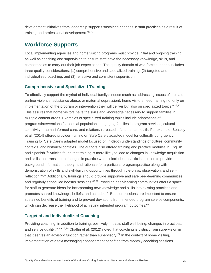development initiatives from leadership supports sustained changes in staff practices as a result of training and professional development.46,76

### **Workforce Supports**

Local implementing agencies and home visiting programs must provide initial and ongoing training as well as coaching and supervision to ensure staff have the necessary knowledge, skills, and competencies to carry out their job expectations. The quality domain of workforce supports includes three quality considerations: (1) comprehensive and specialized training, (2) targeted and individualized coaching, and (3) reflective and consistent supervision.

### **Comprehensive and Specialized Training**

To effectively support the myriad of individual family's needs (such as addressing issues of intimate partner violence, substance abuse, or maternal depression), home visitors need training not only on implementation of the program or intervention they will deliver but also on specialized topics.<sup>6,29,77</sup> This assures that home visitors have the skills and knowledge necessary to support families in multiple content areas. Examples of specialized training topics include adaptations of programs/interventions for special populations, engaging families in program services, cultural sensitivity, trauma-informed care, and relationship-based infant mental health. For example, Beasley et al. (2014) offered provider training on Safe Care's adapted model for culturally congruency. Training for Safe Care's adapted model focused on in-depth understandings of culture, community contexts, and historical contexts. The authors also offered training and practice modules in English and Spanish.<sup>65</sup> Articles found that training is more likely to lead to changes in knowledge acquisition and skills that translate to changes in practice when it includes didactic instruction to provide background information, theory, and rationale for a particular program/practice along with demonstration of skills and skill-building opportunities through role-plays, observation, and selfreflection.<sup>67,78</sup> Additionally, trainings should provide supportive and safe peer-learning communities and regularly scheduled booster sessions.<sup>69,76</sup> Providing peer-learning communities offers a space for staff to generate ideas for incorporating new knowledge and skills into existing practices and promotes shared knowledge, beliefs, and attitudes.<sup>76</sup> Booster sessions are important to ensure sustained benefits of training and to prevent deviations from intended program service components, which can decrease the likelihood of achieving intended program outcomes.<sup>69</sup>

### **Targeted and Individualized Coaching**

Providing coaching, in addition to training, positively impacts staff well-being, changes in practices, and service quality.48,49,79,80 Chaffin et al. (2012) noted that coaching is distinct from supervision in that it serves an advisory function rather than supervisory.<sup>79</sup> In the context of home visiting, implementation of a text messaging enhancement benefited from monthly coaching sessions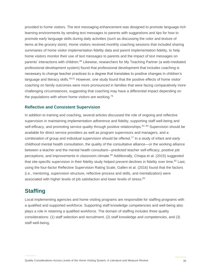provided to home visitors. The text messaging enhancement was designed to promote language-rich learning environments by sending text messages to parents with suggestions and tips for how to promote early language skills during daily activities (such as discussing the color and texture of items at the grocery store). Home visitors received monthly coaching sessions that included sharing summaries of home visitor implementation fidelity data and parent implementation fidelity, to help home visitors monitor their use of text messages to parents and the impact of text messages on parents' interactions with children.<sup>48</sup> Likewise, researchers for My Teaching Partner (a web-mediated professional development system) found that professional development that includes coaching is necessary to change teacher practices to a degree that translates to positive changes in children's language and literacy skills.<sup>49,51</sup> However, one study found that the positive effects of home visitor coaching on family outcomes were more pronounced in families that were facing comparatively more challenging circumstances, suggesting that coaching may have a differential impact depending on the populations with whom home visitors are working.<sup>79</sup>

### **Reflective and Consistent Supervision**

In addition to training and coaching, several articles discussed the role of ongoing and reflective supervision in maintaining implementation adherence and fidelity, supporting staff well-being and self-efficacy, and promoting service quality through positive relationships. $81-83$  Supervision should be available for direct service providers as well as program supervisors and managers, and a combination of group and individual supervision should be offered.<sup>77</sup> In a study of infant and early childhood mental health consultation, the quality of the consultative alliance—or the working alliance between a teacher and the mental health consultant—predicted teacher self-efficacy, positive job perceptions, and improvements in classroom climate.<sup>83</sup> Additionally, Chiapa et al. (2015) suggested that site-specific supervision in their fidelity study helped prevent declines in fidelity over time.<sup>82</sup> Last, using the four-factor Reflective Supervision Rating Scale, Gallen et al. (2016) found that the factors (i.e., mentoring, supervision structure, reflective process and skills, and mentalization) were associated with higher levels of job satisfaction and lower levels of stress.<sup>84</sup>

### **Staffing**

Local implementing agencies and home visiting programs are responsible for staffing programs with a qualified and supported workforce. Supporting staff knowledge competencies and well-being also plays a role in retaining a qualified workforce. The domain of staffing includes three quality considerations: (1) staff selection and recruitment, (2) staff knowledge and competencies, and (3) staff well-being.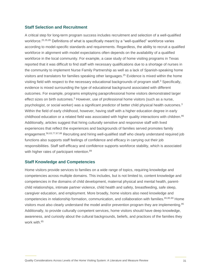### **Staff Selection and Recruitment**

A critical step for long-term program success includes recruitment and selection of a well-qualified workforce.<sup>25,35,85</sup> Definitions of what is specifically meant by a "well-qualified" workforce varies according to model-specific standards and requirements. Regardless, the ability to recruit a qualified workforce in alignment with model expectations often depends on the availability of a qualified workforce in the local community. For example, a case study of home visiting programs in Texas reported that it was difficult to find staff with necessary qualifications due to a shortage of nurses in the community to implement Nurse Family Partnership as well as a lack of Spanish-speaking home visitors and translators for families speaking other languages.<sup>25</sup> Evidence is mixed within the home visiting field with respect to the necessary educational backgrounds of program staff.<sup>3</sup> Specifically, evidence is mixed surrounding the type of educational background associated with different outcomes. For example, programs employing paraprofessional home visitors demonstrated larger effect sizes on birth outcomes.<sup>3</sup> However, use of professional home visitors (such as a nurse, psychologist, or social worker) was a significant predictor of better child physical health outcomes.<sup>3</sup> Within the field of early childhood, however, having staff with a higher education degree in early childhood education or a related field was associated with higher quality interactions with children.<sup>86</sup> Additionally, articles suggest that hiring culturally sensitive and responsive staff with lived experiences that reflect the experiences and backgrounds of families served promotes family engagement.<sup>56,63,77,87,88</sup> Recruiting and hiring well-qualified staff who clearly understand required job functions also supports staff feelings of confidence and efficacy in carrying out their job responsibilities. Staff self-efficacy and confidence supports workforce stability, which is associated with higher rates of participant retention.<sup>89</sup>

### **Staff Knowledge and Competencies**

Home visitors provide services to families on a wide range of topics, requiring knowledge and competencies across multiple domains. This includes, but is not limited to, content knowledge and competencies in the domains of child development, maternal physical and mental health, parentchild relationships, intimate partner violence, child health and safety, breastfeeding, safe sleep, caregiver education, and employment. More broadly, home visitors also need knowledge and competencies in relationship formation, communication, and collaboration with families.<sup>65,85,90</sup> Home visitors must also clearly understand the model and/or prevention program they are implementing.<sup>85</sup> Additionally, to provide culturally competent services, home visitors should have deep knowledge, awareness, and curiosity about the cultural backgrounds, beliefs, and practices of the families they work with.65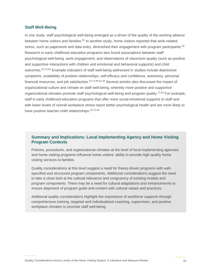### **Staff Well-Being**

In one study, staff psychological well-being emerged as a driver of the quality of the working alliance between home visitors and families.<sup>91</sup> In another study, home visitors reported that work-related stress, such as paperwork and data entry, diminished their engagement with program participants.<sup>92</sup> Research in early childhood education programs also found associations between staff psychological well-being, work engagement, and observations of classroom quality (such as positive and supportive interactions with children and emotional and behavioral supports) and child outcomes.53,70,93 Example indicators of staff well-being addressed in studies include depressive symptoms, availability of positive relationships, self-efficacy and confidence, autonomy, personal financial resources, and job satisfaction.<sup>53,72,80,91,94</sup> Several articles also discussed the impact of organizational culture and climate on staff well-being, whereby more positive and supportive organizational climates promote staff psychological well-being and program quality.<sup>72,94</sup> For example, staff in early childhood education programs that offer more social-emotional supports to staff and with lower levels of overall workplace stress report better psychological health and are more likely to have positive teacher-child relationships. 53,72,94

### **Summary and Implications: Local Implementing Agency and Home Visiting Program Contexts**

Policies, procedures, and organizational climates at the level of local implementing agencies and home visiting programs influence home visitors' ability to provide high-quality home visiting services to families.

Quality considerations at this level suggest a need for theory-driven programs with wellspecified and structured program components. Additional considerations suggest the need to take a close look at the cultural relevance and congruency of existing models and program components. There may be a need for cultural adaptations and enhancements to ensure alignment of program goals and content with cultural values and practices.

Additional quality considerations highlight the importance of workforce supports through comprehensive training, targeted and individualized coaching, supervision, and positive workplace climates to promote staff well-being.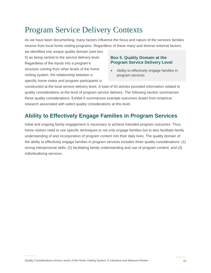## <span id="page-34-0"></span>Program Service Delivery Contexts

As we have been documenting, many factors influence the focus and nature of the services families receive from local home visiting programs. Regardless of these many and diverse external factors,

we identified one unique quality domain (see box 5) as being central to the service delivery level. Regardless of the inputs into a program's structure coming from other levels of the home visiting system, the relationship between a specific home visitor and program participants is

### **Box 5. Quality Domain at the Program Service Delivery Level**

• Ability to effectively engage families in program services

constructed at the local service delivery level. A total of 63 articles provided information related to quality considerations at the level of program service delivery. The following section summarizes these quality considerations. Exhibit 6 summarizes example outcomes drawn from empirical research associated with select quality considerations at this level.

### **Ability to Effectively Engage Families in Program Services**

Initial and ongoing family engagement is necessary to achieve intended program outcomes. Thus, home visitors need to use specific techniques to not only engage families but to also facilitate family understanding of and incorporation of program content into their daily lives. The quality domain of the ability to effectively engage families in program services includes three quality considerations: (1) strong interpersonal skills, (2) facilitating family understanding and use of program content, and (3) individualizing services.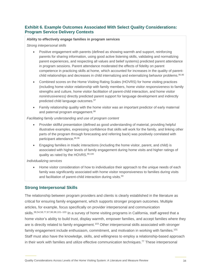### <span id="page-35-0"></span>**Exhibit 6. Example Outcomes Associated With Select Quality Considerations: Program Service Delivery Contexts**

#### **Ability to effectively engage families in program services**

*Strong interpersonal skills*

- Positive engagement with parents (defined as showing warmth and support, reinforcing parents for sharing information, using good active listening skills, validating and normalizing parent experiences, and respecting all values and belief systems) predicted parent attendance in program sessions. Parent attendance moderated the effects of fidelity on parent competence in practicing skills at home, which accounted for increases in the quality of parentchild relationships and decreases in child internalizing and externalizing behavior problems.<sup>95,96</sup>
- Combined scores on the Home Visiting Rating Scales (HOVRS) for home visiting practices (including home visitor *relationship* with family members, home visitor *responsiveness* to family strengths and culture, home visitor *facilitation* of parent-child interaction, and home visitor *nonintrusiveness)* directly predicted parent support for language development and indirectly predicted child language outcomes.<sup>97</sup>
- Family relationship quality with the home visitor was an important predictor of early maternal and paternal program engagement.<sup>98</sup>

*Facilitating family understanding and use of program content*

- Provider skillful presentation (defined as good understanding of material, providing helpful illustrative examples, expressing confidence that skills will work for the family, and linking other parts of the program through forecasting and referring back) was positively correlated with participant attendance.95,96
- Engaging families in triadic interactions (including the home visitor, parent, and child) is associated with higher levels of family engagement during home visits and higher ratings of quality as rated by the HOVRS.<sup>99,100</sup>

*Individualizing services*

• Home visitor consideration of how to individualize their approach to the unique needs of each family was significantly associated with home visitor responsiveness to families during visits and facilitation of parent-child interaction during visits.<sup>59</sup>

### **Strong Interpersonal Skills**

The relationship between program providers and clients is clearly established in the literature as critical for ensuring family engagement, which supports stronger program outcomes. Multiple articles, for example, focus specifically on provider interpersonal and communication skills.<sup>38,54,58,77,87,96,98,101–103</sup> In a survey of home visiting programs in California, staff agreed that a home visitor's ability to build trust, display warmth, empower families, and accept families where they are is directly related to family engagement.<sup>103</sup> Other interpersonal skills associated with stronger family engagement include enthusiasm, commitment, and motivation in working with families.<sup>101</sup> Staff must also have the knowledge, skills, and willingness to employ a relationship-based approach in their work with families and utilize effective communication techniques.<sup>77</sup> These interpersonal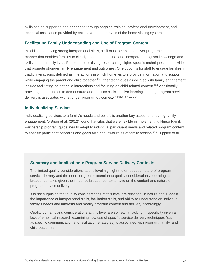skills can be supported and enhanced through ongoing training, professional development, and technical assistance provided by entities at broader levels of the home visiting system.

#### **Facilitating Family Understanding and Use of Program Content**

In addition to having strong interpersonal skills, staff must be able to deliver program content in a manner that enables families to clearly understand, value, and incorporate program knowledge and skills into their daily lives. For example, existing research highlights specific techniques and activities that promote stronger family engagement and outcomes. One option is for staff to engage families in triadic interactions, defined as interactions in which home visitors provide information and support while engaging the parent and child together.<sup>99</sup> Other techniques associated with family engagement include facilitating parent-child interactions and focusing on child-related content. <sup>104</sup> Additionally, providing opportunities to demonstrate and practice skills—active learning—during program service delivery is associated with stronger program outcomes  $3,44,56,77,87,101,104$ 

#### **Individualizing Services**

Individualizing services to a family's needs and beliefs is another key aspect of ensuring family engagement. O'Brien et al. (2012) found that sites that were flexible in implementing Nurse Family Partnership program guidelines to adapt to individual participant needs and related program content to specific participant concerns and goals also had lower rates of family attrition.<sup>105</sup> Supplee et al.

#### **Summary and Implications: Program Service Delivery Contexts**

The limited quality considerations at this level highlight the embedded nature of program service delivery and the need for greater attention to quality considerations operating at broader contexts given the influence broader contexts have on the content and nature of program service delivery.

It is not surprising that quality considerations at this level are relational in nature and suggest the importance of interpersonal skills, facilitation skills, and ability to understand an individual family's needs and interests and modify program content and delivery accordingly.

Quality domains and considerations at this level are somewhat lacking in specificity given a lack of empirical research examining how use of specific service delivery techniques (such as specific communication and facilitation strategies) is associated with program, family, and child outcomes.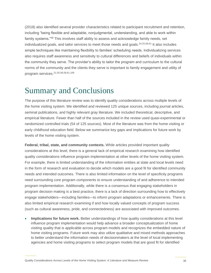(2018) also identified several provider characteristics related to participant recruitment and retention, including "being flexible and adaptable, nonjudgmental, understanding, and able to work within family systems."<sup>58</sup> This involves staff ability to assess and acknowledge family needs, set individualized goals, and tailor services to meet those needs and goals.<sup>24,25,58,61</sup> It also includes simple techniques like maintaining flexibility to families' scheduling needs. Individualizing services also requires staff awareness and sensitivity to cultural differences and beliefs of individuals within the community they serve. The provider's ability to tailor the program and curriculum to the cultural norms of the community and the clients they serve is important to family engagement and utility of program services.21,55,58,59,61,106

### Summary and Conclusions

The purpose of this literature review was to identify quality considerations across multiple levels of the home visiting system. We identified and reviewed 125 unique sources, including journal articles, seminal publications, and highly relevant gray literature. We included theoretical, descriptive, and empirical literature. Fewer than half of the sources included in the review used quasi-experimental or randomized controlled trials (54 of 125 sources). Most of the literature was from the home visiting or early childhood education field. Below we summarize key gaps and implications for future work by levels of the home visiting system.

**Federal, tribal, state, and community contexts.** While articles provided important quality considerations at this level, there is a general lack of empirical research examining how identified quality considerations influence program implementation at other levels of the home visiting system. For example, there is limited understanding of the information entities at state and local levels need in the form of research and evaluation to decide which models are a good fit for identified community needs and intended outcomes. There is also limited information on the level of specificity programs need surrounding core program components to ensure understanding of and adherence to intended program implementation. Additionally, while there is a consensus that engaging stakeholders in program decision making is a best practice, there is a lack of direction surrounding how to effectively engage stakeholders—including families—to inform program adaptations or enhancements. There is also limited empirical research examining if and how locally valued concepts of program success (such as cultural awareness, pride, and connectedness) are associated with improved outcomes.

**Implications for future work.** Better understandings of how quality considerations at this level influence program implementation would help advance a broader conceptualization of home visiting quality that is applicable across program models and recognizes the embedded nature of home visiting programs. Future work may also utilize qualitative and mixed methods approaches to better understand the information needs of decisionmakers at the level of local implementing agencies and home visiting programs to select program models that are good fit for identified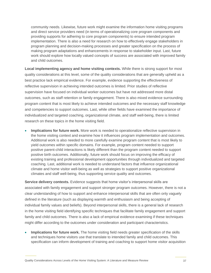community needs. Likewise, future work might examine the information home visiting programs and direct service providers need (in terms of operationalizing core program components and providing supports for adhering to core program components) to ensure intended program implementation. There is also a need for research on how to effectively engage stakeholders in program planning and decision-making processes and greater specification on the process of making program adaptations and enhancements in response to stakeholder input. Last, future work should explore how locally valued concepts of success are associated with improved family and child outcomes.

**Local implementing agency and home visiting contexts.** While there is strong support for most quality considerations at this level, some of the quality considerations that are generally upheld as a best practice lack empirical evidence. For example, evidence supporting the effectiveness of reflective supervision in achieving intended outcomes is limited. Prior studies of reflective supervision have focused on individual worker outcomes but have not addressed more distal outcomes, such as staff retention or family engagement. There is also mixed evidence surrounding program content that is most likely to achieve intended outcomes and the necessary staff knowledge and competencies to support outcomes. Last, while other fields have examined the importance of individualized and targeted coaching, organizational climate, and staff well-being, there is limited research on these topics in the home visiting field.

• **Implications for future work.** More work is needed to operationalize reflective supervision in the home visiting context and examine how it influences program implementation and outcomes. Additional work is also needed to more carefully examine program content that is most likely to yield outcomes within specific domains. For example, program content needed to support positive parent-child interactions is likely different than the program content needed to support positive birth outcomes. Additionally, future work should focus on improving the efficacy of existing training and professional development opportunities through individualized and targeted coaching. Last, additional work is needed to understand factors that influence organizational climate and home visitor well-being as well as strategies to support positive organizational climates and staff well-being, thus supporting service quality and outcomes.

**Service delivery contexts.** Evidence suggests that home visitor's interpersonal skills are associated with family engagement and support stronger program outcomes. However, there is not a clear understanding of how to support and enhance interpersonal skills that are often only vaguely defined in the literature (such as displaying warmth and enthusiasm and being accepting of individual family values and beliefs). Beyond interpersonal skills, there is a general lack of research in the home visiting field identifying specific techniques that facilitate family engagement and support family and child outcomes. There is also a lack of empirical evidence examining if these techniques might differ according to the outcomes under consideration and participant characteristics.

• **Implications for future work.** The home visiting field needs greater specification of the skills and techniques home visitors use that translate to intended family and child outcomes. This specification can inform development of training and coaching to support home visitor acquisition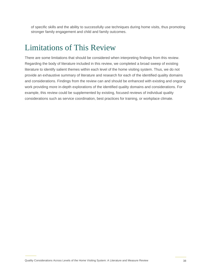of specific skills and the ability to successfully use techniques during home visits, thus promoting stronger family engagement and child and family outcomes.

### Limitations of This Review

There are some limitations that should be considered when interpreting findings from this review. Regarding the body of literature included in this review, we completed a broad sweep of existing literature to identify salient themes within each level of the home visiting system. Thus, we do not provide an exhaustive summary of literature and research for each of the identified quality domains and considerations. Findings from the review can and should be enhanced with existing and ongoing work providing more in-depth explorations of the identified quality domains and considerations. For example, this review could be supplemented by existing, focused reviews of individual quality considerations such as service coordination, best practices for training, or workplace climate.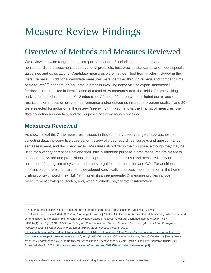# Measure Review Findings

### Overview of Methods and Measures Reviewed

We reviewed a wide range of program quality measures, i including standardized and nonstandardized assessments, observational protocols, best practice standards, and model-specific guidelines and expectations. Candidate measures were first identified from articles included in the literature review. Additional candidate measures were identified through reviews and compendiums of measures<sup>9,85</sup> and through an iterative process involving home visiting expert stakeholder feedback. This resulted in identification of a total of 29 measures from the fields of home visiting, early care and education, and K-12 education. Of these 29, three were excluded due to access restrictions or a focus on program performance and/or outcomes instead of program quality,<sup>iii</sup> and 26 were selected for inclusion in the review (see exhibit 7, which shows the final list of measures, the data collection approaches, and the purposes of the measures reviewed).

#### **Measures Reviewed**

As shown in exhibit 7, the measures included in this summary used a range of approaches for collecting data, including live observation, review of video recordings, surveys and questionnaires, self-assessment, and document review. Measures also differ in their purpose, although they may be used for a variety of reasons beyond their initially intended purpose. Some measures are meant to support supervision and professional development, others to assess and measure fidelity or outcomes of a program or system, and others to guide implementation and CQI. For additional information on the eight instruments developed specifically to assess implementation in the home visiting context (noted in exhibit 7 with asterisks), see appendix C; measure profiles include measurement strategies, scales, and, when available, psychometric information.

Quality Considerations Across Levels of the Home Visiting System: A Literature and Measure Review 39

ii Throughout this section, we use "measure" as an umbrella term for all the assessment types we reviewed.

iii Excluded measures included (1) *Cultural Exchange Inventory* [Palinkas LA, Garcia A, Aarons G, et al. Measuring collaboration and communication to increase implementation of evidence-based practices: the cultural exchange inventory. *Evid Policy.* 2018;14(1):35–61.]; (2) *MIECHV Form 2 Program Performance and System Outcome Measures* [*MIECHV Form 2 Program Performance and System Outcome Measures*. HRSA; 2018. Accessed May 3, 2021.

[https://mchb.hrsa.gov/sites/default/files/mchb/MaternalChildHealthInitiatives/HomeVisiting/performanceresources/attachment-b](https://mchb.hrsa.gov/sites/default/files/mchb/MaternalChildHealthInitiatives/HomeVisiting/performanceresources/attachment-b-form2-benchmark-performance-measures.pdf)[form2-benchmark-performance-measures.pdf\];](https://mchb.hrsa.gov/sites/default/files/mchb/MaternalChildHealthInitiatives/HomeVisiting/performanceresources/attachment-b-form2-benchmark-performance-measures.pdf) and (3) *PEW Process and Outcome Indicators; Descriptive Factors* [*Using Data to Measure Performance: A New Framework for Assessing the Effectiveness of Home Visiting*. The Pew Charitable Trusts; 2015. Accessed May 24, 2021. [https://www.pewtrusts.org/-/media/assets/2015/10/hv\\_datainitiativereport.pdf\].](https://www.pewtrusts.org/-/media/assets/2015/10/hv_datainitiativereport.pdf)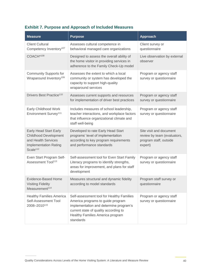#### **Exhibit 7. Purpose and Approach of Included Measures**

| <b>Measure</b>                                                                                                                               | <b>Purpose</b>                                                                                                                                                                                                     | <b>Approach</b>                                                                             |
|----------------------------------------------------------------------------------------------------------------------------------------------|--------------------------------------------------------------------------------------------------------------------------------------------------------------------------------------------------------------------|---------------------------------------------------------------------------------------------|
| <b>Client Cultural</b><br>Competency Inventory <sup>107</sup>                                                                                | Assesses cultural competence in<br>behavioral managed care organizations                                                                                                                                           | Client survey or<br>questionnaire                                                           |
| COACH*108                                                                                                                                    | Designed to assess the overall ability of<br>the home visitor in providing services in<br>adherence to the Family Check-Up model                                                                                   | Live observation by external<br>observer                                                    |
| <b>Community Supports for</b><br>Wraparound Inventory <sup>109</sup>                                                                         | Assesses the extent to which a local<br>community or system has developed the<br>capacity to support high-quality<br>wraparound services                                                                           | Program or agency staff<br>survey or questionnaire                                          |
| Drivers Best Practice <sup>110</sup>                                                                                                         | Assesses current supports and resources<br>for implementation of driver best practices                                                                                                                             | Program or agency staff<br>survey or questionnaire                                          |
| Early Childhood Work<br>Environment Survey <sup>111</sup>                                                                                    | Includes measures of school leadership,<br>teacher interactions, and workplace factors<br>that influence organizational climate and<br>staff well-being                                                            | Program or agency staff<br>survey or questionnaire                                          |
| <b>Early Head Start Early</b><br><b>Childhood Development</b><br>and Health Services<br><b>Implementation Rating</b><br>Scale <sup>112</sup> | Developed to rate Early Head Start<br>programs' level of implementation<br>according to key program requirements<br>and performance standards                                                                      | Site visit and document<br>review by team (evaluators,<br>program staff, outside<br>expert) |
| Even Start Program Self-<br>Assessment Tool <sup>113</sup>                                                                                   | Self-assessment tool for Even Start Family<br>Literacy programs to identify strengths,<br>areas for improvement, and plans for staff<br>development                                                                | Program or agency staff<br>survey or questionnaire                                          |
| Evidence-Based Home<br><b>Visiting Fidelity</b><br>Measurement <sup>114</sup>                                                                | Measures structural and dynamic fidelity<br>according to model standards                                                                                                                                           | Program staff survey or<br>questionnaire                                                    |
| <b>Healthy Families America</b><br>Self-Assessment Tool<br>2008-2010 <sup>115</sup>                                                          | Self-assessment tool for Healthy Families<br>America programs to guide program<br>implementation and determine program's<br>current state of quality according to<br>Healthy Families America program<br>standards | Program or agency staff<br>survey or questionnaire                                          |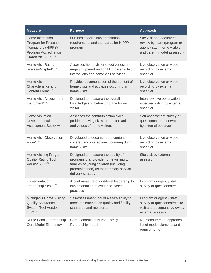| <b>Measure</b>                                                                                                             | <b>Purpose</b>                                                                                                                                                                          | <b>Approach</b>                                                                                                     |
|----------------------------------------------------------------------------------------------------------------------------|-----------------------------------------------------------------------------------------------------------------------------------------------------------------------------------------|---------------------------------------------------------------------------------------------------------------------|
| Home Instruction<br>Program for Preschool<br>Youngsters (HIPPY)<br>Program Accreditation<br>Standards, 2015 <sup>116</sup> | Outlines specific implementation<br>requirements and standards for HIPPY<br>program                                                                                                     | Site visit and document<br>review by team (program or<br>agency staff, home visitor,<br>and parent; model assessor) |
| Home Visit Rating<br>Scales-Adapted*117                                                                                    | Assesses home visitor effectiveness in<br>engaging parent and child in parent-child<br>interactions and home visit activities                                                           | Live observation or video<br>recording by external<br>observer                                                      |
| Home Visit<br>Characteristics and<br>Content Form*118                                                                      | Provides documentation of the content of<br>home visits and activities occurring in<br>home visits                                                                                      | Live observation or video<br>recording by external<br>observer                                                      |
| Home Visit Assessment<br>Instrument*119                                                                                    | Designed to measure the overall<br>knowledge and behavior of the home<br>visitor                                                                                                        | Interview, live observation, or<br>video recording by external<br>observer                                          |
| <b>Home Visitation</b><br>Developmental<br>Assessment Scale*120                                                            | Assesses the communication skills,<br>problem-solving skills, character, attitude,<br>and values of home visitors                                                                       | Self-assessment survey or<br>questionnaire; observation<br>by external observer                                     |
| Home Visit Observation<br>Form <sup>*121</sup>                                                                             | Developed to document the content<br>covered and interactions occurring during<br>home visits                                                                                           | Live observation or video<br>recording by external<br>observer                                                      |
| Home Visiting Program<br><b>Quality Rating Tool</b><br>Version 2.0*122                                                     | Designed to measure the quality of<br>programs that provide home visiting to<br>families of young children (including<br>prenatal period) as their primary service<br>delivery strategy | Site visit by external<br>assessor                                                                                  |
| Implementation<br>Leadership Scale <sup>123</sup>                                                                          | A brief measure of unit-level leadership for<br>implementation of evidence-based<br>practices                                                                                           | Program or agency staff<br>survey or questionnaire                                                                  |
| Michigan's Home Visiting<br><b>Quality Assurance</b><br><b>System Tool Version</b><br>$1.0*124$                            | Self-assessment tool of a site's ability to<br>meet implementation quality and fidelity<br>standards and measures                                                                       | Program or agency staff<br>survey or questionnaire; site<br>visit and document review by<br>external assessor       |
| Nurse-Family Partnership<br>Core Model Elements <sup>125</sup>                                                             | Core elements of Nurse-Family<br>Partnership model                                                                                                                                      | No measurement approach;<br>list of model elements and<br>requirements                                              |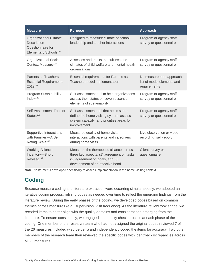| <b>Measure</b>                                                                                         | <b>Purpose</b>                                                                                                                                                | <b>Approach</b>                                                        |
|--------------------------------------------------------------------------------------------------------|---------------------------------------------------------------------------------------------------------------------------------------------------------------|------------------------------------------------------------------------|
| <b>Organizational Climate</b><br>Description<br>Questionnaire for<br>Elementary Schools <sup>126</sup> | Designed to measure climate of school<br>leadership and teacher interactions                                                                                  | Program or agency staff<br>survey or questionnaire                     |
| <b>Organizational Social</b><br>Context Measure <sup>127</sup>                                         | Assesses and tracks the cultures and<br>climates of child welfare and mental health<br>organizations                                                          | Program or agency staff<br>survey or questionnaire                     |
| Parents as Teachers<br><b>Essential Requirements</b><br>2019128                                        | Essential requirements for Parents as<br>Teachers model implementation                                                                                        | No measurement approach;<br>list of model elements and<br>requirements |
| <b>Program Sustainability</b><br>Index $129$                                                           | Self-assessment tool to help organizations<br>assess their status on seven essential<br>elements of sustainability                                            | Program or agency staff<br>survey or questionnaire                     |
| Self-Assessment Tool for<br>States <sup>130</sup>                                                      | Self-assessment tool that helps states<br>define the home visiting system, assess<br>system capacity, and prioritize areas for<br>improvement                 | Program or agency staff<br>survey or questionnaire                     |
| Supportive Interactions<br>with Families-A Self<br>Rating Scale*131                                    | Measures quality of home visitor<br>interactions with parents and caregivers<br>during home visits                                                            | Live observation or video<br>recording; self-report                    |
| <b>Working Alliance</b><br>Inventory-Short<br>Revised <sup>132</sup>                                   | Measures the therapeutic alliance across<br>three key aspects: (1) agreement on tasks,<br>(2) agreement on goals, and (3)<br>development of an affective bond | Client survey or<br>questionnaire                                      |

**Note:** \*Instruments developed specifically to assess implementation in the home visiting context

### **Coding**

Because measure coding and literature extraction were occurring simultaneously, we adopted an iterative coding process, refining codes as needed over time to reflect the emerging findings from the literature review. During the early phases of the coding, we developed codes based on common themes across measures (e.g., supervision, visit frequency). As the literature review took shape, we recoded items to better align with the quality domains and considerations emerging from the literature. To ensure consistency, we engaged in a quality check process at each phase of the coding. One member of the research team who had not assigned the original codes reviewed 7 of the 26 measures included (~25 percent) and independently coded the items for accuracy. Two other members of the research team then reviewed the specific codes with identified discrepancies across all 26 measures.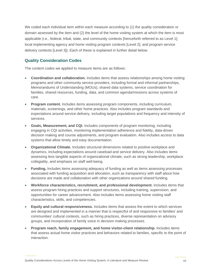We coded each individual item within each measure according to (1) the quality consideration or domain assessed by the item and (2) the level of the home visiting system at which the item is most applicable (i.e., federal, tribal, state, and community contexts [henceforth referred to as Level 1]; local implementing agency and home visiting program contexts [Level 2]; and program service delivery contexts [Level 3]). Each of these is explained in further detail below.

#### **Quality Consideration Codes**

The content codes we applied to measure items are as follows:

- **Coordination and collaboration.** Includes items that assess relationships among home visiting programs and other community service providers, including formal and informal partnerships, Memorandums of Understanding (MOUs), shared data systems, service coordination for families, shared resources, funding, data, and common agenda/missions across systems of care.
- **Program content.** Includes items assessing program components, including curriculum, materials, screenings, and other home practices. Also includes program standards and expectations around service delivery, including target populations and frequency and intensity of services.
- **Goals, Measurement, and CQI.** Includes components of program monitoring, including engaging in CQI activities, monitoring implementation adherence and fidelity, data-driven decision making and course adjustments, and program evaluation. Also includes access to data systems that allow timely and easy documentation.
- **Organizational Climate.** Includes structural dimensions related to positive workplace and dynamics, including expectations around caseload and service delivery. Also includes items assessing less tangible aspects of organizational climate, such as strong leadership, workplace collegiality, and emphasis on staff well-being.
- **Funding.** Includes items assessing adequacy of funding as well as items assessing processes associated with funding acquisition and allocation, such as transparency with staff about how decisions are made and collaboration with other organizations around shared funding.
- **Workforce characteristics, recruitment, and professional development.** Includes items that assess program hiring practices and support structures, including training, supervision, and opportunities for career advancement. Also includes items assessing home visiting staff characteristics, skills, and competencies.
- **Equity and cultural responsiveness.** Includes items that assess the extent to which services are designed and implemented in a manner that is respectful of and responsive to families' and communities' cultural contexts, such as hiring practices, diverse representation on advisory groups, and incorporation of family voice in decision making processes.
- **Program reach, family engagement, and home visitor-client relationship.** Includes items that assess actual home visitor practices and behaviors related to families, specific to the point of interaction.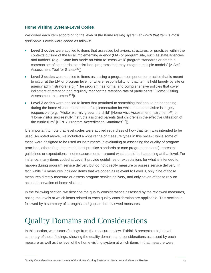#### **Home Visiting System-Level Codes**

We coded each item according to the *level of the home visiting system at which that item is most applicable*. Levels were coded as follows:

- **Level 1 codes** were applied to items that assessed behaviors, structures, or practices within the contexts outside of the local implementing agency (LIA) or program site, such as state agencies and funders. (e.g., "State has made an effort to 'cross-walk' program standards or create a common set of standards to assist local programs that may integrate multiple models" [A Self-Assessment Tool for States<sup>130</sup>]).
- **Level 2 codes** were applied to items assessing a program component or practice that is meant to occur at the LIA or program level, or where responsibility for that item is held largely by site or agency administrators (e.g., "The program has formal and comprehensive policies that cover indicators of retention and regularly monitor the retention rate of participants" [Home Visiting Assessment Instrument<sup>119</sup>]).
- **Level 3 codes** were applied to items that pertained to something that should be happening during the home visit or an element of implementation for which the home visitor is largely responsible (e.g., "Visitor warmly greets the child" [Home Visit Assessment Instrument<sup>119</sup>] or "Home visitor successfully instructs assigned parents (not children) in the effective utilization of the curriculum" [HIPPY Program Accreditation Standards<sup>116</sup>]).

It is important to note that level codes were applied regardless of how that item was intended to be used. As noted above, we included a wide range of measure types in this review; while some of these were designed to be used as instruments in evaluating or assessing the quality of program practices, others (e.g., the model best practice standards or core program elements) represent guidelines or expectations—not measurements—around what should be happening at that level. For instance, many items coded at Level 3 provide guidelines or expectations for what is intended to happen during program service delivery but do not directly measure or assess service delivery. In fact, while 14 measures included items that we coded as relevant to Level 3, only nine of those measures directly measure or assess program service delivery, and only seven of those rely on actual observation of home visitors.

In the following section, we describe the quality considerations assessed by the reviewed measures, noting the levels at which items related to each quality consideration are applicable. This section is followed by a summary of strengths and gaps in the reviewed measures.

# Quality Domains and Considerations

In this section, we discuss findings from the measure review. Exhibit 8 presents a high-level summary of these findings, showing the quality domains and considerations assessed by each measure as well as the level of the home visiting system at which items in that measure were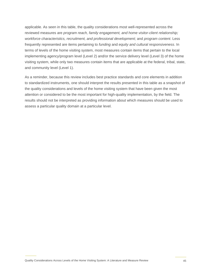applicable. As seen in this table, the quality considerations most well-represented across the reviewed measures are *program reach, family engagement, and home visitor-client relationship; workforce characteristics, recruitment, and professional development;* and *program content*. Less frequently represented are items pertaining to *funding* and *equity and cultural responsiveness*. In terms of levels of the home visiting system, most measures contain items that pertain to the local implementing agency/program level (Level 2) and/or the service delivery level (Level 3) of the home visiting system, while only two measures contain items that are applicable at the federal, tribal, state, and community level (Level 1).

As a reminder, because this review includes best practice standards and core elements in addition to standardized instruments, one should interpret the results presented in this table as a snapshot of the quality considerations and levels of the home visiting system that have been given the most attention or considered to be the most important for high-quality implementation, by the field. The results should not be interpreted as providing information about which measures should be used to assess a particular quality domain at a particular level.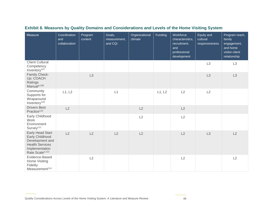| Measure                                                                                                                           | Coordination<br>and<br>collaboration | Program<br>content | Goals,<br>measurement,<br>and CQI | Organizational<br>climate | Funding | Workforce<br>characteristics,<br>recruitment,<br>and<br>professional<br>development | Equity and<br>cultural<br>responsiveness | Program reach,<br>family<br>engagement,<br>and home<br>visitor-client<br>relationship |
|-----------------------------------------------------------------------------------------------------------------------------------|--------------------------------------|--------------------|-----------------------------------|---------------------------|---------|-------------------------------------------------------------------------------------|------------------------------------------|---------------------------------------------------------------------------------------|
| <b>Client Cultural</b><br>Competency<br>Inventory <sup>107</sup>                                                                  |                                      |                    |                                   |                           |         |                                                                                     | L <sub>3</sub>                           | L <sub>3</sub>                                                                        |
| Family Check-<br>Up: COACH<br>Ratings<br>Manuala,108                                                                              |                                      | L <sub>3</sub>     |                                   |                           |         |                                                                                     | L <sub>3</sub>                           | L <sub>3</sub>                                                                        |
| Community<br>Supports for<br>Wraparound<br>Inventory <sup>133</sup>                                                               | L1, L2                               |                    | L1                                |                           | L1, L2  | L2                                                                                  | L2                                       |                                                                                       |
| <b>Drivers Best</b><br>Practice <sup>110</sup>                                                                                    | L2                                   |                    |                                   | L2                        |         | L2                                                                                  |                                          |                                                                                       |
| Early Childhood<br>Work<br>Environment<br>Survey <sup>111</sup>                                                                   |                                      |                    |                                   | L2                        |         | L2                                                                                  |                                          |                                                                                       |
| Early Head Start<br>Early Childhood<br>Development and<br><b>Health Services</b><br>Implementation<br>Rate Scale <sup>a,112</sup> | L2                                   | L2                 | L2                                | L2                        |         | L2                                                                                  | L <sub>3</sub>                           | L2                                                                                    |
| Evidence-Based<br>Home Visiting<br>Fidelity<br>Measurement <sup>114</sup>                                                         |                                      | L2                 |                                   |                           |         | L2                                                                                  |                                          | L2                                                                                    |

#### **Exhibit 8. Measures by Quality Domains and Considerations and Levels of the Home Visiting System**

Quality Considerations Across Levels of the Home Visiting System: A Literature and Measure Review 46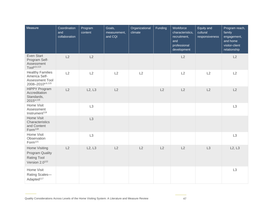| Measure                                                                                     | Coordination<br>and<br>collaboration | Program<br>content | Goals,<br>measurement,<br>and CQI | Organizational<br>climate | Funding | Workforce<br>characteristics,<br>recruitment,<br>and<br>professional<br>development | Equity and<br>cultural<br>responsiveness | Program reach,<br>family<br>engagement,<br>and home<br>visitor-client<br>relationship |
|---------------------------------------------------------------------------------------------|--------------------------------------|--------------------|-----------------------------------|---------------------------|---------|-------------------------------------------------------------------------------------|------------------------------------------|---------------------------------------------------------------------------------------|
| Even Start<br>Program Self-<br>Assessment<br>Toola,b,113                                    | L2                                   | L2                 |                                   |                           |         | L2                                                                                  |                                          | L2                                                                                    |
| <b>Healthy Families</b><br>America Self-<br>Assessment Tool<br>2008-2010a,b,115             | L2                                   | L2                 | L2                                | L2                        |         | L2                                                                                  | L2                                       | L2                                                                                    |
| <b>HIPPY Program</b><br>Accreditation<br>Standards,<br>2015a,116                            | L2                                   | L2, L3             | L2                                |                           | L2      | L2                                                                                  | L2                                       | L2                                                                                    |
| Home Visit<br>Assessment<br>Instrument <sup>119</sup>                                       |                                      | L <sub>3</sub>     |                                   |                           |         |                                                                                     |                                          | L <sub>3</sub>                                                                        |
| Home Visit<br>Characteristics<br>and Content<br>Form <sup>118</sup>                         |                                      | L <sub>3</sub>     |                                   |                           |         |                                                                                     |                                          |                                                                                       |
| Home Visit<br>Observation<br>Form <sup>121</sup>                                            |                                      | L <sub>3</sub>     |                                   |                           |         |                                                                                     |                                          | L <sub>3</sub>                                                                        |
| Home Visiting<br><b>Program Quality</b><br><b>Rating Tool</b><br>Version 2.0 <sup>122</sup> | L2                                   | L2, L3             | L2                                | L2                        | L2      | L2                                                                                  | L <sub>3</sub>                           | L2, L3                                                                                |
| Home Visit<br>Rating Scales-<br>Adapted <sup>117</sup>                                      |                                      |                    |                                   |                           |         |                                                                                     |                                          | L <sub>3</sub>                                                                        |

Quality Considerations Across Levels of the Home Visiting System: A Literature and Measure Review 47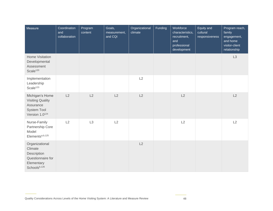| Measure                                                                                              | Coordination<br>and<br>collaboration | Program<br>content | Goals,<br>measurement,<br>and CQI | Organizational<br>climate | Funding | Workforce<br>characteristics,<br>recruitment,<br>and<br>professional<br>development | Equity and<br>cultural<br>responsiveness | Program reach,<br>family<br>engagement,<br>and home<br>visitor-client<br>relationship |
|------------------------------------------------------------------------------------------------------|--------------------------------------|--------------------|-----------------------------------|---------------------------|---------|-------------------------------------------------------------------------------------|------------------------------------------|---------------------------------------------------------------------------------------|
| Home Visitation<br>Developmental<br>Assessment<br>Scale <sup>120</sup>                               |                                      |                    |                                   |                           |         |                                                                                     |                                          | L <sub>3</sub>                                                                        |
| Implementation<br>Leadership<br>Scale <sup>123</sup>                                                 |                                      |                    |                                   | L2                        |         |                                                                                     |                                          |                                                                                       |
| Michigan's Home<br><b>Visiting Quality</b><br>Assurance<br>System Tool<br>Version 1.0 <sup>124</sup> | L2                                   | L2                 | L2                                | L2                        |         | L2                                                                                  |                                          | L2                                                                                    |
| Nurse-Family<br>Partnership Core<br>Model<br>Elements <sup>a,b,125</sup>                             | L2                                   | L <sub>3</sub>     | L2                                |                           |         | L2                                                                                  |                                          | L2                                                                                    |
| Organizational<br>Climate<br>Description<br>Questionnaire for<br>Elementary<br>Schoolsb,126          |                                      |                    |                                   | L2                        |         |                                                                                     |                                          |                                                                                       |

Quality Considerations Across Levels of the Home Visiting System: A Literature and Measure Review 48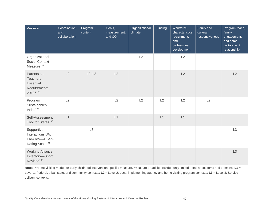| Measure                                                                            | Coordination<br>and<br>collaboration | Program<br>content | Goals,<br>measurement,<br>and CQI | Organizational<br>climate | Funding | Workforce<br>characteristics,<br>recruitment,<br>and<br>professional<br>development | Equity and<br>cultural<br>responsiveness | Program reach,<br>family<br>engagement,<br>and home<br>visitor-client<br>relationship |
|------------------------------------------------------------------------------------|--------------------------------------|--------------------|-----------------------------------|---------------------------|---------|-------------------------------------------------------------------------------------|------------------------------------------|---------------------------------------------------------------------------------------|
| Organizational<br><b>Social Context</b><br>Measure <sup>127</sup>                  |                                      |                    |                                   | L2                        |         | L2                                                                                  |                                          |                                                                                       |
| Parents as<br><b>Teachers</b><br>Essential<br>Requirements<br>2019a,128            | L2                                   | L2, L3             | L2                                |                           |         | L2                                                                                  |                                          | L2                                                                                    |
| Program<br>Sustainability<br>Index <sup>129</sup>                                  | L2                                   |                    | L2                                | L2                        | L2      | L2                                                                                  | L2                                       |                                                                                       |
| Self-Assessment<br>Tool for States <sup>130</sup>                                  | L1                                   |                    | L1                                |                           | L1      | L1                                                                                  |                                          |                                                                                       |
| Supportive<br>Interactions With<br>Families-A Self-<br>Rating Scale <sup>131</sup> |                                      | L <sub>3</sub>     |                                   |                           |         |                                                                                     |                                          | L <sub>3</sub>                                                                        |
| <b>Working Alliance</b><br>Inventory-Short<br>Revised <sup>132</sup>               |                                      |                    |                                   |                           |         |                                                                                     |                                          | L <sub>3</sub>                                                                        |

Notes: <sup>a</sup>Home visiting model- or early childhood intervention-specific measure. <sup>b</sup>Measure or article provided only limited detail about items and domains. L1 = Level 1: Federal, tribal, state, and community contexts; **L2** = Level 2: Local implementing agency and home visiting program contexts; **L3** = Level 3: Service delivery contexts.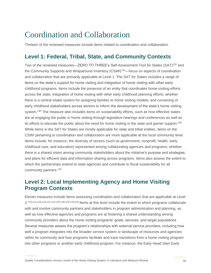## Coordination and Collaboration

Thirteen of the reviewed measures include items related to coordination and collaboration.

### **Level 1: Federal, Tribal, State, and Community Contexts**

Two of the reviewed measures—ZERO TO THREE's Self-Assessment Tool for States (SAT)<sup>130</sup> and the Community Supports and Wraparound Inventory (CSWI)<sup>133</sup>—focus on aspects of coordination and collaboration that are primarily applicable at Level 1. The SAT for States includes a range of items on the state's support for home visiting and integration of home visiting with other early childhood programs. Items include the presence of an entity that coordinates home visiting efforts across the state; integration of home visiting with other early childhood planning efforts; whether there is a central intake system for assigning families to home visiting models; and convening of early childhood stakeholders across sectors to inform the development of the state's home visiting system.<sup>130</sup> The measure also includes items on sustainability efforts, such as how effective states are at engaging the public in home visiting through legislative hearings and conferences as well as its efforts to educate the public about the need for home visiting in the state and garner support.<sup>130</sup> While items in the SAT for States are mostly applicable for state and tribal entities, items on the CSWI pertaining to coordination and collaboration are more applicable at the local community level. Items include, for instance, the diversity of sectors (such as government, nonprofit, health, early childhood care, and education) represented among collaborating agencies and programs; whether there is a shared vision among community stakeholders about the initiative's purpose and strategies; and plans for efficient data and information sharing across programs. Items also assess the extent to which the partnerships extend to state agencies and contribute to fiscal sustainability for all community partners.<sup>133</sup>

#### **Level 2: Local Implementing Agency and Home Visiting Program Contexts**

Eleven measures include items assessing coordination and collaboration that are applicable at Level 2. <sup>110</sup>**,**112**,**115**,**116,122,124,125,128,129,133**,**<sup>134</sup> Items at this level include the extent to which programs collaborate with and involve community partners and stakeholders in program administration and planning, as well as how effective agencies and programs are at fostering a shared understanding among community providers about the home visiting programs' goals, services, and target populations. Several measures assess the program's relationships with external service providers, including how well a program integrates into the broader service system or landscape of resources and agencies within its community and how programs facilitate and track transitions from a home visiting program into other programs or another early childhood program. For instance, the Early Head Start Early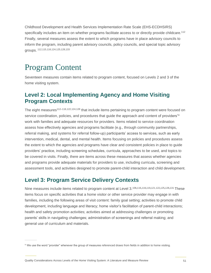Childhood Development and Health Services Implementation Rate Scale (EHS-ECDHSIRS) specifically includes an item on whether programs facilitate access to or directly provide childcare.<sup>112</sup> Finally, several measures assess the extent to which programs have in place advisory councils to inform the program, including parent advisory councils, policy councils, and special topic advisory groups. 112,115,116,124,125,128,133

# Program Content

Seventeen measures contain items related to program content, focused on Levels 2 and 3 of the home visiting system.

### **Level 2: Local Implementing Agency and Home Visiting Program Contexts**

The eight measures<sup>112–116,122,124,128</sup> that include items pertaining to program content were focused on service coordination, policies, and procedures that guide the approach and content of providers'iv work with families and adequate resources for providers. Items related to service coordination assess how effectively agencies and programs facilitate (e.g., through community partnerships, referral making, and systems for referral follow-up) participants' access to services, such as early intervention, medical, dental, and mental health. Items focusing on policies and procedures assess the extent to which the agencies and programs have clear and consistent policies in place to guide providers' practice, including screening schedules, curricula, approaches to be used, and topics to be covered in visits. Finally, there are items across these measures that assess whether agencies and programs provide adequate materials for providers to use, including curricula, screening and assessment tools, and activities designed to promote parent-child interaction and child development.

### **Level 3: Program Service Delivery Contexts**

Nine measures include items related to program content at Level 3.<sup>108</sup>**,**116**,**118**,**119**,**121,122**,**125**,**128**,**<sup>131</sup> These items focus on specific activities that a home visitor or other service provider may engage in with families, including the following areas of visit content: family goal setting; activities to promote child development, including language and literacy; home visitor's facilitation of parent-child interactions; health and safety promotion activities; activities aimed at addressing challenges or promoting parents' skills in navigating challenges; administration of screenings and referral making; and general use of curriculum and materials.

iv We use the word "provider" whenever the group of measures referenced draws from fields in addition to home visiting.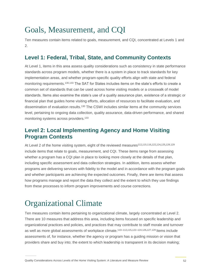# Goals, Measurement, and CQI

Ten measures contain items related to goals, measurement, and CQI, concentrated at Levels 1 and 2.

### **Level 1: Federal, Tribal, State, and Community Contexts**

At Level 1, items in this area assess quality considerations such as consistency in state performance standards across program models, whether there is a system in place to track standards for key implementation areas, and whether program-specific quality efforts align with state and federal monitoring requirements.<sup>130,133</sup> The SAT for States includes items on the state's efforts to create a common set of standards that can be used across home visiting models or a crosswalk of model standards. Items also examine the state's use of a quality assurance plan, existence of a strategic or financial plan that guides home visiting efforts, allocation of resources to facilitate evaluation, and dissemination of evaluation results.<sup>130</sup> The CSWI includes similar items at the community services level, pertaining to ongoing data collection, quality assurance, data-driven performance, and shared monitoring systems across providers.<sup>133</sup>

#### **Level 2: Local Implementing Agency and Home Visiting Program Contexts**

At Level 2 of the home visiting system, eight of the reviewed measures<sup>112</sup>**,**115,116**,**122**,**124**,**125**,**128,129 include items that relate to goals, measurement, and CQI. These items range from assessing whether a program has a CQI plan in place to looking more closely at the details of that plan, including specific assessment and data collection strategies. In addition, items assess whether programs are delivering services with fidelity to the model and in accordance with the program goals and whether participants are achieving the expected outcomes. Finally, there are items that assess how programs manage and report the data they collect and the extent to which they use findings from these processes to inform program improvements and course corrections.

# Organizational Climate

Ten measures contain items pertaining to organizational climate, largely concentrated at Level 2. There are 10 measures that address this area, including items focused on specific leadership and organizational practices and policies, and practices that may contribute to staff morale and turnover as well as more global assessments of workplace climate.110–112**,**115**,**122–124,126**,**127,129 Items include assessments of, for instance, whether the agency or program has a guiding mission or vision that providers share and buy into; the extent to which leadership is transparent in its decision making;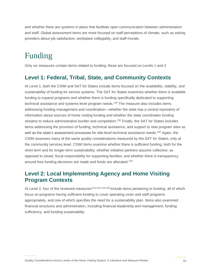and whether there are systems in place that facilitate open communication between administration and staff. Global assessment items are more focused on staff perceptions of climate, such as asking providers about job satisfaction, workplace collegiality, and staff morale.

# Funding

Only six measures contain items related to funding; these are focused on Levels 1 and 2.

#### **Level 1: Federal, Tribal, State, and Community Contexts**

At Level 1, both the CSWI and SAT for States include items focused on the availability, stability, and sustainability of funding for service systems. The SAT for States examines whether there is available funding to expand programs and whether there is funding specifically dedicated to supporting technical assistance and systems-level program needs.<sup>130</sup> The measure also includes items addressing funding management and coordination—whether the state has a central repository of information about sources of home visiting funding and whether the state coordinates funding streams to reduce administrative burden and competition.<sup>130</sup> Finally, the SAT for States includes items addressing the provision of funding, technical assistance, and support to new program sites as well as the state's assessment processes for site-level technical assistance needs.<sup>130</sup> Again, the CSWI assesses many of the same quality considerations measured by the SAT for States, only at the community services level. CSWI items examine whether there is sufficient funding, both for the short term and for longer-term sustainability; whether initiative partners assume collective, as opposed to siloed, fiscal responsibility for supporting families; and whether there is transparency around how funding decisions are made and funds are allocated.<sup>133</sup>

#### **Level 2: Local Implementing Agency and Home Visiting Program Contexts**

At Level 2, four of the reviewed measures<sup>116,122,129,133</sup> include items pertaining to funding, all of which focus on programs having sufficient funding to cover operating costs and staff programs appropriately, and one of which specifies the need for a sustainability plan. Items also examined financial structures and administration, including financial leadership and management, funding sufficiency, and funding sustainability.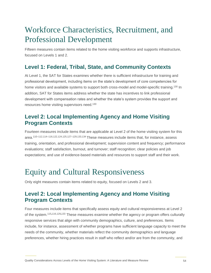# Workforce Characteristics, Recruitment, and Professional Development

Fifteen measures contain items related to the home visiting workforce and supports infrastructure, focused on Levels 1 and 2.

### **Level 1: Federal, Tribal, State, and Community Contexts**

At Level 1, the SAT for States examines whether there is sufficient infrastructure for training and professional development, including items on the state's development of core competencies for home visitors and available systems to support both cross-model and model-specific training.<sup>130</sup> In addition, SAT for States items address whether the state has incentives to link professional development with compensation rates and whether the state's system provides the support and resources home visiting supervisors need.<sup>130</sup>

### **Level 2: Local Implementing Agency and Home Visiting Program Contexts**

Fourteen measures include items that are applicable at Level 2 of the home visiting system for this area.110–112,114–116,122,124,125,127–129,133,134 These measures include items that, for instance, assess training, orientation, and professional development; supervision content and frequency; performance evaluations; staff satisfaction, burnout, and turnover; staff recognition; clear policies and job expectations; and use of evidence-based materials and resources to support staff and their work.

# Equity and Cultural Responsiveness

Only eight measures contain items related to equity, focused on Levels 2 and 3.

### **Level 2: Local Implementing Agency and Home Visiting Program Contexts**

Four measures include items that specifically assess equity and cultural responsiveness at Level 2 of the system.<sup>115</sup>**,**116,129**,**<sup>133</sup> These measures examine whether the agency or program offers culturally responsive services that align with community demographics, culture, and preferences. Items include, for instance, assessment of whether programs have sufficient language capacity to meet the needs of the community, whether materials reflect the community demographics and language preferences, whether hiring practices result in staff who reflect and/or are from the community, and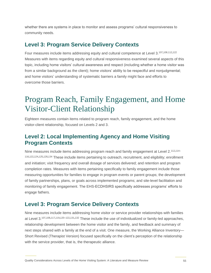whether there are systems in place to monitor and assess programs' cultural responsiveness to community needs.

#### **Level 3: Program Service Delivery Contexts**

Four measures include items addressing equity and cultural competence at Level 3.<sup>107</sup>**,**108,112**,**<sup>122</sup> Measures with items regarding equity and cultural responsiveness examined several aspects of this topic, including home visitors' cultural awareness and respect (including whether a home visitor was from a similar background as the client); home visitors' ability to be respectful and nonjudgmental; and home visitors' understanding of systematic barriers a family might face and efforts to overcome those barriers.

### Program Reach, Family Engagement, and Home Visitor-Client Relationship

Eighteen measures contain items related to program reach, family engagement, and the home visitor-client relationship, focused on Levels 2 and 3.

### **Level 2: Local Implementing Agency and Home Visiting Program Contexts**

Nine measures include items addressing program reach and family engagement at Level 2.<sup>112</sup>**,**114– <sup>116</sup>**,**122**,**124**,**125**,**128**,**<sup>134</sup> These include items pertaining to outreach, recruitment, and eligibility; enrollment and initiation; visit frequency and overall dosage of services delivered; and retention and program completion rates. Measures with items pertaining specifically to family engagement include those measuring opportunities for families to engage in program events or parent groups; the development of family partnerships, plans, or goals across implemented programs; and site-level facilitation and monitoring of family engagement. The EHS-ECDHSIRS specifically addresses programs' efforts to engage fathers.

#### **Level 3: Program Service Delivery Contexts**

Nine measures include items addressing home visitor or service provider relationships with families at Level 3.<sup>107</sup>**,**108**,**117**,**119**,**120–122**,**131**,**<sup>132</sup> These include the use of individualized or family-led approaches, relationship development between the home visitor and the family, and feedback and summary of next steps shared with a family at the end of a visit. One measure, the Working Alliance Inventory— Short Revised (Therapist Version) focused specifically on the client's perception of the relationship with the service provider, that is, the therapeutic alliance.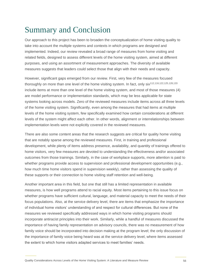## Summary and Conclusion

Our approach to this project has been to broaden the conceptualization of home visiting quality to take into account the multiple systems and contexts in which programs are designed and implemented. Indeed, our review revealed a broad range of measures from home visiting and related fields, designed to assess different levels of the home visiting system, aimed at different purposes, and using an assortment of measurement approaches. The diversity of available measures suggests that leaders could select those that align with their needs and capacity.

However, significant gaps emerged from our review. First, very few of the measures focused thoroughly on more than one level of the home visiting system. In fact, only six<sup>112,116,122,125,128,133</sup> include items at more than one level of the home visiting system, and most of those measures (4) are model performance or implementation standards, which may be less applicable for state systems looking across models. Zero of the reviewed measures include items across all three levels of the home visiting system. Significantly, even among the measures that had items at multiple levels of the home visiting system, few specifically examined how certain considerations at different levels of the system might affect each other. In other words, alignment or interrelationships between implementation levels were not explicitly covered in the reviewed measures.

There are also some content areas that the research suggests are critical for quality home visiting that are notably sparse among the reviewed measures. First, in training and professional development, while plenty of items address presence, availability, and quantity of trainings offered to home visitors, very few measures are devoted to understanding the effectiveness and/or associated outcomes from those trainings. Similarly, in the case of workplace supports, more attention is paid to whether programs provide access to supervision and professional development opportunities (e.g., how much time home visitors spend in supervision weekly), rather than assessing the quality of these supports or their connection to home visiting staff retention and well-being.

Another important area in this field, but one that still has a limited representation in available measures, is how well programs attend to racial equity. Most items pertaining to this issue focus on whether programs have sufficient cultural, language, and material capacity to meet the needs of their focus populations. Also, at the service delivery level, there are items that emphasize the importance of individual home visitors' understanding of and respect for cultural differences. But none of the measures we reviewed specifically addressed ways in which home visiting programs should incorporate antiracist principles into their work. Similarly, while a handful of measures discussed the importance of having family representation on advisory councils, there was no measurement of how family voice should be incorporated into decision making at the program level; the only discussion of the importance of family voice being heard was at the service delivery level, where items assessed the extent to which home visitors adapted services to meet families' needs.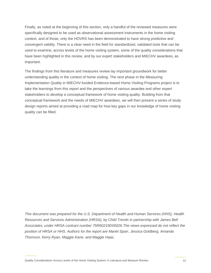Finally, as noted at the beginning of this section, only a handful of the reviewed measures were specifically designed to be used as observational assessment instruments in the home visiting context, and of those, only the HOVRS has been demonstrated to have strong predictive and convergent validity. There is a clear need in the field for standardized, validated tools that can be used to examine, across levels of the home visiting system, some of the quality considerations that have been highlighted in this review, and by our expert stakeholders and MIECHV awardees, as important.

The findings from this literature and measures review lay important groundwork for better understanding quality in the context of home visiting. The next phase in the Measuring Implementation Quality in MIECHV-funded Evidence-based Home Visiting Programs project is to take the learnings from this report and the perspectives of various awardee and other expert stakeholders to develop a conceptual framework of home visiting quality. Building from that conceptual framework and the needs of MIECHV awardees, we will then present a series of study design reports aimed at providing a road map for how key gaps in our knowledge of home visiting quality can be filled.

*This document was prepared for the U.S. Department of Health and Human Services (HHS), Health Resources and Services Administration (HRSA), by Child Trends in partnership with James Bell Associates, under HRSA contract number 75R60219D00026.The views expressed do not reflect the position of HRSA or HHS. Authors for the report are Mariel Sparr, Jessica Goldberg, Amanda Thomson, Kerry Ryan, Maggie Kane, and Maggie Haas.*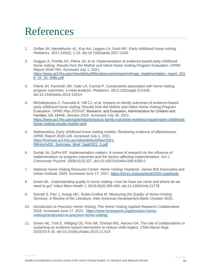# References

- 1. Duffee JH, Mendelsohn AL, Kuo AA, Legano LA, Earls MF. Early childhood home visiting. *Pediatrics*. 2017;140(3), 1-12. doi:10.1542/peds.2017-2150
- 2. Duggan A, Portilla XA, Filene JH, et al. Implementation of evidence-based early childhood home visiting: Results from the Mother and Infant Home Visiting Program Evaluation. *OPRE Report 2018-76A*. Accessed July 1, 2021. [https://www.acf.hhs.gov/sites/default/files/documents/opre/mihope\\_implementation\\_report\\_201](https://www.acf.hhs.gov/sites/default/files/documents/opre/mihope_implementation_report_2018_10_26_508b.pdf) [8\\_10\\_26\\_508b.pdf](https://www.acf.hhs.gov/sites/default/files/documents/opre/mihope_implementation_report_2018_10_26_508b.pdf)
- 3. Filene JH, Kaminski JW, Valle LA, Cachat P. Components associated with home visiting program outcomes: a meta-analysis. *Pediatrics*. 2013;132(suppl 2):S100. doi:10.1542/peds.2013-1021H
- 4. Michalopoulos C, Faucetta K, Hill CJ, et al. Impacts on family outcomes of evidence-based early childhood home visiting: Results from the Mother and Infant Home Visiting Program Evaluation. *OPRE Rep 2019-07*. Research, and Evaluation, Administration for Children and Families, US. DHHS. January 2019. Accessed July 28, 2021. [https://www.acf.hhs.gov/opre/report/impacts-family-outcomes-evidence-based-early-childhood](https://www.acf.hhs.gov/opre/report/impacts-family-outcomes-evidence-based-early-childhood-home-visiting-results-mother-and)[home-visiting-results-mother-and.](https://www.acf.hhs.gov/opre/report/impacts-family-outcomes-evidence-based-early-childhood-home-visiting-results-mother-and)
- 5. Mathematica. Early childhood home visiting models: Reviewing evidence of effectiveness. *OPRE Report 2020-126.* Accessed July 1, 2021. [https://homvee.acf.hhs.gov/sites/default/files/2021-](https://homvee.acf.hhs.gov/sites/default/files/2021-09/HomVEE_Summary_Brief_Sept2021_0.pdf) [09/HomVEE\\_Summary\\_Brief\\_Sept2021\\_0.pdf](https://homvee.acf.hhs.gov/sites/default/files/2021-09/HomVEE_Summary_Brief_Sept2021_0.pdf)
- 6. Durlak JA, DuPre EP. Implementation matters: A review of research on the influence of implementation on program outcomes and the factors affecting implementation. *Am J Community Psychol*. 2008;41(3):327. doi:10.1007/s10464-008-9165-0
- 7. National Home Visiting Resource Center. *Home Visiting Yearbook*. James Bell Associates and Urban Institute; 2020. Accessed June 17, 2021. [https://nhvrc.org/yearbook/2020-yearbook/.](https://nhvrc.org/yearbook/2020-yearbook/)
- 8. Green BL. Understanding quality in home visiting—how far have we come and where do we need to go? *Infant Ment Health J*. 2019;40(3):395-400. doi:10.1002/imhj.21778
- 9. Schodt S, Parr J, Araujo MC, Rubio-Codina M. *Measuring the Quality of Home-Visiting Services: A Review of the Literature*. Inter-American Development Bank; October 2015.
- 10. *Introduction to Precision Home Visiting*. The Home Visiting Applied Research Collaborative; 2018. Accessed June 17, 2021. [https://www.hvresearch.org/precision-home](https://www.hvresearch.org/precision-home-visiting/introduction-to-precision-home-visiting/)[visiting/introduction-to-precision-home-visiting/.](https://www.hvresearch.org/precision-home-visiting/introduction-to-precision-home-visiting/)
- 11. Green AE, Trott E, Willging CE, Finn NK, Ehrhart MG, Aarons GA. The role of collaborations in sustaining an evidence-based intervention to reduce child neglect. *Child Abuse Negl*. 2016;53:4-16. doi:10.1016/j.chiabu.2015.11.013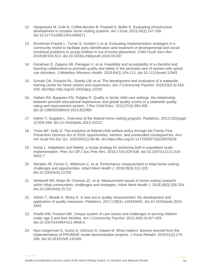- 12. Hargreaves M, Cole R, Coffee-Borden B, Paulsell D, Boller K. Evaluating infrastructure development in complex home visiting systems. *Am J Eval*. 2013;34(2):147-169. doi:10.1177/1098214012469271
- 13. Brookman-Frazee L, Turner S, Gordon J, et al. Evaluating implementation strategies in a community model to facilitate early identification and treatment of developmental and socialemotional problems in young children in out-of-home placement. *Child Youth Serv Rev*. 2018;88:504-513. doi:10.1016/j.childyouth.2018.03.037
- 14. Goodman D, Zagaria AB, Flanagan V, et al. Feasibility and acceptability of a checklist and learning collaborative to promote quality and safety in the perinatal care of women with opioid use disorders. *J Midwifery Womens Health*. 2019;64(1):104-111. doi:10.1111/jmwh.12943
- 15. Schultz DA, Schacht RL, Shanty LM, et al. The development and evaluation of a statewide training center for home visitors and supervisors. *Am J Community Psychol*. 2019;63(3-4):418- 429. doi:https://doi.org/10.1002/ajcp.12320
- 16. Hallam RA, Bargreen KN, Ridgley R. Quality in family child care settings: the relationship between provider educational experiences and global quality scores in a statewide quality rating and improvement system. *J Res Child Educ*. 2013;27(4):393-406. doi:10.1080/02568543.2013.822950
- 17. Adirim T, Supplee L. Overview of the federal home visiting program. *Pediatrics*. 2013;132(suppl 2):S59-S64. doi:10.1542/peds.2013-1021C
- 18. Testa MF, Kelly D. The evolution of federal child welfare policy through the Family First Prevention Services Act of 2018: opportunities, barriers, and unintended consequences. *Ann Am Acad Pol Soc Sci*. 2020;692(1):68-96. doi:https://doi.org/10.1177/0002716220976528
- 19. Kemp L. Adaptation and fidelity: a recipe analogy for achieving both in population scale implementation. *Prev Sci Off J Soc Prev Res*. 2016;17(4):429-438. doi:10.1007/s11121-016- 0642-7
- 20. Morales JR, Ferron C, Whitmore C, et al. Performance measurement in tribal home visiting: challenges and opportunities. *Infant Ment Health J*. 2018;39(3):312-325. doi:10.1002/imhj.21703
- 21. Whitesell NR, Bolan M, Chomos JC, et al. Measurement issues in home-visiting research within tribal communities: challenges and strategies. *Infant Ment Health J*. 2018;39(3):326-334. doi:10.1002/imhj.21713
- 22. Adirim T, Meade K, Mistry K. A new era in quality measurement: the development and application of quality measures. *Pediatrics*. 2017;139(1): e20163442. doi:10.1542/peds.2016- 3442
- 23. Finello KM, Poulsen MK. Unique system of care issues and challenges in serving children under age 3 and their families. *Am J Community Psychol*. 2012;49(3-4):417-429. doi:10.1007/s10464-011-9458-6
- 24. Nye-Lengerman K, Gunty A, Johnson D, Hawes M. What matters: lessons learned from the implementation of PROMISE model demonstration projects. *J Vocat Rehabil*. 2019;51(2):275- 284. doi:10.3233/JVR-191045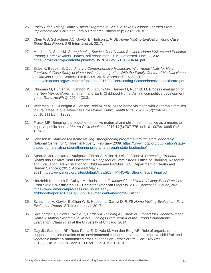- 25. *Policy Brief: Taking Home Visiting Programs to Scale in Texas: Lessons Learned From Implementation*. Child and Family Research Partnership; *CFRP* 2018.
- 26. Chen WB, Schachner AC, Gaylor E, Hudson L. *RISE Home Visiting Evaluation Rural Case Study Brief Report.* SRI International; 2017.
- 27. Morrison C, Sparr M. *Strengthening Service Coordination Between Home Visitors and Pediatric Primary Care Providers*. James Bell Associates. 2019. Accessed June 17, 2021. [https://nhvrc.org/wp-content/uploads/NHVRC-Brief-071619-FINAL.pdf.](https://nhvrc.org/wp-content/uploads/NHVRC-Brief-071619-FINAL.pdf)
- 28. Sides K, Baggett S. *Coordinating Comprehensive Healthcare With Home Visits for New Families: A Case Study of Home Visitation Integration With the Family-Centered Medical Home at Carolina Health Centers*. FirstFocus. 2015. Accessed July 22, 2021. [https://firstfocus.org/wp-content/uploads/2015/03/Coordinating-Comprehensive-Healthcare.pdf.](https://firstfocus.org/wp-content/uploads/2015/03/Coordinating-Comprehensive-Healthcare.pdf)
- 29. Chinman M, Hunter SB, Cannon JS, Kilburn MR, Harvey M, Rudnick M. Process evaluation of the New Mexico Maternal, Infant, and Early Childhood Home Visiting competitive development grant. *Rand Health Q*. 2014;4(3):3.
- 30. Wideman ES, Dunnigan A, Jonson-Reid M, et al. Nurse home visitation with vulnerable families in rural areas: a qualitative case file review. *Public Health Nurs*. 2020;37(2):234-242. doi:10.1111/phn.12699
- 31. Fraser MR. Bringing it all together: effective maternal and child health practice as a means to improve public health. *Matern Child Health J*. 2013;17(5):767-775. doi:10.1007/s10995-012- 1064-1
- 32. Johnson K. *State-based home visiting: strengthening programs through state leadership.* National Center for Children in Poverty. February 2009. [https://www.nccp.org/publication/state](https://www.nccp.org/publication/state-based-home-visiting-strengthening-programs-through-state-leadership/)[based-home-visiting-strengthening-programs-through-state-leadership/](https://www.nccp.org/publication/state-based-home-visiting-strengthening-programs-through-state-leadership/)
- 33. Sparr M, Joraanstad A, Atukpawu-Tipton G, Miller N, Leis J, Filene J. *Promoting Prenatal Health and Positive Birth Outcomes: A Snapshot of State Efforts.* Office of Planning, Research and Evaluation, Administration for Children and Families, U.S. Department of Health and Human Services; 2017. Accessed May 28, 2021[.https://www.mdrc.org/sites/default/files/2017\\_MIHOPE\\_Strong\\_Start\\_Final.pdf](https://www.mdrc.org/sites/default/files/2017_MIHOPE_Strong_Start_Final.pdf)
- 34. Herzfeldt-Kamprath R, Calsyn M, Huelskoeter T. *Medicaid and Home Visiting: Best Practices From States*. Washington, DC: Center for American Progress. 2017. [Accessed July 22, 2021.](https://www.americanprogress.org/issues/early-childhood/reports/2017/01/25/297160/medicaid-and-home-visiting/)  [https://www.americanprogress.org/issues/early](https://www.americanprogress.org/issues/early-childhood/reports/2017/01/25/297160/medicaid-and-home-visiting/)[childhood/reports/2017/01/25/297160/medicaid-and-home-visiting/.](https://www.americanprogress.org/issues/early-childhood/reports/2017/01/25/297160/medicaid-and-home-visiting/)
- 35. Schachner A, Gaylor E, Chen W-B, Hudson L, Garcia D. *RISE Home Visiting Evaluation: Final Evaluation Report*. SRI International; 2017.
- 36. Spielberger J, Gitlow E, Winje C, Harden A. *Building a System of Support for Evidence-Based Home Visitation Programs in Illinois: Findings From Year 4 of the Strong Foundations Evaluation*. Chapin Hall at the University of Chicago; 2014.
- 37. Gay JL, Saunders RP, Rees-Punia E, Dowda M, van den Berg AE. Role of organizational support on implementation of an environmental change intervention to improve child fruit and vegetable intake: a randomized cross-over design. *Prev Sci Off J Soc Prev Res*. 2019;20(8):1211-1218. doi:10.1007/s11121-019-01043-z

Quality Considerations Across Levels of the Home Visiting System: A Literature and Measure Review 60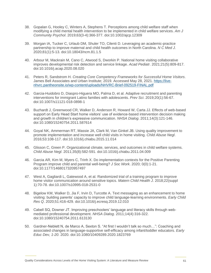- 38. Gopalan G, Hooley C, Winters A, Stephens T. Perceptions among child welfare staff when modifying a child mental health intervention to be implemented in child welfare services. *Am J Community Psychol*. 2019;63(3-4):366-377. doi:10.1002/ajcp.12309
- 39. Morgan IA, Tucker C, Urlaub DM, Shuler TO, Cilenti D. Leveraging an academic-practice partnership to improve maternal and child health outcomes in North Carolina. *N C Med J*. 2020;81(1):5-13. doi:10.18043/ncm.81.1.5
- 40. Arbour M, Mackrain M, Cano C, Atwood S, Dworkin P. National home visiting collaborative improves developmental risk detection and service linkage. *Acad Pediatr*. 2021;21(5):809-817. doi:10.1016/j.acap.2020.08.020
- 41. Peters R, Sandstrom H. *Creating Core Competency Frameworks for Successful Home Visitors*. James Bell Associates and Urban Institute; 2019. Accessed May 28, 2021. [https://live](https://live-nhvrc.pantheonsite.io/wp-content/uploads/NHVRC-Brief-092519-FINAL.pdf)[nhvrc.pantheonsite.io/wp-content/uploads/NHVRC-Brief-092519-FINAL.pdf](https://live-nhvrc.pantheonsite.io/wp-content/uploads/NHVRC-Brief-092519-FINAL.pdf)
- 42. Garcia-Huidobro D, Diaspro-Higuera MO, Palma D, et al. Adaptive recruitment and parenting interventions for immigrant Latino families with adolescents. *Prev Sci*. 2019;20(1):56-67. doi:10.1007/s11121-018-0898-1
- 43. Buzhardt J, Greenwood CR, Walker D, Anderson R, Howard W, Carta JJ. Effects of web-based support on Early Head Start home visitors' use of evidence-based intervention decision making and growth in children's expressive communication. *NHSA Dialog*. 2011;14(3):121-146. doi:10.1080/15240754.2011.587614
- 44. Goyal NK, Ammerman RT, Massie JA, Clark M, Van Ginkel JB. Using quality improvement to promote implementation and increase well child visits in home visiting. *Child Abuse Negl*. 2016;53:108-117. doi:10.1016/j.chiabu.2015.11.014
- 45. Glisson C, Green P. Organizational climate, services, and outcomes in child welfare systems. *Child Abuse Negl*. 2011;35(8):582-591. doi:10.1016/j.chiabu.2011.04.009
- 46. Garcia AR, Kim M, Myers C, Trinh X. Do implementation contexts for the Positive Parenting Program improve child and parental well-being? *J Soc Work*. 2020; 0(0):1-21. doi:10.1177/1468017320957497
- 47. West A, Gagliardi L, Gatewood A, et al. Randomized trial of a training program to improve home visitor communication around sensitive topics. *Matern Child Health J*. 2018;22(suppl 1):70-78. doi:10.1007/s10995-018-2531-0
- 48. Bigelow KM, Walker D, Jia F, Irvin D, Turcotte A. Text messaging as an enhancement to home visiting: building parents' capacity to improve child language-learning environments. *Early Child Res Q*. 2020;51:416-429. doi:10.1016/j.ecresq.2019.12.010
- 49. Cabell SQ, Downer JT. Improving preschoolers' language and literacy skills through webmediated professional development. *NHSA Dialog*. 2011;14(4):316-322. doi:10.1080/15240754.2011.613130
- 50. Gardner-Neblett N, de Marco A, Sexton S. "At first I wouldn't talk so much…": Coaching and associated changes in language-supportive self-efficacy among infant/toddler educators. *Early Educ Dev, 1-20*. 2020. doi:10.1080/10409289.2020.1823769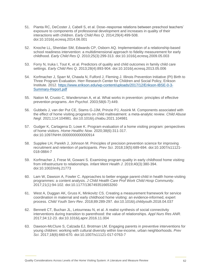- 51. Pianta RC, DeCoster J, Cabell S, et al. Dose–response relations between preschool teachers' exposure to components of professional development and increases in quality of their interactions with children. *Early Child Res Q*. 2014;29(4):499-508. doi:10.1016/j.ecresq.2014.06.001
- 52. Knoche LL, Sheridan SM, Edwards CP, Osborn AQ. Implementation of a relationship-based school readiness intervention: a multidimensional approach to fidelity measurement for early childhood. *Early Child Res Q*. 2010;25(3):299-313. doi:10.1016/j.ecresq.2009.05.003
- 53. Forry N, Iruka I, Tout K, et al. Predictors of quality and child outcomes in family child care settings. *Early Child Res Q*. 2013;28(4):893-904. doi:10.1016/j.ecresq.2013.05.006
- 54. Korfmacher J, Sparr M, Chawla N, Fulford J, Fleming J. Illinois Prevention Initiative (PI) Birth to Three Program Evaluation. Herr Research Center for Children and Social Policy, Erikson Institute. 2012. [https://www.erikson.edu/wp-content/uploads/2017/12/Erikson-IBSE-0-3-](https://www.erikson.edu/wp-content/uploads/2017/12/Erikson-IBSE-0-3-Summary-Report.pdf) [Summary-Report.pdf](https://www.erikson.edu/wp-content/uploads/2017/12/Erikson-IBSE-0-3-Summary-Report.pdf)
- 55. Nation M, Crusto C, Wandersman A, et al. What works in prevention: principles of effective prevention programs. *Am Psychol*. 2003;58(6-7):449.
- 56. Gubbels J, van der Put CE, Stams G-JJM, Prinzie PJ, Assink M. Components associated with the effect of home visiting programs on child maltreatment: a meta-analytic review. *Child Abuse Negl*. 2021;114:104981. doi:10.1016/j.chiabu.2021.104981
- 57. Gudger K, Cartagena D, Lowe K. Program evaluation of a home visiting program: perspectives of home visitors. *Home Healthc Now*. 2020;38(6):311-317. doi:10.1097/NHH.0000000000000914
- 58. Supplee LH, Parekh J, Johnson M. Principles of precision prevention science for improving recruitment and retention of participants. *Prev Sci*. 2018;19(5):689-694. doi:10.1007/s11121- 018-0884-7
- 59. Korfmacher J, Frese M, Gowani S. Examining program quality in early childhood home visiting: from infrastructure to relationships. *Infant Ment Health J*. 2019;40(3):380-394. doi:10.1002/imhj.21773
- 60. Lam W, Dawson A, Fowler C. Approaches to better engage parent-child in health home-visiting programmes: a content analysis. *J Child Health Care Prof Work Child Hosp Community*. 2017;21(1):94-102. doi:10.1177/1367493516653260
- 61. West A, Duggan AK, Gruss K, Minkovitz CS. Creating a measurement framework for service coordination in maternal and early childhood home visiting: an evidence-informed, expert process. *Child Youth Serv Rev*. 2018;89:289-297. doi:10.1016/j.childyouth.2018.04.037
- 62. Bennett CT, Buchan JL, Letourneau N, et al. A realist synthesis of social connectivity interventions during transition to parenthood: the value of relationships. *Appl Nurs Res ANR*. 2017;34:12-23. doi:10.1016/j.apnr.2016.11.004
- 63. Dawson-McClure S, Calzada EJ, Brotman LM. Engaging parents in preventive interventions for young children: working with cultural diversity within low-income, urban neighborhoods. *Prev Sci*. 2017;18(6):660-670. doi:10.1007/s11121-017-0763-7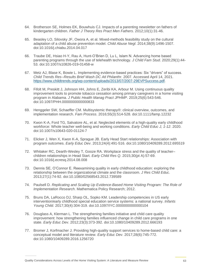- 64. Brotherson SE, Holmes EK, Bouwhuis CJ. Impacts of a parenting newsletter on fathers of kindergarten children. *Father J Theory Res Pract Men Fathers*. 2012;10(1):31-46.
- 65. Beasley LO, Silovsky JF, Owora A, et al. Mixed-methods feasibility study on the cultural adaptation of a child abuse prevention model. *Child Abuse Negl*. 2014;38(9):1496-1507. doi:10.1016/j.chiabu.2014.04.017
- 66. Traube DE, Hsiao H-Y, Rau A, Hunt-O'Brien D, Lu L, Islam N. Advancing home based parenting programs through the use of telehealth technology. *J Child Fam Stud*. 2020;29(1):44- 53. doi:10.1007/s10826-019-01458-w
- 67. Metz AJ, Blase K, Bowie L. Implementing evidence-based practices: Six "drivers" of success. *Child Trends Res--Results Brief Wash DC Atl Philanthr.* 2007. Accessed April 14, 2021. [https://www.childtrends.org/wp-content/uploads/2013/07/2007-29EVPSuccess.pdf.](https://www.childtrends.org/wp-content/uploads/2013/07/2007-29EVPSuccess.pdf)
- 68. Fifolt M, Preskitt J, Johnson HH, Johns E, Zeribi KA, Arbour M. Using continuous quality improvement tools to promote tobacco cessation among primary caregivers in a home visiting program in Alabama. *J Public Health Manag Pract JPHMP*. 2019;25(6):543-546. doi:10.1097/PHH.0000000000000833
- 69. Henggeler SW, Schaeffer CM. Multisystemic therapy®: clinical overview, outcomes, and implementation research. *Fam Process*. 2016;55(3):514-528. doi:10.1111/famp.12232
- 70. Kwon K-A, Ford TG, Salvatore AL, et al. Neglected elements of a high-quality early childhood workforce: Whole teacher well-being and working conditions. *Early Child Educ J, 1-12*. 2020. doi:10.1007/s10643-020-01124-7
- 71. Elicker J, Wen X, Kwon K-A, Sprague JB. Early Head Start relationships: Association with program outcomes. *Early Educ Dev*. 2013;24(4):491-516. doi:10.1080/10409289.2012.695519
- 72. Whitaker RC, Dearth-Wesley T, Gooze RA. Workplace stress and the quality of teacher– children relationships in Head Start. *Early Child Res Q*. 2015;30(pt A):57-69. doi:10.1016/j.ecresq.2014.08.008
- 73. Dennis SE, O'Connor E. Reexamining quality in early childhood education: exploring the relationship between the organizational climate and the classroom. *J Res Child Educ*. 2013;27(1):74-92. doi:10.1080/02568543.2012.739589
- 74. Paulsell D. *Replicating and Scaling Up Evidence-Based Home Visiting Program: The Role of Implementation Research*. Mathematica Policy Research; 2012.
- 75. Bruns DA, LaRocco DJ, Sharp OL, Sopko KM. Leadership competencies in US early intervention/early childhood special education service systems: a national survey. *Infants Young Child*. 2017;30(4):304-319. doi:10.1097/IYC.0000000000000104
- 76. Douglass A, Klerman L. The strengthening families initiative and child care quality improvement: how strengthening families influenced change in child care programs in one state. *Early Educ Dev*. 2012;23(3):373-392. doi:10.1080/10409289.2012.666193
- 77. Bromer J, Korfmacher J. Providing high-quality support services to home-based child care: a conceptual model and literature review. *Early Educ Dev*. 2017;28(6):745-772. doi:10.1080/10409289.2016.1256720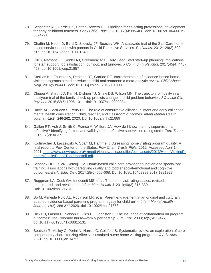- 78. Schachter RE, Gerde HK, Hatton-Bowers H. Guidelines for selecting professional development for early childhood teachers. *Early Child Educ J*. 2019;47(4):395-408. doi:10.1007/s10643-019- 00942-8
- 79. Chaffin M, Hecht D, Bard D, Silovsky JF, Beasley WH. A statewide trial of the SafeCare homebased services model with parents in Child Protective Services. *Pediatrics*. 2012;129(3):509- 515. doi:10.1542/peds.2011-1840
- 80. Gill S, Nathans LL, Seidel AJ, Greenberg MT. Early Head Start start–up planning: implications for staff support, job satisfaction, burnout, and turnover. *J Community Psychol*. 2017;45(4):443- 458. doi:10.1002/jcop.21857
- 81. Casillas KL, Fauchier A, Derkash BT, Garrido EF. Implementation of evidence-based home visiting programs aimed at reducing child maltreatment: a meta-analytic review. *Child Abuse Negl*. 2016;53:64-80. doi:10.1016/j.chiabu.2015.10.009
- 82. Chiapa A, Smith JD, Kim H, Dishion TJ, Shaw DS, Wilson MN. The trajectory of fidelity in a multiyear trial of the family check-up predicts change in child problem behavior. *J Consult Clin Psychol*. 2015;83(5):1006-1011. doi:10.1037/ccp0000034
- 83. Davis AE, Barrueco S, Perry DF. The role of consultative alliance in infant and early childhood mental health consultation: Child, teacher, and classroom outcomes. *Infant Mental Health Journal*, *42*(2), 246-262. 2020. Doi:10.1002/imhj.21889
- 84. Gallen RT, Ash J, Smith C, Franco A, Willford JA. How do I know that my supervision is reflective? Identifying factors and validity of the reflective supervision rating scale. *Zero Three*. 2016;37(2):30-37.
- 85. Korfmacher J, Laszewski A, Sparr M, Hammel J. Assessing home visiting program quality: A final report to Pew Center on the States. *Pew Charit Trusts Phila*. 2012. Accessed April 14, 2021[.https://www.pewtrusts.org/~/media/legacy/uploadedfiles/pcs\\_assets/2013/HomeVisitingPr](https://www.pewtrusts.org/~/media/legacy/uploadedfiles/pcs_assets/2013/HomeVisitingProgramQualityRatingToolreportpdf.pdf) [ogramQualityRatingToolreportpdf.pdf.](https://www.pewtrusts.org/~/media/legacy/uploadedfiles/pcs_assets/2013/HomeVisitingProgramQualityRatingToolreportpdf.pdf)
- 86. Schaack DD, Le VN, Setodji CM. Home-based child care provider education and specialized training: associations with caregiving quality and toddler social-emotional and cognitive outcomes. *Early Educ Dev*. 2017;28(6):655-668. Doi:10.1080/10409289.2017.1321927
- 87. Roggman LA, Cook GA, Innocenti MS, et al. The home visit rating scales: revised, restructured, and revalidated. *Infant Ment Health J*. 2019;40(3):315-330. Doi:10.1002/imhj.21781
- 88. So M, Almeida Rojo AL, Robinson LR, et al. Parent engagement in an original and culturally adapted evidence‐based parenting program, legacy for childrenTM. *Infant Mental Health Journal, 41*(3), 356-377.2020. doi:10.1002/imhj.21853
- 89. Hicks D, Larson C, Nelson C, Olds DL, Johnston E. The influence of collaboration on program outcomes: The Colorado nurse—family partnership. *Eval Rev*. 2008;32(5):453-477. doi:10.1177/0193841X08315131
- 90. Beatson R, Molloy C, Perini N, Harrop C, Goldfeld S. Systematic review: an exploration of core componentry characterizing effective sustained nurse home visiting programs. *J Adv Nurs*. 2021. doi:10.1111/jan.14755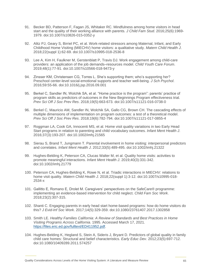- 91. Becker BD, Patterson F, Fagan JS, Whitaker RC. Mindfulness among home visitors in head start and the quality of their working alliance with parents. *J Child Fam Stud*. 2016;25(6):1969- 1979. doi:10.1007/s10826-015-0352-y
- 92. Alitz PJ, Geary S, Birriel PC, et al. Work-related stressors among Maternal, Infant, and Early Childhood Home Visiting (MIECHV) home visitors: a qualitative study. *Matern Child Health J*. 2018;22(suppl 1):62-69. doi:10.1007/s10995-018-2536-8
- 93. Lee A, Kim H, Faulkner M, Gerstenblatt P, Travis DJ. Work engagement among child-care providers: an application of the job demands–resources model. *Child Youth Care Forum*. 2019;48(1):77-91. doi:10.1007/s10566-018-9473-y
- 94. Zinsser KM, Christensen CG, Torres L. She's supporting them; who's supporting her? Preschool center-level social-emotional supports and teacher well-being. *J Sch Psychol*. 2016;59:55-66. doi:10.1016/j.jsp.2016.09.001
- 95. Berkel C, Sandler IN, Wolchik SA, et al. "Home practice is the program": parents' practice of program skills as predictors of outcomes in the New Beginnings Program effectiveness trial. *Prev Sci Off J Soc Prev Res*. 2018;19(5):663-673. doi:10.1007/s11121-016-0738-0
- 96. Berkel C, Mauricio AM, Sandler IN, Wolchik SA, Gallo CG, Brown CH. The cascading effects of multiple dimensions of implementation on program outcomes: a test of a theoretical model. *Prev Sci Off J Soc Prev Res*. 2018;19(6):782-794. doi:10.1007/s11121-017-0855-4
- 97. Roggman LA, Cook GA, Innocenti MS, et al. Home visit quality variations in two Early Head Start programs in relation to parenting and child vocabulary outcomes. *Infant Ment Health J*. 2016;37(3):193-207. doi:10.1002/imhj.21565
- 98. Sierau S, Brand T, Jungmann T. Parental involvement in home visiting: interpersonal predictors and correlates. *Infant Ment Health J*. 2012;33(5):489-495. doi:10.1002/imhj.21322
- 99. Hughes-Belding K, Peterson CA, Clucas Walter M, et al. Quality home visits: activities to promote meaningful interactions. *Infant Ment Health J*. 2019;40(3):331-342. doi:10.1002/imhj.21779
- 100. Peterson CA, Hughes-Belding K, Rowe N, et al. Triadic interactions in MIECHV: relations to home visit quality. *Matern Child Health J*. 2018;22(suppl 1):3-12. doi:10.1007/s10995-018- 2534-x
- 101. Gallitto E, Romano E, Drolet M. Caregivers' perspectives on the SafeCare® programme: implementing an evidence‐based intervention for child neglect. *Child Fam Soc Work*. 2018;23(2):307-315.
- 102. Shanti C. Engaging parents in early head start home-based programs: how do home visitors do this? *J Evid-Inf Soc Work*. 2017;14(5):329-359. doi:10.1080/23761407.2017.1302858
- 103. Smith LE. *Healthy Families California: A Review of Standards and Best Practices in Home Visiting Programs Across California*. 1995. Accessed March 17, 2021. [https://files.eric.ed.gov/fulltext/ED411952.pdf.](https://files.eric.ed.gov/fulltext/ED411952.pdf)
- 104. Hughes-Belding K, Hegland S, Stein A, Sideris J, Bryant D. Predictors of global quality in family child care homes: Structural and belief characteristics. *Early Educ Dev*. 2012;23(5):697-712. doi:10.1080/10409289.2011.574257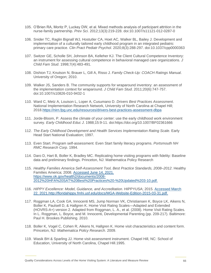- 105. O'Brien RA, Moritz P, Luckey DW, et al. Mixed methods analysis of participant attrition in the nurse-family partnership. *Prev Sci*. 2012;13(3):219-228. doi:10.1007/s11121-012-0287-0
- 106. Snider TC, Raglin Bignall WJ, Hostutler CA, Hoet AC, Walker BL, Bailey J. Development and implementation of a culturally tailored early childhood program in an integrated pediatric primary care practice. *Clin Pract Pediatr Psychol*. 2020;8(3):288-297. doi:10.1037/cpp0000363
- 107. Switzer GE, Scholle SH, Johnson BA, Kelleher KJ. The Client Cultural Competence Inventory: an instrument for assessing cultural competence in behavioral managed care organizations. *J Child Fam Stud*. 1998;7(4):483-491.
- 108. Dishion TJ, Knutson N, Brauer L, Gill A, Risso J. *Family Check-Up: COACH Ratings Manual*. University of Oregon; 2010.
- 109. Walker JS, Sanders B. The community supports for wraparound inventory: an assessment of the implementation context for wraparound. *J Child Fam Stud*. 2011;20(6):747-757. doi:10.1007/s10826-010-9432-1
- 110. Ward C, Metz A, Louison L, Loper A, Cusumano D. *Drivers Best Practices Assessment*. National Implementation Research Network, University of North Carolina at Chapel Hill; 2018[.https://nirn.fpg.unc.edu/resources/drivers-best-practices-assessment-dbpa](https://nirn.fpg.unc.edu/resources/drivers-best-practices-assessment-dbpa)
- 111. Jorde-Bloom, P. Assess the climate of your center: use the early childhood work environment survey. *Early Childhood Educ J*. 1988;15:9-11. doi:https://doi.org/10.1007/BF02361666
- 112. *The Early Childhood Development and Health Services Implementation Rating Scale*. Early Head Start National Evaluation; 1997.
- 113. Even Start. Program self-assessment: Even Start family literacy programs. *Portsmouth NH RMC Research Corp*. 1994.
- 114. Daro D, Hart B, Boller K, Bradley MC. Replicating home visiting programs with fidelity: Baseline data and preliminary findings. Princeton, NJ: Mathematica Policy Research
- 115. *Healthy Families America Self-Assessment Tool, Best Practice Standards, 2008–2012*. Healthy Families America; 2008. Accessed June 14, 2021. [https://www.ok.gov/health2/documents/2008-](https://www.ok.gov/health2/documents/2008-2012%20HFA%20SAT%20Best%20Practices%20-%20Updated%203-10.pdf) [2012%20HFA%20SAT%20Best%20Practices%20-%20Updated%203-10.pdf.](https://www.ok.gov/health2/documents/2008-2012%20HFA%20SAT%20Best%20Practices%20-%20Updated%203-10.pdf)
- 116. *HIPPY Excellence: Model, Guidance, and Accreditation*. HIPPYUSA; 2015. Accessed March 22, 2021[.http://floridahippy.fmhi.usf.edu/docs/MGA-Website-Edition-2015-03-31.pdf.](http://floridahippy.fmhi.usf.edu/docs/MGA-Website-Edition-2015-03-31.pdf)
- 117. Roggman LA, Cook GA, Innocenti MS, Jump Norman VK, Christiansen K, Boyce LK, Aikens N, Boller K, Paulsell D, & Hallgren K. Home Visit Rating Scales—Adapted and Extended (HOVRS-A+) version 2. Adapted from Roggman, L. A., et al. (2008). Home Visit Rating Scales. In L. Roggman, L. Boyce, and M. Innocenti, Developmental Parenting (pp. 209-217). Baltimore: Paul H. Brookes Publishing. 2010.
- 118. Boller K, Vogel C, Cohen R, Aikens N, Hallgren K. Home visit characteristics and content form. Princeton, NJ: *Mathematica Policy Research*. 2009.
- 119. Wasik BH & Sparling JJ. Home visit assessment instrument. Chapel Hill, NC: School of Education, University of North Carolina, Chapel Hill.1995.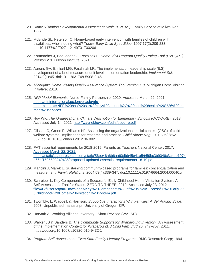- 120. *Home Visitation Developmental Assessment Scale (HVDAS)*. Family Service of Milwaukee; 1997.
- 121. McBride SL, Peterson C. Home-based early intervention with families of children with disabilities: who is doing what? *Topics Early Child Spec Educ*. 1997;17(2):209-233. doi:10.1177%2F027112149701700206
- 122. Korfmacher J, Baquedano J, Reznicek E. *Home Visit Program Quality Rating Tool (HVPQRT) Version 2.0*. Erikson Institute; 2021.
- 123. Aarons GA, Ehrhart MG, Farahnak LR. The implementation leadership scale (ILS): development of a brief measure of unit level implementation leadership. *Implement Sci*. 2014;9(1):45. doi:10.1186/1748-5908-9-45
- 124. *Michigan's Home Visiting Quality Assurance System Tool Version 1.0.* Michigan Home Visiting Initiative; 2018.
- 125. *NFP Model Elements*. Nurse-Family Partnership; 2020. Accessed March 22, 2021. [https://nfpinternational.ucdenver.edu/nfp](https://nfpinternational.ucdenver.edu/nfp-model#:~:text=NFP%20has%20six%20key%20areas,%2C%20and%20health%20%26%20human%20services)[model#:~:text=NFP%20has%20six%20key%20areas,%2C%20and%20health%20%26%20hu](https://nfpinternational.ucdenver.edu/nfp-model#:~:text=NFP%20has%20six%20key%20areas,%2C%20and%20health%20%26%20human%20services) [man%20services.](https://nfpinternational.ucdenver.edu/nfp-model#:~:text=NFP%20has%20six%20key%20areas,%2C%20and%20health%20%26%20human%20services)
- 126. Hoy WK. *The Organizational Climate Description for Elementary Schools (OCDQ-RE)*. 2013. Accessed July 14, 2021.<http://waynekhoy.com/pdfs/ocdq-re.pdf>
- 127. Glisson C, Green P, Williams NJ. Assessing the organizational social context (OSC) of child welfare systems: implications for research and practice. *Child Abuse Negl*. 2012;36(9):621- 632. doi:10.1016/j.chiabu.2012.06.002
- 128. PAT essential requirements for 2018-2019. Parents as Teachers National Center; 2017. Accessed March 22, 2021. [https://static1.squarespace.com/static/56be46a6b6aa60dbb45e41a5/t/59bc3b9046c3c4ee1974](https://static1.squarespace.com/static/56be46a6b6aa60dbb45e41a5/t/59bc3b9046c3c4ee1974b66b/1505508240435/proposed-updated-essential-requirements-18-19.pdf) [b66b/1505508240435/proposed-updated-essential-requirements-18-19.pdf.](https://static1.squarespace.com/static/56be46a6b6aa60dbb45e41a5/t/59bc3b9046c3c4ee1974b66b/1505508240435/proposed-updated-essential-requirements-18-19.pdf)
- 129. Mancini J, Marek L. Sustaining community-based programs for families: conceptualization and measurement. *Family Relations*. 2004;53(4):339-347. doi:10.1111/j.0197-6664.2004.00040.x
- 130. Schreiber L. Key Components of a Successful Early Childhood Home Visitation System: A Self-Assessment Tool for States. ZERO TO THREE. 2010. Accessed July 23, 2012. [file:///C:/Users/sparr/Downloads/Key%20Components%20of%20a%20Successful%20Early%2](file:///C:/Users/sparr/Downloads/Key%20Components%20of%20a%20Successful%20Early%20Childhood%20Home%20Visitation%20System.pdf) [0Childhood%20Home%20Visitation%20System.pdf](file:///C:/Users/sparr/Downloads/Key%20Components%20of%20a%20Successful%20Early%20Childhood%20Home%20Visitation%20System.pdf)
- 131. Twombly, L, Waddell, & Harrison. *Supportive Interactions With Families: A Self-Rating Scale*. 2003. Unpublished manuscript, University of Oregon EIP.
- 132. Horvath A. Working Alliance Inventory Short Revised (WAI-SR).
- 133. Walker JS & Sanders B. *The Community Supports for Wraparound Inventory*: An Assessment of the Implementation Context for Wraparound. *J Child Fam Stud* 20, 747–757. 2011. https://doi.org/10.1007/s10826-010-9432-1
- 134. *Program Self-Assessment: Even Start Family Literacy Programs*. RMC Research Corp; 1994.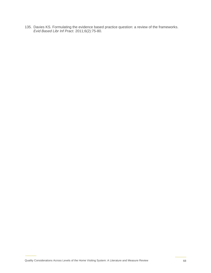135. Davies KS. Formulating the evidence based practice question: a review of the frameworks. *Evid Based Libr Inf Pract*. 2011;6(2):75-80.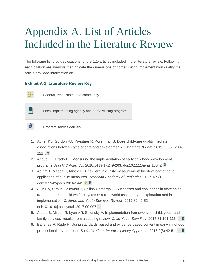# Appendix A. List of Articles Included in the Literature Review

The following list provides citations for the 125 articles included in the literature review. Following each citation are symbols that indicate the dimensions of home visiting implementation quality the article provided information on.

#### **Exhibit A-1. Literature Review Key**

|   | Federal, tribal, state, and community               |
|---|-----------------------------------------------------|
| 開 | Local implementing agency and home visiting program |
|   | Program service delivery                            |

- 1. Abner KS, Gordon RA, Kaestner R, Korenman S. Does child-care quality mediate associations between type of care and development? *J Marriage & Fam*. 2013;75(5):1203-  $1217.$   $\frac{2}{7}$
- 2. Aboud FE, Prado EL. Measuring the implementation of early childhood development programs. *Ann N Y Acad Sci*. 2018;1419(1):249-263. doi:10.1111/nyas.13642
- 3. Adirim T, Meade K, Mistry K. A new era in quality measurement: the development and application of quality measures. *American Academy of Pediatrics*. 2017;139(1). doi:10.1542/peds.2016-3442 F
- 4. Akin BA, Strolin-Goltzman J, Collins-Camargo C. Successes and challenges in developing trauma-informed child welfare systems: a real-world case study of exploration and initial implementation. *Children and Youth Services Review*. 2017;82:42-52. doi:10.1016/j.childyouth.2017.09.007
- 5. Albers B, Mildon R, Lyon AR, Shlonsky A. Implementation frameworks in child, youth and family services–results from a scoping review. *Child Youth Serv Rev*. 2017;81:101-116.
- 6. Banerjee R, Rude H. Using standards-based and evidence-based content in early childhood professional development. *Social Welfare: Interdisciplinary Approach*. 2013;2(3):42-51.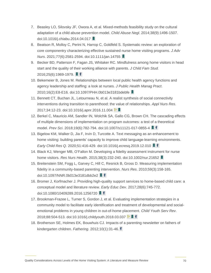- 7. Beasley LO, Silovsky JF, Owora A, et al. Mixed-methods feasibility study on the cultural adaptation of a child abuse prevention model. *Child Abuse Negl*. 2014;38(9):1496-1507. doi:10.1016/j.chiabu.2014.04.017 **里**
- 8. Beatson R, Molloy C, Perini N, Harrop C, Goldfeld S. Systematic review: an exploration of core componentry characterizing effective sustained nurse home visiting programs. *J Adv Nurs.* 2021;77(6):2581-2594. doi:10.1111/jan.14755
- 9. Becker BD, Patterson F, Fagan JS, Whitaker RC. Mindfulness among home visitors in head start and the quality of their working alliance with parents. *J Child Fam Stud.* 2016;25(6):1969-1979.
- 10. Bekemeier B, Jones M. Relationships between local public health agency functions and agency leadership and staffing: a look at nurses. *J Public Health Manag Pract*. 2010;16(2):E8-E16. doi:10.1097/PHH.0b013e3181bdebfe
- 11. Bennett CT, Buchan JL, Letourneau N, et al. A realist synthesis of social connectivity interventions during transition to parenthood: the value of relationships. *Appl Nurs Res*. 2017;34:12-23. doi:10.1016/j.apnr.2016.11.004 <sup>----</sup> ■
- 12. Berkel C, Mauricio AM, Sandler IN, Wolchik SA, Gallo CG, Brown CH. The cascading effects of multiple dimensions of implementation on program outcomes: a test of a theoretical model. *Prev Sci*. 2018;19(6):782-794. doi:10.1007/s11121-017-0855-4
- 13. Bigelow KM, Walker D, Jia F, Irvin D, Turcotte A. Text messaging as an enhancement to home visiting: building parents' capacity to improve child language-learning environments. *Early Child Res Q*. 2020;51:416-429. doi:10.1016/j.ecresq.2019.12.010
- 14. Black KJ, Wenger MB, O'Fallon M. Developing a fidelity assessment instrument for nurse home visitors. *Res Nurs Health*. 2015;38(3):232-240. doi:10.1002/nur.21652
- 15. Breitenstein SM, Fogg L, Garvey C, Hill C, Resnick B, Gross D. Measuring implementation fidelity in a community-based parenting intervention. *Nurs Res*. 2010;59(3):158-165. doi:10.1097/NNR.0b013e3181dbb2e2
- 16. Bromer J, Korfmacher J. Providing high-quality support services to home-based child care: a conceptual model and literature review. *Early Educ Dev*. 2017;28(6):745-772. doi:10.1080/10409289.2016.1256720
- 17. Brookman-Frazee L, Turner S, Gordon J, et al. Evaluating implementation strategies in a community model to facilitate early identification and treatment of developmental and socialemotional problems in young children in out-of-home placement. *Child Youth Serv Rev*. 2018;88:504-513. doi:10.1016/j.childyouth.2018.03.037
- 18. Brotherson SE, Holmes EK, Bouwhuis CJ. Impacts of a parenting newsletter on fathers of kindergarten children. *Fathering*. 2012;10(1):31-46.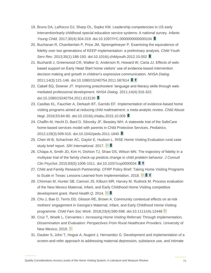- 19. Bruns DA, LaRocco DJ, Sharp OL, Sopko KM. Leadership competencies in US early intervention/early childhood special education service systems: A national survey. *Infants Young Child.* 2017;30(4):304-319. doi:10.1097/IYC.0000000000000104
- 20. Buchanan R, Chamberlain P, Price JM, Sprengelmeyer P. Examining the equivalence of fidelity over two generations of KEEP implementation: a preliminary analysis. *Child Youth Serv Rev*. 2013;35(1):188-193. doi:10.1016/j.childyouth.2012.10.002
- 21. Buzhardt J, Greenwood CR, Walker D, Anderson R, Howard W, Carta JJ. Effects of webbased support on Early Head Start home visitors' use of evidence-based intervention decision making and growth in children's expressive communication. *NHSA Dialog*. 2011;14(3):121-146. doi:10.1080/15240754.2011.587614
- 22. Cabell SQ, Downer JT. Improving preschoolers' language and literacy skills through webmediated professional development. *NHSA Dialog.* 2011;14(4):316-322. doi:10.1080/15240754.2011.613130
- 23. Casillas KL, Fauchier A, Derkash BT, Garrido EF. Implementation of evidence-based home visiting programs aimed at reducing child maltreatment: a meta-analytic review. *Child Abuse Negl*. 2016;53:64-80. doi:10.1016/j.chiabu.2015.10.009
- 24. Chaffin M, Hecht D, Bard D, Silovsky JF, Beasley WH. A statewide trial of the SafeCare home-based services model with parents in Child Protective Services. *Pediatrics*. 2012;129(3):509-515. doi:10.1542/peds.2011-1840
- 25. Chen W-B, Schachner AC, Gaylor E, Hudson L. RISE Home Visiting Evaluation rural case study brief report. *SRI International*. 2017.
- 26. Chiapa A, Smith JD, Kim H, Dishion TJ, Shaw DS, Wilson MN. The trajectory of fidelity in a multiyear trial of the family check-up predicts change in child problem behavior. *J Consult Clin Psychol*. 2015;83(5):1006-1011. doi:10.1037/ccp0000034
- 27. Child and Family Research Partnership. CFRP Policy Brief: Taking Home Visiting Programs to Scale in Texas: Lessons Learned from Implementation. 2018.
- 28. Chinman M, Hunter SB, Cannon JS, Kilburn MR, Harvey M, Rudnick M. Process evaluation of the New Mexico Maternal, Infant, and Early Childhood Home Visiting competitive development grant. *Rand Health Q.* 2014.
- 29. Cho J, Bae D, Terris DD, Glisson RE, Brown A. Community contextual effects on at‐risk mothers' engagement in Georgia's Maternal, Infant, and Early Childhood Home Visiting programme. *Child Fam Soc Work.* 2018;23(4):590-598. [doi:10.1111/cfs.12448](https://doi.org/10.1111/cfs.12448)
- 30. Cruz T, Woelk L, Cervantes I. *Increasing Home Visiting Referrals Through Implementation, Dissemination and Evaluation: Perspectives From Rural Healthcare Providers.* University of New Mexico; 2019. <sup>1-</sup>
- 31. Dauber S, John T, Hogue A, Nugent J, Hernandez G. Development and implementation of a screen-and-refer approach to addressing maternal depression, substance use, and intimate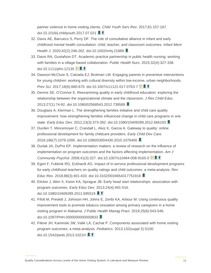partner violence in home visiting clients. *Child Youth Serv Rev*. 2017;81:157-167. doi:10.1016/j.childyouth.2017.07.021 | ■ 作

- 32. Davis AE, Barrueco S, Perry DF. The role of consultative alliance in infant and early childhood mental health consultation: child, teacher, and classroom outcomes. *Infant Ment Health J.* 2020;42(2):246-262. doi:10.1002/imhj.21889
- 33. Davis RA, Gustafson DT. Academic‐practice partnership in public health nursing: working with families in a village‐based collaboration. *Public Health Nurs*. 2015;32(4):327-338. doi:10.1111/phn.12135
- 34. Dawson-McClure S, Calzada EJ, Brotman LM. Engaging parents in preventive interventions for young children: working with cultural diversity within low-income, urban neighborhoods. *Prev Sci.* 2017;18(6):660-670. doi:10.1007/s11121-017-0763-7 <sup>----</sup> ■ <sup>作</sup>
- 35. Dennis SE, O'Connor E. Reexamining quality in early childhood education: exploring the relationship between the organizational climate and the classroom. *J Res Child Educ.* 2013;27(1):74-92. doi:10.1080/02568543.2012.739589
- 36. Douglass A, Klerman L. The strengthening families initiative and child care quality improvement: how strengthening families influenced change in child care programs in one state. *Early Educ Dev.* 2012;23(3):373-392. doi:10.1080/10409289.2012.666193
- 37. Durden T, Mincemoyer C, Crandall L, Alviz K, Garcia A. Gateway to quality: online professional development for family childcare providers. *Early Child Dev Care.* 2016;186(7):1079-1095. doi:10.1080/03004430.2015.1076400
- 38. Durlak JA, DuPre EP. Implementation matters: a review of research on the influence of implementation on program outcomes and the factors affecting implementation. *Am J Community Psychol.* 2008;41(3):327. doi:10.1007/s10464-008-9165-0
- 39. Egert F, Fukkink RG, Eckhardt AG. Impact of in-service professional development programs for early childhood teachers on quality ratings and child outcomes: a meta-analysis. *Rev Educ Res.* 2018;88(3):401-433. doi:10.3102/0034654317751918
- 40. Elicker J, Wen X, Kwon KA, Sprague JB. Early head start relationships: association with program outcomes. *Early Educ Dev*. 2013;24(4):491-516. doi:10.1080/10409289.2012.695519
- 41. Fifolt M, Preskitt J, Johnson HH, Johns E, Zeribi KA, Arbour M. Using continuous quality improvement tools to promote tobacco cessation among primary caregivers in a home visiting program in Alabama. *J Public Health Manag Pract*. 2019;25(6):543-546. doi:10.1097/PHH.0000000000000833
- 42. Filene JH, Kaminski JW, Valle LA, Cachat P. Components associated with home visiting program outcomes: a meta-analysis. *Pediatrics.* 2013;132(suppl 2):S100. doi:10.1542/peds.2013-1021H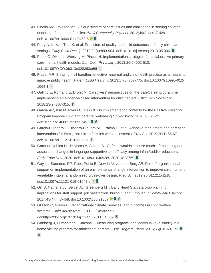- 43. Finello KM, Poulsen MK. Unique system of care issues and challenges in serving children under age 3 and their families. *Am J Community Psychol*. 2012;49(3-4):417-429. doi:10.1007/s10464-011-9458-6
- 44. Forry N, Iruka I, Tout K, et al. Predictors of quality and child outcomes in family child care settings. *Early Child Res Q*. 2013;28(4):893-904. doi:10.1016/j.ecresq.2013.05.006
- 45. Franx G, Dixon L, Wensing M, Pincus H. Implementation strategies for collaborative primary care-mental health models. *Curr Opin Psychiatry*. 2013;26(5):502-510. doi:10.1097/YCO.0b013e328363a69f
- 46. Fraser MR. Bringing it all together: effective maternal and child health practice as a means to improve public health. *Matern Child Health J*. 2013;17(5):767-775. doi:10.1007/s10995-012-  $1064 - 1$   $\frac{1}{2}$
- 47. Gallitto E, Romano E, Drolet M. Caregivers' perspectives on the SafeCare® programme: implementing an evidence‐based intervention for child neglect. *Child Fam Soc Work*. 2018;23(2):307-315.  $\angle$
- 48. Garcia AR, Kim M, Myers C, Trinh X. Do implementation contexts for the Positive Parenting Program improve child and parental well-being? *J Soc Work*. 2020; 0(0):1-21. doi:10.1177/1468017320957497
- 49. Garcia-Huidobro D, Diaspro-Higuera MO, Palma D, et al. Adaptive recruitment and parenting interventions for immigrant Latino families with adolescents. *Prev Sci.* 2019;20(1):56-67. doi:10.1007/s11121-018-0898-1 =
- 50. Gardner-Neblett N, de Marco A, Sexton S. "At first I wouldn't talk so much…": coaching and associated changes in language-supportive self-efficacy among infant/toddler educators. *Early Educ Dev.* 2020. doi:10.1080/10409289.2020.1823769
- 51. Gay JL, Saunders RP, Rees-Punia E, Dowda M, van den Berg AE. Role of organizational support on implementation of an environmental change intervention to improve child fruit and vegetable intake: a randomized cross-over design. *Prev Sci*. 2019;20(8):1211-1218. doi:10.1007/s11121-019-01043-z
- 52. Gill S, Nathans LL, Seidel AJ, Greenberg MT. Early Head Start start–up planning: implications for staff support, job satisfaction, burnout, and turnover. *J Community Psychol.* 2017;45(4):443-458. doi:10.1002/jcop.21857
- 53. Glisson C, Green P. Organizational climate, services, and outcomes in child welfare systems. *Child Abuse Negl*. 2011;35(8):582-591. doi:https://doi.org/10.1016/j.chiabu.2011.04.009
- 54. Goldberg J, Bumgarner E, Jacobs F. Measuring program- and individual-level fidelity in a home visiting program for adolescent parents. *Eval Program Plann*. 2016;55(C):163-173帝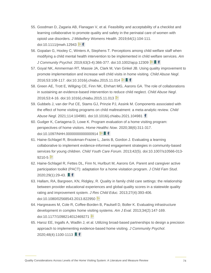- 55. Goodman D, Zagaria AB, Flanagan V, et al. Feasibility and acceptability of a checklist and learning collaborative to promote quality and safety in the perinatal care of women with opioid use disorders. *J Midwifery Womens Health*. 2019;64(1):104-111. doi:10.1111/jmwh.12943
- 56. Gopalan G, Hooley C, Winters A, Stephens T. Perceptions among child welfare staff when modifying a child mental health intervention to be implemented in child welfare services. *Am J Community Psychol.* 2019;63(3-4):366-377. doi:10.1002/ajcp.12309
- 57. Goyal NK, Ammerman RT, Massie JA, Clark M, Van Ginkel JB. Using quality improvement to promote implementation and increase well child visits in home visiting. *Child Abuse Negl*. 2016;53:108-117. doi:10.1016/j.chiabu.2015.11.014
- 58. Green AE, Trott E, Willging CE, Finn NK, Ehrhart MG, Aarons GA. The role of collaborations in sustaining an evidence-based intervention to reduce child neglect. *Child Abuse Negl*. 2016;53:4-16. doi:10.1016/j.chiabu.2015.11.013
- 59. Gubbels J, van der Put CE, Stams GJ, Prinzie PJ, Assink M. Components associated with the effect of home visiting programs on child maltreatment: a meta-analytic review. *Child Abuse Negl.* 2021;114:104981. doi:10.1016/j.chiabu.2021.104981
- 60. Gudger K, Cartagena D, Lowe K. Program evaluation of a home visiting program: perspectives of home visitors. *Home Healthc Now*. 2020;38(6):311-317. doi:10.1097/NHH.0000000000000914
- 61. Haine-Schlagel R, Brookman-Frazee L, Janis B, Gordon J. Evaluating a learning collaborative to implement evidence-informed engagement strategies in community-based services for young children. *Child Youth Care Forum*. 2013;42(5). doi:10.1007/s10566-013-  $9210 - 5$   $\frac{1}{2}$
- 62. Haine-Schlagel R, Fettes DL, Finn N, Hurlburt M, Aarons GA. Parent and caregiver active participation toolkit (PACT): adaptation for a home visitation program. *J Child Fam Stud*. 2020;29(1):29-43.
- 63. Hallam, RA, Bargreen, KN, Ridgley, R. Quality in family child care settings: the relationship between provider educational experiences and global quality scores in a statewide quality rating and improvement system. *J Res Child Educ.* 2013;27(4):393-406. doi:10.1080/02568543.2013.822950 <sup>}</sup>
- 64. Hargreaves M, Cole R, Coffee-Borden B, Paulsell D, Boller K. Evaluating infrastructure development in complex home visiting systems. *Am J Eval.* 2013;34(2):147-169. doi:10.1177/1098214012469271
- 65. Haroz EE, Ingalls A, Wadlin J, et al. Utilizing broad‐based partnerships to design a precision approach to implementing evidence‐based home visiting. *J Community Psychol*. 2020;48(4):1100-1113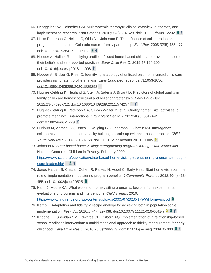- 66. Henggeler SW, Schaeffer CM. Multisystemic therapy®: clinical overview, outcomes, and implementation research. *Fam Process.* 2016;55(3):514-528. doi:10.1111/famp.12232
- 67. Hicks D, Larson C, Nelson C, Olds DL, Johnston E. The influence of collaboration on program outcomes: the Colorado nurse—family partnership. *Eval Rev.* 2008;32(5):453-477. doi:10.1177/0193841X08315131
- 68. Hooper A, Hallam R. Identifying profiles of listed home-based child care providers based on their beliefs and self-reported practices. *Early Child Res Q*. 2019;47:194-205. doi:10.1016/j.ecresq.2018.11.008 |
- 69. Hooper A, Slicker G, Riser D. Identifying a typology of unlisted paid home-based child care providers using latent profile analysis. *Early Educ Dev*. 2020; 32(7):1053-1056. doi:10.1080/10409289.2020.1829293<sup>1</sup>
- 70. Hughes-Belding K, Hegland S, Stein A, Sideris J, Bryant D. Predictors of global quality in family child care homes: structural and belief characteristics. *Early Educ Dev.* 2012;23(5):697-712. doi:10.1080/10409289.2011.574257
- 71. Hughes‐Belding K, Peterson CA, Clucas Walter M, et al. Quality home visits: activities to promote meaningful interactions. *Infant Ment Health J*. 2019;40(3):331-342. doi:10.1002/imhj.21779
- 72. Hurlburt M, Aarons GA, Fettes D, Willging C, Gunderson L, Chaffin MJ. Interagency collaborative team model for capacity building to scale-up evidence-based practice. *Child Youth Serv Rev.* 2014;39:160-168. doi:10.1016/j.childyouth.2013.10.005
- 73. Johnson K. *State-based home visiting: strengthening programs through state leadership.* National Center for Children in Poverty. February 2009. [https://www.nccp.org/publication/state-based-home-visiting-strengthening-programs-through](https://www.nccp.org/publication/state-based-home-visiting-strengthening-programs-through-state-leadership/)[state-leadership/](https://www.nccp.org/publication/state-based-home-visiting-strengthening-programs-through-state-leadership/) **王** 團 作
- 74. Jones Harden B, Chazan‐Cohen R, Raikes H, Vogel C. Early Head Start home visitation: the role of implementation in bolstering program benefits. *J Community Psychol*. 2012;40(4):438- 455. doi:10.1002/jcop.20525 **围**
- 75. Kahn J, Moore KA. What works for home visiting programs: lessons from experimental evaluations of programs and interventions. *Child Trends*. 2010. <https://www.childtrends.org/wp-content/uploads/2005/07/2010-17WWHomeVisit.pdf>
- 76. Kemp L. Adaptation and fidelity: a recipe analogy for achieving both in population scale implementation. *Prev Sci*. 2016;17(4):429-438. doi:10.1007/s11121-016-0642-7
- 77. Knoche LL, Sheridan SM, Edwards CP, Osborn AQ. Implementation of a relationship-based school readiness intervention: a multidimensional approach to fidelity measurement for early childhood. *Early Child Res Q*. 2010;25(3):299-313. doi:10.1016/j.ecresq.2009.05.003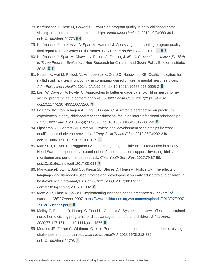- 78. Korfmacher J, Frese M, Gowani S. Examining program quality in early childhood home visiting: from infrastructure to relationships. *Infant Ment Health J*. 2019;40(3):380-394. doi:10.1002/imhj.21773
- 79. Korfmacher J, Laszewski A, Sparr M, Hammel J. Assessing home visiting program quality: a final report to Pew Center on the states*. Pew Center on the States.* 2012.
- 80. Korfmacher J, Sparr M, Chawla N, Fulford J, Fleming J. *Illinois Prevention Initiative (PI) Birth to Three Program Evaluation.* Herr Research for Children and Social Policy Erikson Institute; 2012.
- 81. Kutash K, Acri M, Pollock M, Armusewicz K, Olin SC, Hoagwood KE. Quality indicators for multidisciplinary team functioning in community-based children's mental health services. *Adm Policy Ment Health*. 2014;41(1):55-68. doi:10.1007/s10488-013-0508-2
- 82. Lam W, Dawson A, Fowler C. Approaches to better engage parent–child in health homevisiting programmes: a content analysis. *J Child Health Care*. 2017;21(1):94-102. doi:10.1177/1367493516653260 ¥
- 83. La Paro KM, Van Schagen A, King E, Lippard C. A systems perspective on practicum experiences in early childhood teacher education: focus on interprofessional relationships. *Early Child Educ J*. 2018;46(4):365-375. doi:10.1007/s10643-017-0872-8
- 84. Lipscomb ST, Schmitt SA, Pratt ME. Professional development scholarships increase qualifications of diverse providers. *J Early Child Teach Educ*. 2018;36(3):232-249. doi:10.1080/10901027.2015.1062829 <sup>1</sup>
- 85. Manz PH, Power TJ, Roggman LA, et al. Integrating the little talks intervention into Early Head Start: an experimental examination of implementation supports involving fidelity monitoring and performance feedback. *Child Youth Serv Rev*. 2017;79:87-96. doi:10.1016/j.childvouth.2017.05.034 &
- 86. Markussen-Brown J, Juhl CB, Piasta SB, Bleses D, Højen A, Justice LM. The effects of language- and literacy-focused professional development on early educators and children: a best-evidence meta-analysis. *Early Child Res Q*. 2017;38:97-115. doi:10.1016/j.ecresq.2016.07.002 |
- 87. Metz AJR, Blase K, Bowie L. Implementing evidence-based practices: six "drivers" of success. *Child Trends.* 2007. [https://www.childtrends.org/wp-content/uploads/2013/07/2007-](https://www.childtrends.org/wp-content/uploads/2013/07/2007-29EVPSuccess.pdf) [29EVPSuccess.pdf](https://www.childtrends.org/wp-content/uploads/2013/07/2007-29EVPSuccess.pdf)<sup>:</sup> #
- 88. Molloy C, Beatson R, Harrop C, Perini N, Goldfeld S. Systematic review: effects of sustained nurse home visiting programs for disadvantaged mothers and children. *J Adv Nurs*. 2020;77:147-161. doi:10.1111/jan.14576
- 89. Morales JR, Ferron C, Whitmore C, et al. Performance measurement in tribal home visiting: challenges and opportunities. *Infant Ment Health J*. 2018;39(3):312-325. doi:10.1002/imhj.21703<sup>1</sup>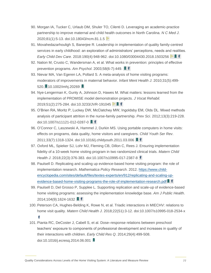- 90. Morgan IA, Tucker C, Urlaub DM, Shuler TO, Cilenti D. Leveraging an academic-practice partnership to improve maternal and child health outcomes in North Carolina. *N C Med J*. 2020;81(1):5-13. doi:10.18043/ncm.81.1.5 F
- 91. Movahedazarhouligh S, Banerjee R. Leadership in implementation of quality family-centred services in early childhood: an exploration of administrators' perceptions, needs and realities. *Early Child Dev Care.* 2018:190(4):948-962. doi:10.1080/03004430.2018.1503256
- 92. Nation M, Crusto C, Wandersman A, et al. What works in prevention: principles of effective prevention programs. *Am Psychol*. 2003;58(6-7):449.
- 93. Nievar MA, Van Egeren LA, Pollard S. A meta‐analysis of home visiting programs: moderators of improvements in maternal behavior. *Infant Ment Health J*. 2010;31(5):499- 520. 10.1002/imhj.20269
- 94. Nye-Lengerman K, Gunty A, Johnson D, Hawes M. What matters: lessons learned from the implementation of PROMISE model demonstration projects. *J Vocat Rehabil.* 2019;51(2):275-284. doi:10.3233/JVR-191045
- 95. O'Brien RA, Moritz P, Luckey DW, McClatchey MW, Ingoldsby EM, Olds DL. Mixed methods analysis of participant attrition in the nurse-family partnership. *Prev Sci*. 2012;13(3):219-228. doi:10.1007/s11121-012-0287-0
- 96. O'Connor C, Laszewski A, Hammel J, Durkin MS. Using portable computers in home visits: effects on programs, data quality, home visitors and caregivers. *Child Youth Ser Rev*. 2011;33(7):1318-1324. doi:10.1016/j.childyouth.2011.03.006
- 97. Oxford ML, Spieker SJ, Lohr MJ, Fleming CB, Dillon C, Rees J. Ensuring implementation fidelity of a 10-week home visiting program in two randomized clinical trials. *Matern Child Health J*. 2018;22(3):376-383. doi:10.1007/s10995-017-2387-8
- 98. Paulsell D. Replicating and scaling up evidence-based home visiting program: the role of implementation research. *Mathematica Policy Research*. 2012. [https://www.child](https://www.child-encyclopedia.com/sites/default/files/textes-experts/en/912/replicating-and-scaling-up-evidence-based-home-visiting-programs-the-role-of-implementation-research.pdf)[encyclopedia.com/sites/default/files/textes-experts/en/912/replicating-and-scaling-up](https://www.child-encyclopedia.com/sites/default/files/textes-experts/en/912/replicating-and-scaling-up-evidence-based-home-visiting-programs-the-role-of-implementation-research.pdf)[evidence-based-home-visiting-programs-the-role-of-implementation-research.pdf](https://www.child-encyclopedia.com/sites/default/files/textes-experts/en/912/replicating-and-scaling-up-evidence-based-home-visiting-programs-the-role-of-implementation-research.pdf) ■ 作
- 99. Paulsell D, Del Grosso P, Supplee L. Supporting replication and scale-up of evidence-based home visiting programs: assessing the implementation knowledge base. *Am J Public Health*. 2014;104(9):1624-1632
- 100. Peterson CA, Hughes-Belding K, Rowe N, et al. Triadic interactions in MIECHV: relations to home visit quality. *Matern Child Health J*. 2018;22(S1):3-12. doi:10.1007/s10995-018-2534-x
- 101. Pianta RC, DeCoster J, Cabell S, et al. Dose–response relations between preschool teachers' exposure to components of professional development and increases in quality of their interactions with children. *Early Child Res Q*. 2014;29(4):499-508. doi:10.1016/j.ecresq.2014.06.001 **里**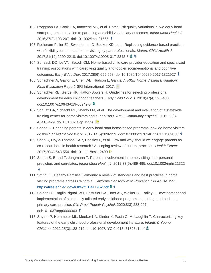- 102. Roggman LA, Cook GA, Innocenti MS, et al. Home visit quality variations in two early head start programs in relation to parenting and child vocabulary outcomes. *Infant Ment Health J*. 2016;37(3):193-207. doi:10.1002/imhj.21565
- 103. Rotheram-Fuller EJ, Swendeman D, Becker KD, et al. Replicating evidence-based practices with flexibility for perinatal home visiting by paraprofessionals. *Matern Child Health J.* 2017;21(12):2209-2218. doi:10.1007/s10995-017-2342-8
- 104. Schaack DD, Le VN, Setodji CM. Home-based child care provider education and specialized training: associations with caregiving quality and toddler social-emotional and cognitive outcomes. *Early Educ Dev*. 2017;28(6):655-668. doi:10.1080/10409289.2017.1321927
- 105. Schachner A, Gaylor E, Chen WB, Hudson L, Garcia D. *RISE Home Visiting Evaluation: Final Evaluation Report.* SRI International. 2017.
- 106. Schachter RE, Gerde HK, Hatton-Bowers H. Guidelines for selecting professional development for early childhood teachers. *Early Child Educ J*. 2019;47(4):395-408. doi:10.1007/s10643-019-00942-8
- 107. Schultz DA, Schacht RL, Shanty LM, et al. The development and evaluation of a statewide training center for home visitors and supervisors. *Am J Community Psychol*. 2019;63(3- 4):418-429. doi:10.1002/ajcp.12320 **h**
- 108. Shanti C. Engaging parents in early head start home-based programs: how do home visitors do this? *J Evid Inf Soc Work.* 2017;14(5):329-359. doi:10.1080/23761407.2017.1302858
- 109. Shen S, Doyle-Thomas KAR, Beesley L, et al. How and why should we engage parents as co-researchers in health research? A scoping review of current practices. *Health Expect*. 2017;20(4):543-554. doi:10.1111/hex.12490  $\frac{1}{2}$
- 110. Sierau S, Brand T, Jungmann T. Parental involvement in home visiting: interpersonal predictors and correlates. *Infant Ment Health J*. 2012;33(5):489-495. doi:10.1002/imhj.21322 è
- 111. Smith LE. Healthy Families California: a review of standards and best practices in home visiting programs across California. *California Consortium to Prevent Child Abuse.*1995. <https://files.eric.ed.gov/fulltext/ED411952.pdf>
- 112. Snider TC, Raglin Bignall WJ, Hostutler CA, Hoet AC, Walker BL, Bailey J. Development and implementation of a culturally tailored early childhood program in an integrated pediatric primary care practice. *Clin Pract Pediatr Psychol*. 2020;8(3):288-297. doi:10.1037/cpp0000363 #
- 113. Snyder P, Hemmeter ML, Meeker KA, Kinder K, Pasia C, McLaughlin T. Characterizing key features of the early childhood professional development literature. *Infants & Young Children*. 2012;25(3):188-212. doi:10.1097/IYC.0b013e31825a1ebf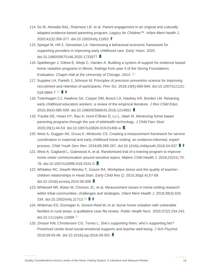- 114. So M, Almeida RAL, Robinson LR, et al. Parent engagement in an original and culturally adapted evidence‐based parenting program, Legacy for Children™. *Infant Ment Health J*. 2020;41(3):356-377. doi:10.1002/imhj.21853
- 115. Spiegel M, Hill Z, Gennetian LA. Harnessing a behavioral economic framework for supporting providers in improving early childhood care. *Early Years*. 2020. doi:10.1080/09575146.2020.1732877 **里**
- 116. Spielberger J, Gitlow E, Winje C, Harden A. Building a system of support for evidence-based home visitation programs in Illinois: findings from year 4 of the Strong Foundations Evaluation. *Chapin Hall at the University of Chicago*. 2014.
- 117. Supplee LH, Parekh J, Johnson M. Principles of precision prevention science for improving recruitment and retention of participants. *Prev Sci*. 2018;19(5):689-694. doi:10.1007/s11121- 018-0884-7
- 118. Totenhagen CJ, Hawkins SA, Casper DM, Bosch LA, Hawkey KR, Borden LM. Retaining early childhood education workers: a review of the empirical literature. *J Res Child Educ*. 2016;30(4):585-599. doi:10.1080/02568543.2016.1214652
- 119. Traube DE, Hsiao HY, Rau A, Hunt-O'Brien D, Lu L, Islam N. Advancing home based parenting programs through the use of telehealth technology. *J Child Fam Stud*. 2020;29(1):44-53. doi:10.1007/s10826-019-01458-w
- 120. West A, Duggan AK, Gruss K, Minkovitz CS. Creating a measurement framework for service coordination in maternal and early childhood home visiting: an evidence-informed, expert process. *Child Youth Serv Rev*. 2018;89:289-297. doi:10.1016/j.childyouth.2018.04.037
- 121. West A, Gagliardi L, Gatewood A, et al. Randomized trial of a training program to improve home visitor communication around sensitive topics. *Matern Child Health J*. 2018;22(S1):70- 78. doi:10.1007/s10995-018-2531-0
- 122. Whitaker RC, Dearth-Wesley T, Gooze RA. Workplace stress and the quality of teacher– children relationships in Head Start. *Early Child Res Q*. 2015;30(pt A):57-69. doi:10.1016/j.ecresq.2014.08.008 **里**
- 123. Whitesell NR, Bolan M, Chomos JC, et al. Measurement issues in home-visiting research within tribal communities: challenges and strategies. *Infant Ment Health J*. 2018;39(3):326- 334. doi:10.1002/imhj.21713
- 124. Wideman ES, Dunnigan A, Jonson‐Reid M, et al. Nurse home visitation with vulnerable families in rural areas: a qualitative case file review. *Public Health Nurs*. 2020;37(2):234-242. doi:10.1111/phn.12699  $\frac{1}{2}$
- 125. Zinsser KM, Christensen CG, Torres L. She's supporting them; who's supporting her? Preschool center-level social-emotional supports and teacher well-being. *J Sch Psychol*. 2016;59:55-66. doi:10.1016/j.jsp.2016.09.001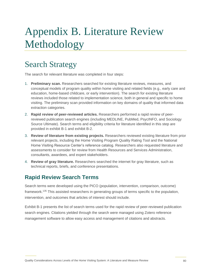# Appendix B. Literature Review Methodology

## Search Strategy

The search for relevant literature was completed in four steps:

- 1. **Preliminary scan.** Researchers searched for existing literature reviews, measures, and conceptual models of program quality within home visiting and related fields (e.g., early care and education, home-based childcare, or early intervention). The search for existing literature reviews included those related to implementation science, both in general and specific to home visiting. The preliminary scan provided information on key domains of quality that informed data extraction categories.
- 2. **Rapid review of peer-reviewed articles.** Researchers performed a rapid review of peerreviewed publication search engines (including MEDLINE, PubMed, PsycINFO, and Sociology Source Ultimate). Search terms and eligibility criteria for literature identified in this step are provided in exhibit B-1 and exhibit B-2.
- 3. **Review of literature from existing projects.** Researchers reviewed existing literature from prior relevant projects, including the Home Visiting Program Quality Rating Tool and the National Home Visiting Resource Center's reference catalog. Researchers also requested literature and assessments to consider for review from Health Resources and Services Administration, consultants, awardees, and expert stakeholders.
- 4. **Review of gray literature.** Researchers searched the internet for gray literature, such as technical reports, briefs, and conference presentations.

### **Rapid Review Search Terms**

Search terms were developed using the PICO (population, intervention, comparison, outcome) framework.<sup>135</sup> This assisted researchers in generating groups of terms specific to the population, intervention, and outcomes that articles of interest should include.

Exhibit B-1 presents the list of search terms used for the rapid review of peer-reviewed publication search engines. Citations yielded through the search were managed using Zotero reference management software to allow easy access and management of citations and abstracts.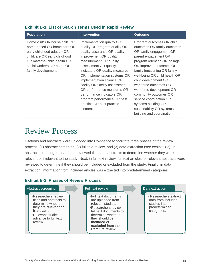| <b>Exhibit B-1. List of Search Terms Used in Rapid Review</b> |  |  |  |  |  |  |  |
|---------------------------------------------------------------|--|--|--|--|--|--|--|
|---------------------------------------------------------------|--|--|--|--|--|--|--|

| <b>Population</b>                                                                                                                                                                                           | <b>Intervention</b>                                                                                                                                                                                                                                                                                                                                                                                                                          | <b>Outcome</b>                                                                                                                                                                                                                                                                                                                                                                                                                                           |
|-------------------------------------------------------------------------------------------------------------------------------------------------------------------------------------------------------------|----------------------------------------------------------------------------------------------------------------------------------------------------------------------------------------------------------------------------------------------------------------------------------------------------------------------------------------------------------------------------------------------------------------------------------------------|----------------------------------------------------------------------------------------------------------------------------------------------------------------------------------------------------------------------------------------------------------------------------------------------------------------------------------------------------------------------------------------------------------------------------------------------------------|
| Home visit* OR house calls OR<br>home-based OR home care OR<br>early childhood educat* OR<br>childcare OR early childhood<br>OR maternal-child health OR<br>social workers OR home OR<br>family development | Implementation quality OR<br>quality OR program quality OR<br>quality assurance OR quality<br>improvement OR quality<br>measurement OR quality<br>assessment OR quality<br>indicators OR quality measures<br>OR implementation systems OR<br>implementation science OR<br>fidelity OR fidelity assessment<br>OR performance measures OR<br>performance indicators OR<br>program performance OR best<br>practice OR best practice<br>elements | Program outcomes OR child<br>outcomes OR family outcomes<br>OR family engagement OR<br>parent engagement OR<br>program retention OR dosage<br>OR improved outcomes OR<br>family functioning OR family<br>well-being OR child health OR<br>child development OR<br>workforce outcomes OR<br>workforce development OR<br>community outcomes OR<br>service coordination OR<br>systems building OR<br>sustainability OR systems<br>building and coordination |

## Review Process

Citations and abstracts were uploaded into Covidence to facilitate three phases of the review process: (1) abstract screening, (2) full text review, and (3) data extraction (see exhibit B-2). In abstract screening, researchers reviewed titles and abstracts to determine whether they were relevant or irrelevant to the study. Next, in full text review, full text articles for relevant abstracts were reviewed to determine if they should be included or excluded from the study. Finally, in data extraction, information from included articles was extracted into predetermined categories.

#### **Exhibit B-2. Phases of Review Process**

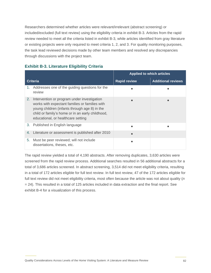Researchers determined whether articles were relevant/irrelevant (abstract screening) or included/excluded (full text review) using the eligibility criteria in exhibit B-3. Articles from the rapid review needed to meet all the criteria listed in exhibit B-3, while articles identified from gray literature or existing projects were only required to meet criteria 1, 2, and 3. For quality monitoring purposes, the task lead reviewed decisions made by other team members and resolved any discrepancies through discussions with the project team.

|    |                                                                                                                                                                                                                                          | <b>Applied to which articles</b> |                           |  |
|----|------------------------------------------------------------------------------------------------------------------------------------------------------------------------------------------------------------------------------------------|----------------------------------|---------------------------|--|
|    | <b>Criteria</b>                                                                                                                                                                                                                          | <b>Rapid review</b>              | <b>Additional reviews</b> |  |
| 1. | Addresses one of the guiding questions for the<br>review                                                                                                                                                                                 |                                  |                           |  |
| 2. | Intervention or program under investigation<br>works with expectant families or families with<br>young children (infants through age 8) in the<br>child or family's home or in an early childhood,<br>educational, or healthcare setting |                                  |                           |  |
| 3. | Published in English language                                                                                                                                                                                                            |                                  |                           |  |
| 4. | Literature or assessment is published after 2010                                                                                                                                                                                         |                                  |                           |  |
| 5. | Must be peer reviewed; will not include<br>dissertations, theses, etc.                                                                                                                                                                   |                                  |                           |  |

#### **Exhibit B-3. Literature Eligibility Criteria**

The rapid review yielded a total of 4,190 abstracts. After removing duplicates, 3,630 articles were screened from the rapid review process. Additional searches resulted in 56 additional abstracts for a total of 3,686 articles screened. In abstract screening, 3,514 did not meet eligibility criteria, resulting in a total of 172 articles eligible for full text review. In full text review, 47 of the 172 articles eligible for full text review did not meet eligibility criteria, most often because the article was not about quality (*n* = 24). This resulted in a total of 125 articles included in data extraction and the final report. See exhibit B-4 for a visualization of this process.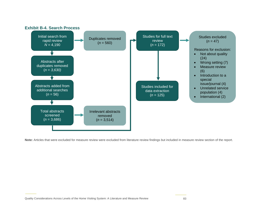

**Note:** Articles that were excluded for measure review were excluded from literature review findings but included in measure review section of the report.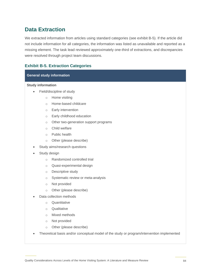### **Data Extraction**

We extracted information from articles using standard categories (see exhibit B-5). If the article did not include information for all categories, the information was listed as unavailable and reported as a missing element. The task lead reviewed approximately one-third of extractions, and discrepancies were resolved through project team discussions.

#### **Exhibit B-5. Extraction Categories**

#### **General study information**

#### **Study information**

- Field/discipline of study
	- o Home visiting
	- o Home-based childcare
	- o Early intervention
	- o Early childhood education
	- o Other two-generation support programs
	- o Child welfare
	- o Public health
	- o Other (please describe)
- Study aims/research questions
- Study design
	- o Randomized controlled trial
	- o Quasi-experimental design
	- o Descriptive study
	- o Systematic review or meta-analysis
	- o Not provided
	- o Other (please describe)
- Data collection methods
	- o Quantitative
	- o Qualitative
	- o Mixed methods
	- o Not provided
	- o Other (please describe)
- Theoretical basis and/or conceptual model of the study or program/intervention implemented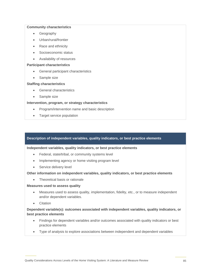#### **Community characteristics**

- Geography
- Urban/rural/frontier
- Race and ethnicity
- Socioeconomic status
- Availability of resources

#### **Participant characteristics**

- General participant characteristics
- Sample size

#### **Staffing characteristics**

- General characteristics
- Sample size

#### **Intervention, program, or strategy characteristics**

- Program/intervention name and basic description
- Target service population

#### **Description of independent variables, quality indicators, or best practice elements**

#### **Independent variables, quality indicators, or best practice elements**

- Federal, state/tribal, or community systems level
- Implementing agency or home visiting program level
- Service delivery level

#### **Other information on independent variables, quality indicators, or best practice elements**

• Theoretical basis or rationale

#### **Measures used to assess quality**

- Measures used to assess quality, implementation, fidelity, etc., or to measure independent and/or dependent variables.
- Citation

#### **Dependent variable(s): outcomes associated with independent variables, quality indicators, or best practice elements**

- Findings for dependent variables and/or outcomes associated with quality indicators or best practice elements
- Type of analysis to explore associations between independent and dependent variables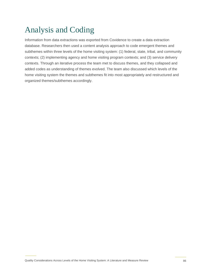## Analysis and Coding

Information from data extractions was exported from Covidence to create a data extraction database. Researchers then used a content analysis approach to code emergent themes and subthemes within three levels of the home visiting system: (1) federal, state, tribal, and community contexts; (2) implementing agency and home visiting program contexts; and (3) service delivery contexts. Through an iterative process the team met to discuss themes, and they collapsed and added codes as understanding of themes evolved. The team also discussed which levels of the home visiting system the themes and subthemes fit into most appropriately and restructured and organized themes/subthemes accordingly.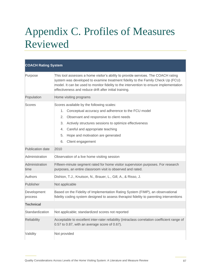# Appendix C. Profiles of Measures Reviewed

| <b>COACH Rating System</b> |                                                                                                                                                                                                                                                                                                                                   |
|----------------------------|-----------------------------------------------------------------------------------------------------------------------------------------------------------------------------------------------------------------------------------------------------------------------------------------------------------------------------------|
| Purpose                    | This tool assesses a home visitor's ability to provide services. The COACH rating<br>system was developed to examine treatment fidelity to the Family Check Up (FCU)<br>model. It can be used to monitor fidelity to the intervention to ensure implementation<br>effectiveness and reduce drift after initial training.          |
| Population                 | Home visiting programs                                                                                                                                                                                                                                                                                                            |
| <b>Scores</b>              | Scores available by the following scales:<br>1. Conceptual accuracy and adherence to the FCU model<br>2.<br>Observant and responsive to client needs<br>Actively structures sessions to optimize effectiveness<br>3.<br>4. Careful and appropriate teaching<br>Hope and motivation are generated<br>5.<br>6.<br>Client engagement |
| Publication date           | 2010                                                                                                                                                                                                                                                                                                                              |
| Administration             | Observation of a live home visiting session                                                                                                                                                                                                                                                                                       |
| Administration<br>time     | Fifteen-minute segment rated for home visitor supervision purposes. For research<br>purposes, an entire classroom visit is observed and rated.                                                                                                                                                                                    |
| Authors                    | Dishion, T.J., Knutson, N., Brauer, L., Gill, A., & Risso, J.                                                                                                                                                                                                                                                                     |
| Publisher                  | Not applicable                                                                                                                                                                                                                                                                                                                    |
| Development<br>process     | Based on the Fidelity of Implementation Rating System (FIMP), an observational<br>fidelity coding system designed to assess therapist fidelity to parenting interventions                                                                                                                                                         |
| <b>Technical</b>           |                                                                                                                                                                                                                                                                                                                                   |
| Standardization            | Not applicable; standardized scores not reported                                                                                                                                                                                                                                                                                  |
| Reliability                | Acceptable to excellent inter-rater reliability (intraclass correlation coefficient range of<br>0.57 to 0.87, with an average score of 0.67).                                                                                                                                                                                     |
| Validity                   | Not provided                                                                                                                                                                                                                                                                                                                      |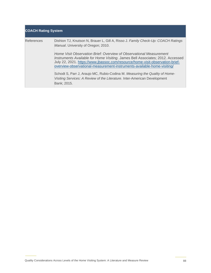| <b>COACH Rating System</b> |                                                                                                                                                                                                                                                                                                                   |
|----------------------------|-------------------------------------------------------------------------------------------------------------------------------------------------------------------------------------------------------------------------------------------------------------------------------------------------------------------|
| References                 | Dishion TJ, Knutson N, Brauer L, Gill A, Risso J. Family Check-Up: COACH Ratings<br>Manual. University of Oregon; 2010.                                                                                                                                                                                           |
|                            | Home Visit Observation Brief: Overview of Observational Measurement<br>Instruments Available for Home Visiting. James Bell Associates; 2012. Accessed<br>July 22, 2021. https://www.jbassoc.com/resource/home-visit-observation-brief-<br>overview-observational-measurement-instruments-available-home-visiting/ |
|                            | Schodt S, Parr J, Araujo MC, Rubio-Codina M. Measuring the Quality of Home-<br>Visiting Services: A Review of the Literature. Inter-American Development<br>Bank; 2015.                                                                                                                                           |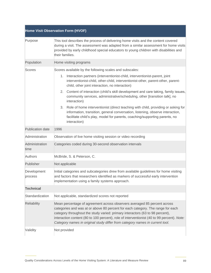|                        | Home Visit Observation Form (HVOF)                                                                                                                                                                                                                                                                                                                                                                                                                                                                                                                                                                                                                                                                                                             |
|------------------------|------------------------------------------------------------------------------------------------------------------------------------------------------------------------------------------------------------------------------------------------------------------------------------------------------------------------------------------------------------------------------------------------------------------------------------------------------------------------------------------------------------------------------------------------------------------------------------------------------------------------------------------------------------------------------------------------------------------------------------------------|
| Purpose                | This tool describes the process of delivering home visits and the content covered<br>during a visit. The assessment was adapted from a similar assessment for home visits<br>provided by early childhood special educators to young children with disabilities and<br>their families.                                                                                                                                                                                                                                                                                                                                                                                                                                                          |
| Population             | Home visiting programs                                                                                                                                                                                                                                                                                                                                                                                                                                                                                                                                                                                                                                                                                                                         |
| <b>Scores</b>          | Scores available by the following scales and subscales:<br>1. Interaction partners (interventionist-child, interventionist-parent, joint<br>interventionist-child, other-child, interventionist-other, parent-other, parent-<br>child, other joint interaction, no interaction)<br>2. Content of interaction (child's skill development and care taking, family issues,<br>community services, administrative/scheduling, other [transition talk], no<br>interaction)<br>3. Role of home interventionist (direct teaching with child, providing or asking for<br>information, transition, general conversation, listening, observe interaction,<br>facilitate child's play, model for parents, coaching/supporting parents, no<br>interaction) |
| Publication date       | 1996                                                                                                                                                                                                                                                                                                                                                                                                                                                                                                                                                                                                                                                                                                                                           |
| Administration         | Observation of live home visiting session or video recording                                                                                                                                                                                                                                                                                                                                                                                                                                                                                                                                                                                                                                                                                   |
| Administration<br>time | Categories coded during 30-second observation intervals                                                                                                                                                                                                                                                                                                                                                                                                                                                                                                                                                                                                                                                                                        |
| Authors                | McBride, S. & Peterson, C.                                                                                                                                                                                                                                                                                                                                                                                                                                                                                                                                                                                                                                                                                                                     |
| Publisher              | Not applicable                                                                                                                                                                                                                                                                                                                                                                                                                                                                                                                                                                                                                                                                                                                                 |
| Development<br>process | Initial categories and subcategories drew from available guidelines for home visiting<br>and factors that researchers identified as markers of successful early intervention<br>implementation using a family systems approach.                                                                                                                                                                                                                                                                                                                                                                                                                                                                                                                |
| <b>Technical</b>       |                                                                                                                                                                                                                                                                                                                                                                                                                                                                                                                                                                                                                                                                                                                                                |
| Standardization        | Not applicable, standardized scores not reported                                                                                                                                                                                                                                                                                                                                                                                                                                                                                                                                                                                                                                                                                               |
| <b>Reliability</b>     | Mean percentage of agreement across observers averaged 85 percent across<br>categories and was at or above 80 percent for each category. The range for each<br>category throughout the study varied: primary interactors (63 to 98 percent),<br>interaction content (80 to 100 percent), role of interventionist (40 to 99 percent). Note:<br>Category names in original study differ from category names in current tool.                                                                                                                                                                                                                                                                                                                     |
| Validity               | Not provided                                                                                                                                                                                                                                                                                                                                                                                                                                                                                                                                                                                                                                                                                                                                   |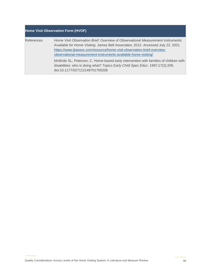|                   | Home Visit Observation Form (HVOF)                                                                                                                                                                                                                                                                                                                                                                                                                                                                                             |
|-------------------|--------------------------------------------------------------------------------------------------------------------------------------------------------------------------------------------------------------------------------------------------------------------------------------------------------------------------------------------------------------------------------------------------------------------------------------------------------------------------------------------------------------------------------|
| <b>References</b> | Home Visit Observation Brief: Overview of Observational Measurement Instruments<br>Available for Home Visiting. James Bell Associates; 2012. Accessed July 22, 2021.<br>https://www.jbassoc.com/resource/home-visit-observation-brief-overview-<br>observational-measurement-instruments-available-home-visiting/<br>McBride SL, Peterson, C. Home-based early intervention with families of children with<br>disabilities: who is doing what? Topics Early Child Spec Educ. 1997;17(2):209.<br>doi:10.1177/027112149701700206 |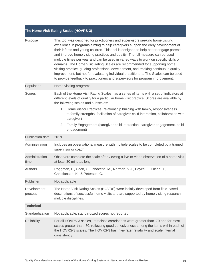|                        | The Home Visit Rating Scales (HOVRS-3)                                                                                                                                                                                                                                                                                                                                                                                                                                                                                                                                                                                                                                                                                                                                              |
|------------------------|-------------------------------------------------------------------------------------------------------------------------------------------------------------------------------------------------------------------------------------------------------------------------------------------------------------------------------------------------------------------------------------------------------------------------------------------------------------------------------------------------------------------------------------------------------------------------------------------------------------------------------------------------------------------------------------------------------------------------------------------------------------------------------------|
| Purpose                | This tool was designed for practitioners and supervisors seeking home visiting<br>excellence in programs aiming to help caregivers support the early development of<br>their infants and young children. This tool is designed to help better engage parents<br>and improve home visiting practices and quality. The full measure can be used<br>multiple times per year and can be used in varied ways to work on specific skills or<br>domains. The Home Visit Rating Scales are recommended for supporting home<br>visiting practice, guiding professional development, and tracking continuous quality<br>improvement, but not for evaluating individual practitioners. The Scales can be used<br>to provide feedback to practitioners and supervisors for program improvement. |
| Population             | Home visiting programs                                                                                                                                                                                                                                                                                                                                                                                                                                                                                                                                                                                                                                                                                                                                                              |
| Scores                 | Each of the Home Visit Rating Scales has a series of items with a set of indicators at<br>different levels of quality for a particular home visit practice. Scores are available by<br>the following scales and subscales:                                                                                                                                                                                                                                                                                                                                                                                                                                                                                                                                                          |
|                        | 1. Home Visitor Practices (relationship building with family, responsiveness<br>to family strengths, facilitation of caregiver-child interaction, collaboration with<br>caregiver)                                                                                                                                                                                                                                                                                                                                                                                                                                                                                                                                                                                                  |
|                        | 2. Family Engagement (caregiver-child interaction, caregiver engagement, child<br>engagement)                                                                                                                                                                                                                                                                                                                                                                                                                                                                                                                                                                                                                                                                                       |
| Publication date       | 2019                                                                                                                                                                                                                                                                                                                                                                                                                                                                                                                                                                                                                                                                                                                                                                                |
| Administration         | Includes an observational measure with multiple scales to be completed by a trained<br>supervisor or coach                                                                                                                                                                                                                                                                                                                                                                                                                                                                                                                                                                                                                                                                          |
| Administration<br>time | Observers complete the scale after viewing a live or video observation of a home visit<br>at least 30 minutes long.                                                                                                                                                                                                                                                                                                                                                                                                                                                                                                                                                                                                                                                                 |
| Authors                | Roggman, L., Cook, G., Innocenti, M., Norman, V.J., Boyce, L., Olson, T.,<br>Christiansen, K., & Peterson, C.                                                                                                                                                                                                                                                                                                                                                                                                                                                                                                                                                                                                                                                                       |
| Publisher              | Not applicable                                                                                                                                                                                                                                                                                                                                                                                                                                                                                                                                                                                                                                                                                                                                                                      |
| Development<br>process | The Home Visit Rating Scales (HOVRS) were initially developed from field-based<br>descriptions of successful home visits and are supported by home visiting research in<br>multiple disciplines.                                                                                                                                                                                                                                                                                                                                                                                                                                                                                                                                                                                    |
| <b>Technical</b>       |                                                                                                                                                                                                                                                                                                                                                                                                                                                                                                                                                                                                                                                                                                                                                                                     |
| Standardization        | Not applicable, standardized scores not reported                                                                                                                                                                                                                                                                                                                                                                                                                                                                                                                                                                                                                                                                                                                                    |
| <b>Reliability</b>     | For all HOVRS-3 scales, intraclass correlations were greater than .70 and for most<br>scales greater than .80, reflecting good cohesiveness among the items within each of<br>the HOVRS-3 scales. The HOVRS-3 has inter-rater reliability and scale internal<br>consistency.                                                                                                                                                                                                                                                                                                                                                                                                                                                                                                        |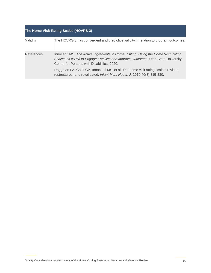|            | The Home Visit Rating Scales (HOVRS-3)                                                                                                                                                                              |
|------------|---------------------------------------------------------------------------------------------------------------------------------------------------------------------------------------------------------------------|
| Validity   | The HOVRS-3 has convergent and predictive validity in relation to program outcomes.                                                                                                                                 |
| References | Innocenti MS. The Active Ingredients in Home Visiting: Using the Home Visit Rating<br>Scales (HOVRS) to Engage Families and Improve Outcomes. Utah State University,<br>Center for Persons with Disabilities; 2020. |
|            | Roggman LA, Cook GA, Innocenti MS, et al. The home visit rating scales: revised,<br>restructured, and revalidated. Infant Ment Health J. 2019;40(3):315-330.                                                        |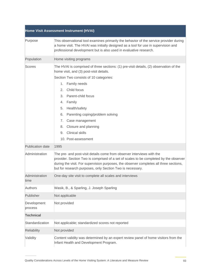|                        | Home Visit Assessment Instrument (HVAI)                                                                                                                                                                                                                                                                                                                                                                                         |
|------------------------|---------------------------------------------------------------------------------------------------------------------------------------------------------------------------------------------------------------------------------------------------------------------------------------------------------------------------------------------------------------------------------------------------------------------------------|
| Purpose                | This observational tool examines primarily the behavior of the service provider during<br>a home visit. The HVAI was initially designed as a tool for use in supervision and<br>professional development but is also used in evaluative research.                                                                                                                                                                               |
| Population             | Home visiting programs                                                                                                                                                                                                                                                                                                                                                                                                          |
| Scores                 | The HVAI is comprised of three sections: (1) pre-visit details, (2) observation of the<br>home visit, and (3) post-visit details.<br>Section Two consists of 10 categories:<br>1. Family needs<br>2. Child focus<br>3. Parent-child focus<br>4. Family<br>5. Health/safety<br>Parenting coping/problem solving<br>6.<br>7. Case management<br>Closure and planning<br>8.<br><b>Clinical skills</b><br>9.<br>10. Post-assessment |
| Publication date       | 1995                                                                                                                                                                                                                                                                                                                                                                                                                            |
| Administration         | The pre- and post-visit details come from observer interviews with the<br>provider. Section Two is comprised of a set of scales to be completed by the observer<br>during the visit. For supervision purposes, the observer completes all three sections,<br>but for research purposes, only Section Two is necessary.                                                                                                          |
| Administration<br>time | One-day site visit to complete all scales and interviews                                                                                                                                                                                                                                                                                                                                                                        |
| Authors                | Wasik, B., & Sparling, J. Joseph Sparling                                                                                                                                                                                                                                                                                                                                                                                       |
| Publisher              | Not applicable                                                                                                                                                                                                                                                                                                                                                                                                                  |
| Development<br>process | Not provided                                                                                                                                                                                                                                                                                                                                                                                                                    |
| <b>Technical</b>       |                                                                                                                                                                                                                                                                                                                                                                                                                                 |
| Standardization        | Not applicable; standardized scores not reported                                                                                                                                                                                                                                                                                                                                                                                |
| Reliability            | Not provided                                                                                                                                                                                                                                                                                                                                                                                                                    |
| Validity               | Content validity was determined by an expert review panel of home visitors from the<br>Infant Health and Development Program.                                                                                                                                                                                                                                                                                                   |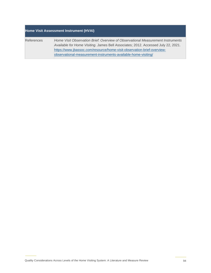| Home Visit Assessment Instrument (HVAI) |                                                                                                                                                                                                                                                                                                                   |  |
|-----------------------------------------|-------------------------------------------------------------------------------------------------------------------------------------------------------------------------------------------------------------------------------------------------------------------------------------------------------------------|--|
| <b>References</b>                       | Home Visit Observation Brief: Overview of Observational Measurement Instruments<br>Available for Home Visiting. James Bell Associates; 2012. Accessed July 22, 2021.<br>https://www.jbassoc.com/resource/home-visit-observation-brief-overview-<br>observational-measurement-instruments-available-home-visiting/ |  |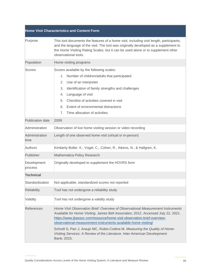|                         | <b>Home Visit Characteristics and Content Form</b>                                                                                                                                                                                                                                                                                       |
|-------------------------|------------------------------------------------------------------------------------------------------------------------------------------------------------------------------------------------------------------------------------------------------------------------------------------------------------------------------------------|
| Purpose                 | This tool documents the features of a home visit, including visit length, participants,<br>and the language of the visit. The tool was originally developed as a supplement to<br>the Home Visiting Rating Scales, but it can be used alone or to supplement other<br>observational tools.                                               |
| Population              | Home visiting programs                                                                                                                                                                                                                                                                                                                   |
| Scores                  | Scores available by the following scales:<br>1. Number of children/adults that participated<br>2. Use of an interpreter<br>3. Identification of family strengths and challenges<br>4. Language of visit<br>5. Checklist of activities covered in visit<br>6. Extent of environmental distractions<br>Time allocation of activities<br>7. |
| <b>Publication date</b> | 2009                                                                                                                                                                                                                                                                                                                                     |
| Administration          | Observation of live home visiting session or video recording                                                                                                                                                                                                                                                                             |
| Administration<br>time  | Length of one observed home visit (virtual or in-person)                                                                                                                                                                                                                                                                                 |
| Authors                 | Kimberly Boller, K., Vogel, C., Cohen, R., Aikens, N., & Hallgren, K.                                                                                                                                                                                                                                                                    |
| Publisher               | Mathematica Policy Research                                                                                                                                                                                                                                                                                                              |
| Development<br>process  | Originally developed to supplement the HOVRS form                                                                                                                                                                                                                                                                                        |
| <b>Technical</b>        |                                                                                                                                                                                                                                                                                                                                          |
| Standardization         | Not applicable; standardized scores not reported                                                                                                                                                                                                                                                                                         |
| <b>Reliability</b>      | Tool has not undergone a reliability study                                                                                                                                                                                                                                                                                               |
| Validity                | Tool has not undergone a validity study                                                                                                                                                                                                                                                                                                  |
| <b>References</b>       | Home Visit Observation Brief: Overview of Observational Measurement Instruments<br>Available for Home Visiting. James Bell Associates; 2012. Accessed July 22, 2021.<br>https://www.jbassoc.com/resource/home-visit-observation-brief-overview-<br>observational-measurement-instruments-available-home-visiting/                        |
|                         | Schodt S, Parr J, Araujo MC, Rubio-Codina M. Measuring the Quality of Home-<br>Visiting Services: A Review of the Literature. Inter-American Development<br>Bank; 2015.                                                                                                                                                                  |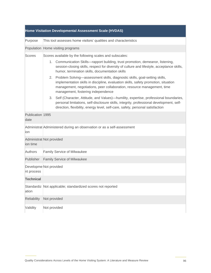| Home Visitation Developmental Assessment Scale (HVDAS) |                                                                                                                                                                                                                                                                                       |  |  |
|--------------------------------------------------------|---------------------------------------------------------------------------------------------------------------------------------------------------------------------------------------------------------------------------------------------------------------------------------------|--|--|
| Purpose                                                | This tool assesses home visitors' qualities and characteristics                                                                                                                                                                                                                       |  |  |
|                                                        | Population Home visiting programs                                                                                                                                                                                                                                                     |  |  |
| <b>Scores</b>                                          | Scores available by the following scales and subscales:                                                                                                                                                                                                                               |  |  |
|                                                        | 1. Communication Skills—rapport building, trust promotion, demeanor, listening,<br>session-closing skills, respect for diversity of culture and lifestyle, acceptance skills,<br>humor, termination skills, documentation skills                                                      |  |  |
|                                                        | 2. Problem Solving—assessment skills, diagnostic skills, goal-setting skills,<br>implementation skills in discipline, evaluation skills, safety promotion, situation<br>management, negotiations, peer collaboration, resource management, time<br>management, fostering independence |  |  |
|                                                        | 3.<br>Self (Character, Attitude, and Values)—humility, expertise, professional boundaries,<br>personal limitations, self-disclosure skills, integrity, professional development, self-<br>direction, flexibility, energy level, self-care, safety, personal satisfaction              |  |  |
| Publication 1995<br>date                               |                                                                                                                                                                                                                                                                                       |  |  |
| ion                                                    | Administrat Administered during an observation or as a self-assessment                                                                                                                                                                                                                |  |  |
| ion time                                               | Administrat Not provided                                                                                                                                                                                                                                                              |  |  |
| Authors                                                | <b>Family Service of Milwaukee</b>                                                                                                                                                                                                                                                    |  |  |
| Publisher                                              | <b>Family Service of Milwaukee</b>                                                                                                                                                                                                                                                    |  |  |
| nt process                                             | Developme Not provided                                                                                                                                                                                                                                                                |  |  |
| <b>Technical</b>                                       |                                                                                                                                                                                                                                                                                       |  |  |
| ation                                                  | Standardiz Not applicable; standardized scores not reported                                                                                                                                                                                                                           |  |  |
| Reliability                                            | Not provided                                                                                                                                                                                                                                                                          |  |  |
| Validity                                               | Not provided                                                                                                                                                                                                                                                                          |  |  |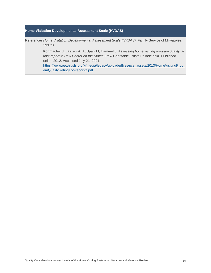#### **Home Visitation Developmental Assessment Scale (HVDAS)**

References *Home Visitation Developmental Assessment Scale (HVDAS)*. Family Service of Milwaukee; 1997:8.

> Korfmacher J, Laszewski A, Sparr M, Hammel J. *Assessing home visiting program quality: A final report to Pew Center on the States.* Pew Charitable Trusts Philadelphia. Published online 2012. Accessed July 21, 2021.

> [https://www.pewtrusts.org/~/media/legacy/uploadedfiles/pcs\\_assets/2013/HomeVisitingProgr](https://www.pewtrusts.org/~/media/legacy/uploadedfiles/pcs_assets/2013/HomeVisitingProgramQualityRatingToolreportdf.pdf) [amQualityRatingToolreportdf.pdf](https://www.pewtrusts.org/~/media/legacy/uploadedfiles/pcs_assets/2013/HomeVisitingProgramQualityRatingToolreportdf.pdf)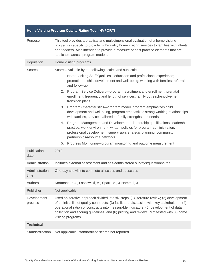| Home Visiting Program Quality Rating Tool (HVPQRT) |                                                                                                                                                                                                                                                                                                                                                                                                         |  |  |
|----------------------------------------------------|---------------------------------------------------------------------------------------------------------------------------------------------------------------------------------------------------------------------------------------------------------------------------------------------------------------------------------------------------------------------------------------------------------|--|--|
| Purpose                                            | This tool provides a practical and multidimensional evaluation of a home visiting<br>program's capacity to provide high-quality home visiting services to families with infants<br>and toddlers. Also intended to provide a measure of best practice elements that are<br>applicable across program models.                                                                                             |  |  |
| Population                                         | Home visiting programs                                                                                                                                                                                                                                                                                                                                                                                  |  |  |
| <b>Scores</b>                                      | Scores available by the following scales and subscales:                                                                                                                                                                                                                                                                                                                                                 |  |  |
|                                                    | 1. Home Visiting Staff Qualities—education and professional experience;<br>promotion of child development and well-being; working with families; referrals;<br>and follow-up                                                                                                                                                                                                                            |  |  |
|                                                    | 2. Program Service Delivery-program recruitment and enrollment, prenatal<br>enrollment, frequency and length of services, family outreach/involvement,<br>transition plans                                                                                                                                                                                                                              |  |  |
|                                                    | 3. Program Characteristics-program model, program emphasizes child<br>development and well-being, program emphasizes strong working relationships<br>with families, services tailored to family strengths and needs                                                                                                                                                                                     |  |  |
|                                                    | 4. Program Management and Development—leadership qualifications, leadership<br>practice, work environment, written policies for program administration,<br>professional development, supervision, strategic planning, community<br>partnerships/resource networks                                                                                                                                       |  |  |
|                                                    | 5.<br>Progress Monitoring-program monitoring and outcome measurement                                                                                                                                                                                                                                                                                                                                    |  |  |
| Publication<br>date                                | 2012                                                                                                                                                                                                                                                                                                                                                                                                    |  |  |
| Administration                                     | Includes external assessment and self-administered surveys/questionnaires                                                                                                                                                                                                                                                                                                                               |  |  |
| Administration<br>time                             | One-day site visit to complete all scales and subscales                                                                                                                                                                                                                                                                                                                                                 |  |  |
| <b>Authors</b>                                     | Korfmacher, J., Laszewski, A., Sparr, M., & Hammel, J.                                                                                                                                                                                                                                                                                                                                                  |  |  |
| Publisher                                          | Not applicable                                                                                                                                                                                                                                                                                                                                                                                          |  |  |
| Development<br>process                             | Used an iterative approach divided into six steps: (1) literature review; (2) development<br>of an initial list of quality constructs; (3) facilitated discussion with key stakeholders; (4)<br>operationalization of constructs into measurable indicators; (5) development of data<br>collection and scoring guidelines; and (6) piloting and review. Pilot tested with 30 home<br>visiting programs. |  |  |
| <b>Technical</b>                                   |                                                                                                                                                                                                                                                                                                                                                                                                         |  |  |
| Standardization                                    | Not applicable, standardized scores not reported                                                                                                                                                                                                                                                                                                                                                        |  |  |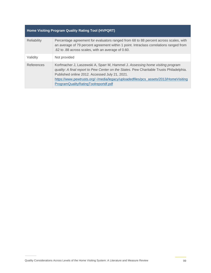| Home Visiting Program Quality Rating Tool (HVPQRT) |                                                                                                                                                                                                                                                                                                                                                            |  |
|----------------------------------------------------|------------------------------------------------------------------------------------------------------------------------------------------------------------------------------------------------------------------------------------------------------------------------------------------------------------------------------------------------------------|--|
| <b>Reliability</b>                                 | Percentage agreement for evaluators ranged from 68 to 88 percent across scales, with<br>an average of 79 percent agreement within 1 point. Intraclass correlations ranged from<br>.62 to .88 across scales, with an average of 0.60.                                                                                                                       |  |
| Validity                                           | Not provided                                                                                                                                                                                                                                                                                                                                               |  |
| References                                         | Korfmacher J, Laszewski A, Sparr M, Hammel J. Assessing home visiting program<br>quality: A final report to Pew Center on the States. Pew Charitable Trusts Philadelphia.<br>Published online 2012. Accessed July 21, 2021.<br>https://www.pewtrusts.org/~/media/legacy/uploadedfiles/pcs_assets/2013/HomeVisiting<br>ProgramQualityRatingToolreportdf.pdf |  |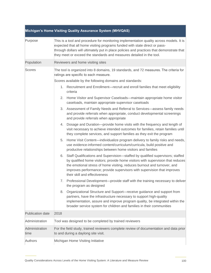|                        | Michigan's Home Visiting Quality Assurance System (MHVQAS)                                                                                                                                                                                                                                                                                                    |
|------------------------|---------------------------------------------------------------------------------------------------------------------------------------------------------------------------------------------------------------------------------------------------------------------------------------------------------------------------------------------------------------|
| Purpose                | This is a tool and procedure for monitoring implementation quality across models. It is<br>expected that all home visiting programs funded with state direct or pass-<br>through dollars will ultimately put in place policies and practices that demonstrate that<br>they meet or exceed the standards and measures detailed in the tool.                    |
| Population             | Reviewers and home visiting sites                                                                                                                                                                                                                                                                                                                             |
| Scores                 | The tool is organized into 8 domains, 19 standards, and 72 measures. The criteria for<br>ratings are specific to each measure.                                                                                                                                                                                                                                |
|                        | Scores available by the following domains and standards:                                                                                                                                                                                                                                                                                                      |
|                        | 1. Recruitment and Enrollment-recruit and enroll families that meet eligibility<br>criteria                                                                                                                                                                                                                                                                   |
|                        | 2. Home Visitor and Supervisor Caseloads—maintain appropriate home visitor<br>caseloads, maintain appropriate supervisor caseloads                                                                                                                                                                                                                            |
|                        | 3. Assessment of Family Needs and Referral to Services-assess family needs<br>and provide referrals when appropriate, conduct developmental screenings<br>and provide referrals when appropriate                                                                                                                                                              |
|                        | 4. Dosage and Duration—provide home visits with the frequency and length of<br>visit necessary to achieve intended outcomes for families, retain families until<br>they complete services, and support families as they exit the program                                                                                                                      |
|                        | 5. Home Visit Content—individualize program delivery to family risks and needs,<br>use evidence-informed content/curriculum/curricula, build positive and<br>productive relationships between home visitors and families                                                                                                                                      |
|                        | 6. Staff Qualifications and Supervision-staffed by qualified supervisors; staffed<br>by qualified home visitors; provide home visitors with supervision that reduces<br>the emotional stress of home visiting, reduces burnout and turnover, and<br>improves performance; provide supervisors with supervision that improves<br>their skill and effectiveness |
|                        | Professional Development-provide staff with the training necessary to deliver<br>7.<br>the program as designed                                                                                                                                                                                                                                                |
|                        | 8. Organizational Structure and Support-receive guidance and support from<br>partners, have the infrastructure necessary to support high-quality<br>implementation, assure and improve program quality, be integrated within the<br>broader service system for children and families in their communities                                                     |
| Publication date       | 2018                                                                                                                                                                                                                                                                                                                                                          |
| Administration         | Tool was designed to be completed by trained reviewers                                                                                                                                                                                                                                                                                                        |
| Administration<br>time | For the field study, trained reviewers complete review of documentation and data prior<br>to and during a daylong site visit.                                                                                                                                                                                                                                 |
| Authors                | Michigan Home Visiting Initiative                                                                                                                                                                                                                                                                                                                             |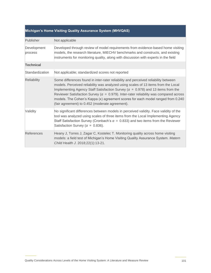| Michigan's Home Visiting Quality Assurance System (MHVQAS) |                                                                                                                                                                                                                                                                                                                                                                                                                                                                                                              |  |  |
|------------------------------------------------------------|--------------------------------------------------------------------------------------------------------------------------------------------------------------------------------------------------------------------------------------------------------------------------------------------------------------------------------------------------------------------------------------------------------------------------------------------------------------------------------------------------------------|--|--|
| Publisher                                                  | Not applicable                                                                                                                                                                                                                                                                                                                                                                                                                                                                                               |  |  |
| Development<br>process                                     | Developed through review of model requirements from evidence-based home visiting<br>models, the research literature, MIECHV benchmarks and constructs, and existing<br>instruments for monitoring quality, along with discussion with experts in the field                                                                                                                                                                                                                                                   |  |  |
| <b>Technical</b>                                           |                                                                                                                                                                                                                                                                                                                                                                                                                                                                                                              |  |  |
| Standardization                                            | Not applicable; standardized scores not reported                                                                                                                                                                                                                                                                                                                                                                                                                                                             |  |  |
| <b>Reliability</b>                                         | Some differences found in inter-rater reliability and perceived reliability between<br>models. Perceived reliability was analyzed using scales of 13 items from the Local<br>Implementing Agency Staff Satisfaction Survey ( $\alpha$ = 0.978) and 13 items from the<br>Reviewer Satisfaction Survey ( $\alpha = 0.979$ ). Inter-rater reliability was compared across<br>models. The Cohen's Kappa (k) agreement scores for each model ranged from 0.240<br>(fair agreement) to 0.452 (moderate agreement). |  |  |
| Validity                                                   | No significant differences between models in perceived validity. Face validity of the<br>tool was analyzed using scales of three items from the Local Implementing Agency<br>Staff Satisfaction Survey (Cronbach's $\alpha = 0.833$ ) and two items from the Reviewer<br>Satisfaction Survey ( $\alpha$ = 0.836).                                                                                                                                                                                            |  |  |
| References                                                 | Heany J, Torres J, Zagar C, Kostelec T. Monitoring quality across home visiting<br>models: a field test of Michigan's Home Visiting Quality Assurance System. Matern<br>Child Health J. 2018;22(1):13-21.                                                                                                                                                                                                                                                                                                    |  |  |